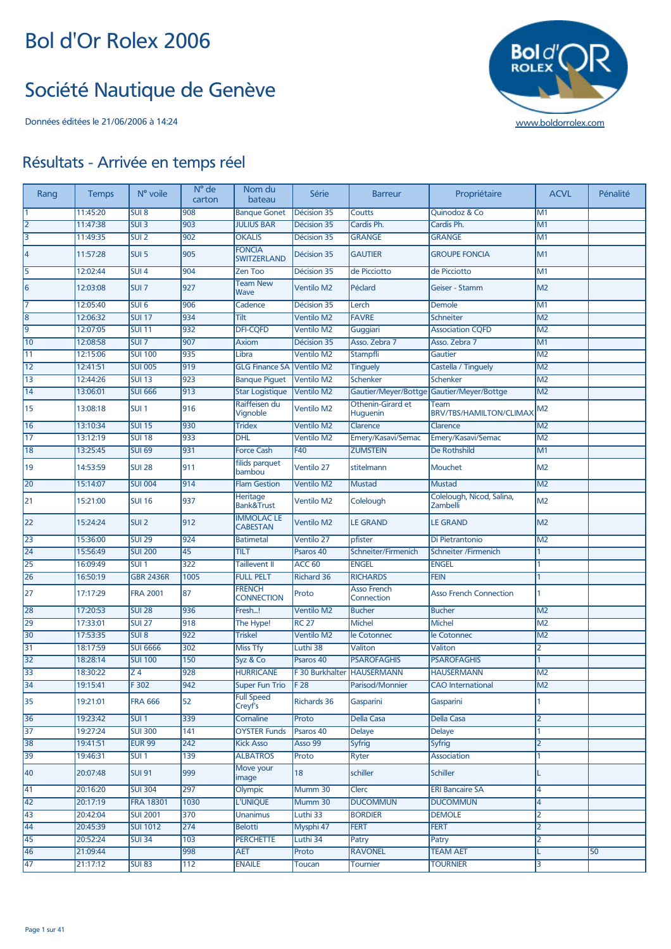#### Société Nautique de Genève



| Rang            | <b>Temps</b> | N° voile         | N° de<br>carton  | Nom du<br>bateau                     | Série              | <b>Barreur</b>                       | Propriétaire                           | <b>ACVL</b>    | Pénalité |
|-----------------|--------------|------------------|------------------|--------------------------------------|--------------------|--------------------------------------|----------------------------------------|----------------|----------|
|                 | 11:45:20     | SUI <sub>8</sub> | 908              | <b>Banque Gonet</b>                  | Décision 35        | Coutts                               | Quinodoz & Co                          | M1             |          |
| $\overline{2}$  | 11:47:38     | SUI3             | 903              | <b>JULIUS BAR</b>                    | Décision 35        | Cardis Ph.                           | Cardis Ph.                             | M1             |          |
| 3               | 11:49:35     | SUI2             | 902              | <b>OKALIS</b>                        | Décision 35        | <b>GRANGE</b>                        | <b>GRANGE</b>                          | M1             |          |
| 4               | 11:57:28     | SUI <sub>5</sub> | 905              | <b>FONCIA</b><br><b>SWITZERLAND</b>  | Décision 35        | <b>GAUTIER</b>                       | <b>GROUPE FONCIA</b>                   | M <sub>1</sub> |          |
| 5               | 12:02:44     | $SUI$ 4          | 904              | Zen Too                              | Décision 35        | de Picciotto                         | de Picciotto                           | M <sub>1</sub> |          |
| 6               | 12:03:08     | SUI <sub>7</sub> | 927              | <b>Team New</b><br>Wave              | <b>Ventilo M2</b>  | Péclard                              | Geiser - Stamm                         | M <sub>2</sub> |          |
| 17              | 12:05:40     | SUI <sub>6</sub> | 906              | Cadence                              | Décision 35        | Lerch                                | Demole                                 | M <sub>1</sub> |          |
| 8               | 12:06:32     | <b>SUI 17</b>    | 934              | Tilt                                 | <b>Ventilo M2</b>  | <b>FAVRE</b>                         | <b>Schneiter</b>                       | M <sub>2</sub> |          |
| $\overline{9}$  | 12:07:05     | <b>SUI 11</b>    | 932              | <b>DFI-CQFD</b>                      | <b>Ventilo M2</b>  | Guggiari                             | <b>Association CQFD</b>                | M <sub>2</sub> |          |
| 10              | 12:08:58     | SUI7             | 907              | <b>Axiom</b>                         | Décision 35        | Asso, Zebra 7                        | Asso. Zebra 7                          | M <sub>1</sub> |          |
| 11              | 12:15:06     | <b>SUI 100</b>   | 935              | Libra                                | <b>Ventilo M2</b>  | Stampfli                             | Gautier                                | M <sub>2</sub> |          |
| $\overline{12}$ | 12:41:51     | <b>SUI 005</b>   | $\overline{919}$ | <b>GLG Finance SA</b>                | Ventilo M2         | <b>Tinguely</b>                      | Castella / Tinguely                    | M <sub>2</sub> |          |
| 13              | 12:44:26     | <b>SUI 13</b>    | 923              | <b>Banque Piquet</b>                 | <b>Ventilo M2</b>  | Schenker                             | Schenker                               | M <sub>2</sub> |          |
| 14              | 13:06:01     | <b>SUI 666</b>   | 913              | <b>Star Logistique</b>               | <b>Ventilo M2</b>  | Gautier/Meyer/Bottge                 | Gautier/Meyer/Bottge                   | M <sub>2</sub> |          |
| 15              | 13:08:18     | SUI <sub>1</sub> | 916              | Raiffeisen du<br>Vignoble            | <b>Ventilo M2</b>  | Othenin-Girard et<br><b>Huguenin</b> | Team<br><b>BRV/TBS/HAMILTON/CLIMAX</b> | M2             |          |
| 16              | 13:10:34     | <b>SUI 15</b>    | 930              | <b>Tridex</b>                        | <b>Ventilo M2</b>  | Clarence                             | Clarence                               | M <sub>2</sub> |          |
| 17              | 13:12:19     | <b>SUI 18</b>    | 933              | <b>DHL</b>                           | <b>Ventilo M2</b>  | Emery/Kasavi/Semac                   | Emery/Kasavi/Semac                     | M <sub>2</sub> |          |
| 18              | 13:25:45     | <b>SUI 69</b>    | 931              | <b>Force Cash</b>                    | F40                | <b>ZUMSTEIN</b>                      | <b>De Rothshild</b>                    | M <sub>1</sub> |          |
| 19              | 14:53:59     | <b>SUI 28</b>    | 911              | filids parquet<br>bambou             | Ventilo 27         | stitelmann                           | Mouchet                                | M <sub>2</sub> |          |
| 20              | 15:14:07     | <b>SUI 004</b>   | 914              | <b>Flam Gestion</b>                  | <b>Ventilo M2</b>  | <b>Mustad</b>                        | <b>Mustad</b>                          | M <sub>2</sub> |          |
| 21              | 15:21:00     | <b>SUI 16</b>    | 937              | Heritage<br><b>Bank&amp;Trust</b>    | <b>Ventilo M2</b>  | Colelough                            | Colelough, Nicod, Salina,<br>Zambelli  | M <sub>2</sub> |          |
| 22              | 15:24:24     | SUI <sub>2</sub> | 912              | <b>IMMOLAC LE</b><br><b>CABESTAN</b> | <b>Ventilo M2</b>  | <b>LE GRAND</b>                      | <b>LE GRAND</b>                        | M <sub>2</sub> |          |
| 23              | 15:36:00     | <b>SUI 29</b>    | 924              | <b>Batimetal</b>                     | Ventilo 27         | pfister                              | Di Pietrantonio                        | M <sub>2</sub> |          |
| 24              | 15:56:49     | <b>SUI 200</b>   | 45               | TILT                                 | Psaros 40          | Schneiter/Firmenich                  | <b>Schneiter /Firmenich</b>            | 1              |          |
| 25              | 16:09:49     | SUI <sub>1</sub> | 322              | <b>Taillevent II</b>                 | <b>ACC 60</b>      | <b>ENGEL</b>                         | <b>ENGEL</b>                           |                |          |
| $\overline{26}$ | 16:50:19     | <b>GBR 2436R</b> | 1005             | <b>FULL PELT</b>                     | <b>Richard 36</b>  | <b>RICHARDS</b>                      | <b>FEIN</b>                            | 1              |          |
| 27              | 17:17:29     | <b>FRA 2001</b>  | 87               | <b>FRENCH</b><br><b>CONNECTION</b>   | Proto              | <b>Asso French</b><br>Connection     | <b>Asso French Connection</b>          |                |          |
| 28              | 17:20:53     | <b>SUI 28</b>    | 936              | Fresh!                               | <b>Ventilo M2</b>  | <b>Bucher</b>                        | <b>Bucher</b>                          | M <sub>2</sub> |          |
| 29              | 17:33:01     | <b>SUI 27</b>    | 918              | The Hype!                            | <b>RC 27</b>       | <b>Michel</b>                        | <b>Michel</b>                          | M <sub>2</sub> |          |
| 30              | 17:53:35     | SUI8             | 922              | <b>Triskel</b>                       | <b>Ventilo M2</b>  | le Cotonnec                          | le Cotonnec                            | M <sub>2</sub> |          |
| 31              | 18:17:59     | <b>SUI 6666</b>  | 302              | <b>Miss Tfy</b>                      | Luthi 38           | Valiton                              | Valiton                                | 2              |          |
| 32              | 18:28:14     | <b>SUI 100</b>   | 150              | Syz & Co                             | Psaros 40          | <b>PSAROFAGHIS</b>                   | <b>PSAROFAGHIS</b>                     | 1              |          |
| 33              | 18:30:22     | $\overline{24}$  | 928              | <b>HURRICANE</b>                     | F 30 Burkhalter    | <b>HAUSERMANN</b>                    | <b>HAUSERMANN</b>                      | M <sub>2</sub> |          |
| 34              | 19:15:41     | F302             | 942              | <b>Super Fun Trio</b>                | F 28               | Parisod/Monnier                      | <b>CAO</b> International               | M <sub>2</sub> |          |
| 35              | 19:21:01     | <b>FRA 666</b>   | 52               | <b>Full Speed</b><br>Creyf's         | <b>Richards 36</b> | Gasparini                            | Gasparini                              |                |          |
| 36              | 19:23:42     | SUI1             | 339              | Cornaline                            | Proto              | <b>Della Casa</b>                    | <b>Della Casa</b>                      | 2              |          |
| $\overline{37}$ | 19:27:24     | <b>SUI 300</b>   | 141              | <b>OYSTER Funds</b>                  | Psaros 40          | <b>Delaye</b>                        | <b>Delaye</b>                          | 1              |          |
| 38              | 19:41:51     | <b>EUR 99</b>    | 242              | <b>Kick Asso</b>                     | Asso 99            | <b>Syfrig</b>                        | <b>Syfrig</b>                          | 2              |          |
| 39              | 19:46:31     | SUI <sub>1</sub> | 139              | <b>ALBATROS</b>                      | Proto              | <b>Ryter</b>                         | Association                            | 1              |          |
| 40              | 20:07:48     | <b>SUI 91</b>    | 999              | Move your<br>image                   | 18                 | schiller                             | <b>Schiller</b>                        |                |          |
| 41              | 20:16:20     | <b>SUI 304</b>   | 297              | Olympic                              | Mumm 30            | Clerc                                | <b>ERI Bancaire SA</b>                 | 4              |          |
| 42              | 20:17:19     | <b>FRA 18301</b> | 1030             | <b>L'UNIQUE</b>                      | Mumm 30            | <b>DUCOMMUN</b>                      | <b>DUCOMMUN</b>                        | 4              |          |
| 43              | 20:42:04     | <b>SUI 2001</b>  | 370              | <b>Unanimus</b>                      | Luthi 33           | <b>BORDIER</b>                       | <b>DEMOLE</b>                          | 2              |          |
| 44              | 20:45:39     | <b>SUI 1012</b>  | 274              | <b>Belotti</b>                       | Mysphi 47          | <b>FERT</b>                          | <b>FERT</b>                            | 2              |          |
| 45              | 20:52:24     | <b>SUI 34</b>    | 103              | <b>PERCHETTE</b>                     | Luthi 34           | Patry                                | Patry                                  | 2              |          |
| 46              | 21:09:44     |                  | 998              | <b>AET</b>                           | Proto              | <b>RAVONEL</b>                       | <b>TEAM AET</b>                        |                | 50       |
| 47              | 21:17:12     | <b>SUI 83</b>    | 112              | <b>ENAILE</b>                        | Toucan             | Tournier                             | <b>TOURNIER</b>                        | 3              |          |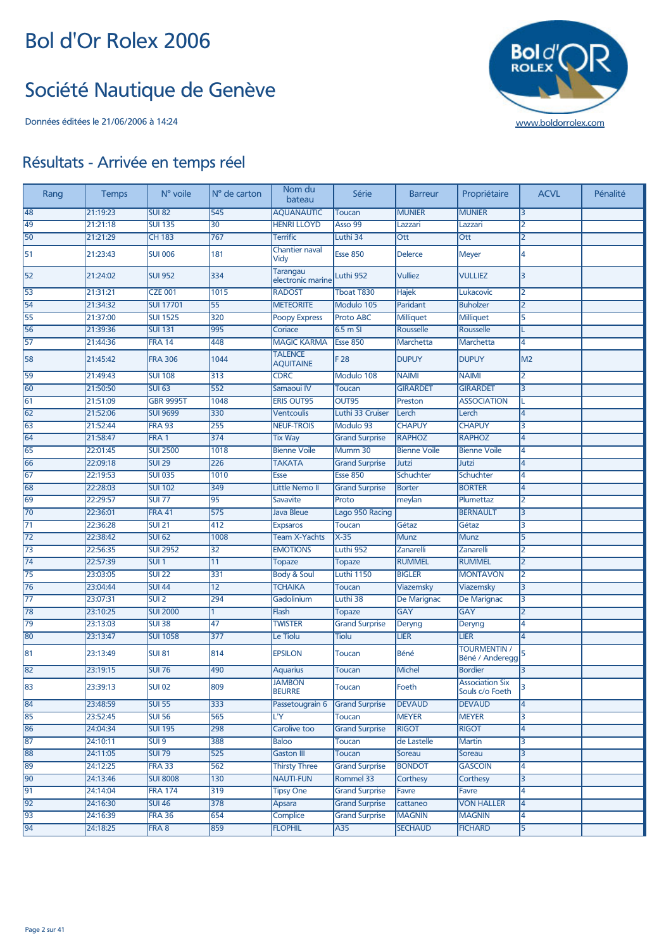#### Société Nautique de Genève



| 21:19:23<br><b>AQUANAUTIC</b><br>48<br><b>SUI 82</b><br>545<br><b>MUNIER</b><br><b>MUNIER</b><br><b>Toucan</b><br>3<br>49<br>21:21:18<br><b>SUI 135</b><br>30<br><b>HENRI LLOYD</b><br>Asso 99<br>Lazzari<br>Lazzari<br>2<br>767<br>50<br>21:21:29<br><b>CH 183</b><br><b>Terrific</b><br>Luthi 34<br>Ott<br>Ott<br>$\overline{2}$<br><b>Chantier naval</b><br>51<br>181<br><b>Esse 850</b><br><b>Delerce</b><br>4<br>21:23:43<br><b>SUI 006</b><br><b>Meyer</b><br>Vidy<br><b>Tarangau</b><br><b>Vulliez</b><br>21:24:02<br><b>SUI 952</b><br>334<br><b>VULLIEZ</b><br>3<br>52<br>Luthi 952<br>electronic marine<br>1015<br>53<br>21:31:21<br><b>CZE 001</b><br><b>RADOST</b><br>Tboat T830<br>Hajek<br>Lukacovic<br>2<br><b>SUI 17701</b><br>54<br>21:34:32<br>55<br><b>METEORITE</b><br>Modulo 105<br>Paridant<br><b>Buholzer</b><br>$\overline{2}$<br>55<br>21:37:00<br><b>SUI 1525</b><br>320<br>5<br><b>Proto ABC</b><br>Milliquet<br>Milliquet<br><b>Poopy Express</b><br>56<br>21:39:36<br><b>SUI 131</b><br>995<br>Coriace<br>6.5 m SI<br>Rousselle<br>Rousselle<br>57<br>21:44:36<br><b>FRA 14</b><br>448<br><b>MAGIC KARMA</b><br><b>Esse 850</b><br>Marchetta<br>Marchetta<br>4<br><b>TALENCE</b><br>58<br><b>FRA 306</b><br>1044<br>F 28<br><b>DUPUY</b><br><b>DUPUY</b><br>M <sub>2</sub><br>21:45:42<br><b>AQUITAINE</b> | Pénalité | <b>ACVL</b> | Propriétaire | <b>Barreur</b> | Série      | Nom du<br>bateau | N° de carton | N° voile       | <b>Temps</b> | Rang |
|-----------------------------------------------------------------------------------------------------------------------------------------------------------------------------------------------------------------------------------------------------------------------------------------------------------------------------------------------------------------------------------------------------------------------------------------------------------------------------------------------------------------------------------------------------------------------------------------------------------------------------------------------------------------------------------------------------------------------------------------------------------------------------------------------------------------------------------------------------------------------------------------------------------------------------------------------------------------------------------------------------------------------------------------------------------------------------------------------------------------------------------------------------------------------------------------------------------------------------------------------------------------------------------------------------------------------------------------|----------|-------------|--------------|----------------|------------|------------------|--------------|----------------|--------------|------|
|                                                                                                                                                                                                                                                                                                                                                                                                                                                                                                                                                                                                                                                                                                                                                                                                                                                                                                                                                                                                                                                                                                                                                                                                                                                                                                                                         |          |             |              |                |            |                  |              |                |              |      |
|                                                                                                                                                                                                                                                                                                                                                                                                                                                                                                                                                                                                                                                                                                                                                                                                                                                                                                                                                                                                                                                                                                                                                                                                                                                                                                                                         |          |             |              |                |            |                  |              |                |              |      |
|                                                                                                                                                                                                                                                                                                                                                                                                                                                                                                                                                                                                                                                                                                                                                                                                                                                                                                                                                                                                                                                                                                                                                                                                                                                                                                                                         |          |             |              |                |            |                  |              |                |              |      |
|                                                                                                                                                                                                                                                                                                                                                                                                                                                                                                                                                                                                                                                                                                                                                                                                                                                                                                                                                                                                                                                                                                                                                                                                                                                                                                                                         |          |             |              |                |            |                  |              |                |              |      |
|                                                                                                                                                                                                                                                                                                                                                                                                                                                                                                                                                                                                                                                                                                                                                                                                                                                                                                                                                                                                                                                                                                                                                                                                                                                                                                                                         |          |             |              |                |            |                  |              |                |              |      |
|                                                                                                                                                                                                                                                                                                                                                                                                                                                                                                                                                                                                                                                                                                                                                                                                                                                                                                                                                                                                                                                                                                                                                                                                                                                                                                                                         |          |             |              |                |            |                  |              |                |              |      |
|                                                                                                                                                                                                                                                                                                                                                                                                                                                                                                                                                                                                                                                                                                                                                                                                                                                                                                                                                                                                                                                                                                                                                                                                                                                                                                                                         |          |             |              |                |            |                  |              |                |              |      |
|                                                                                                                                                                                                                                                                                                                                                                                                                                                                                                                                                                                                                                                                                                                                                                                                                                                                                                                                                                                                                                                                                                                                                                                                                                                                                                                                         |          |             |              |                |            |                  |              |                |              |      |
|                                                                                                                                                                                                                                                                                                                                                                                                                                                                                                                                                                                                                                                                                                                                                                                                                                                                                                                                                                                                                                                                                                                                                                                                                                                                                                                                         |          |             |              |                |            |                  |              |                |              |      |
|                                                                                                                                                                                                                                                                                                                                                                                                                                                                                                                                                                                                                                                                                                                                                                                                                                                                                                                                                                                                                                                                                                                                                                                                                                                                                                                                         |          |             |              |                |            |                  |              |                |              |      |
|                                                                                                                                                                                                                                                                                                                                                                                                                                                                                                                                                                                                                                                                                                                                                                                                                                                                                                                                                                                                                                                                                                                                                                                                                                                                                                                                         |          |             |              |                |            |                  |              |                |              |      |
|                                                                                                                                                                                                                                                                                                                                                                                                                                                                                                                                                                                                                                                                                                                                                                                                                                                                                                                                                                                                                                                                                                                                                                                                                                                                                                                                         |          | 2           | <b>NAIMI</b> | <b>NAIMI</b>   | Modulo 108 | <b>CDRC</b>      | 313          | <b>SUI 108</b> | 21:49:43     | 59   |
| 21:50:50<br><b>SUI 63</b><br>552<br><b>GIRARDET</b><br>60<br>Samaoui IV<br><b>GIRARDET</b><br>3<br><b>Toucan</b>                                                                                                                                                                                                                                                                                                                                                                                                                                                                                                                                                                                                                                                                                                                                                                                                                                                                                                                                                                                                                                                                                                                                                                                                                        |          |             |              |                |            |                  |              |                |              |      |
| 61<br>21:51:09<br><b>GBR 9995T</b><br>1048<br><b>ERIS OUT95</b><br>OUT95<br><b>ASSOCIATION</b><br>Preston<br>L                                                                                                                                                                                                                                                                                                                                                                                                                                                                                                                                                                                                                                                                                                                                                                                                                                                                                                                                                                                                                                                                                                                                                                                                                          |          |             |              |                |            |                  |              |                |              |      |
| 62<br>21:52:06<br><b>SUI 9699</b><br>330<br><b>Ventcoulis</b><br>Luthi 33 Cruiser<br>Lerch<br>Lerch<br>4                                                                                                                                                                                                                                                                                                                                                                                                                                                                                                                                                                                                                                                                                                                                                                                                                                                                                                                                                                                                                                                                                                                                                                                                                                |          |             |              |                |            |                  |              |                |              |      |
| <b>CHAPUY</b><br>63<br><b>FRA 93</b><br>255<br><b>NEUF-TROIS</b><br>Modulo 93<br><b>CHAPUY</b><br>21:52:44<br>3                                                                                                                                                                                                                                                                                                                                                                                                                                                                                                                                                                                                                                                                                                                                                                                                                                                                                                                                                                                                                                                                                                                                                                                                                         |          |             |              |                |            |                  |              |                |              |      |
| FRA <sub>1</sub><br>374<br><b>RAPHOZ</b><br><b>RAPHOZ</b><br>64<br>21:58:47<br><b>Tix Way</b><br><b>Grand Surprise</b><br>4                                                                                                                                                                                                                                                                                                                                                                                                                                                                                                                                                                                                                                                                                                                                                                                                                                                                                                                                                                                                                                                                                                                                                                                                             |          |             |              |                |            |                  |              |                |              |      |
| <b>SUI 2500</b><br>1018<br>65<br>22:01:45<br><b>Bienne Voile</b><br>Mumm 30<br><b>Bienne Voile</b><br><b>Bienne Voile</b><br>4                                                                                                                                                                                                                                                                                                                                                                                                                                                                                                                                                                                                                                                                                                                                                                                                                                                                                                                                                                                                                                                                                                                                                                                                          |          |             |              |                |            |                  |              |                |              |      |
| <b>SUI 29</b><br>226<br><b>TAKATA</b><br>Jutzi<br>66<br>22:09:18<br><b>Grand Surprise</b><br>Jutzi<br>4                                                                                                                                                                                                                                                                                                                                                                                                                                                                                                                                                                                                                                                                                                                                                                                                                                                                                                                                                                                                                                                                                                                                                                                                                                 |          |             |              |                |            |                  |              |                |              |      |
| <b>SUI 035</b><br><b>Esse 850</b><br>Schuchter<br>67<br>22:19:53<br>1010<br>Schuchter<br><b>Esse</b><br>4                                                                                                                                                                                                                                                                                                                                                                                                                                                                                                                                                                                                                                                                                                                                                                                                                                                                                                                                                                                                                                                                                                                                                                                                                               |          |             |              |                |            |                  |              |                |              |      |
| 68<br>22:28:03<br><b>SUI 102</b><br>349<br><b>Little Nemo II</b><br><b>Grand Surprise</b><br>Borter<br><b>BORTER</b><br>4                                                                                                                                                                                                                                                                                                                                                                                                                                                                                                                                                                                                                                                                                                                                                                                                                                                                                                                                                                                                                                                                                                                                                                                                               |          |             |              |                |            |                  |              |                |              |      |
| 69<br>22:29:57<br><b>SUI 77</b><br>95<br>Proto<br>Savavite<br>meylan<br>Plumettaz<br>2                                                                                                                                                                                                                                                                                                                                                                                                                                                                                                                                                                                                                                                                                                                                                                                                                                                                                                                                                                                                                                                                                                                                                                                                                                                  |          |             |              |                |            |                  |              |                |              |      |
| <b>FRA 41</b><br>575<br>70<br>22:36:01<br><b>Java Bleue</b><br>Lago 950 Racing<br><b>BERNAULT</b><br>3                                                                                                                                                                                                                                                                                                                                                                                                                                                                                                                                                                                                                                                                                                                                                                                                                                                                                                                                                                                                                                                                                                                                                                                                                                  |          |             |              |                |            |                  |              |                |              |      |
| $SUI$ 21<br>71<br>22:36:28<br>412<br>Gétaz<br>Gétaz<br><b>Expsaros</b><br><b>Toucan</b><br>3                                                                                                                                                                                                                                                                                                                                                                                                                                                                                                                                                                                                                                                                                                                                                                                                                                                                                                                                                                                                                                                                                                                                                                                                                                            |          |             |              |                |            |                  |              |                |              |      |
| 22:38:42<br><b>SUI 62</b><br>1008<br>$X-35$<br>72<br><b>Team X-Yachts</b><br><b>Munz</b><br><b>Munz</b><br>5                                                                                                                                                                                                                                                                                                                                                                                                                                                                                                                                                                                                                                                                                                                                                                                                                                                                                                                                                                                                                                                                                                                                                                                                                            |          |             |              |                |            |                  |              |                |              |      |
| 73<br>22:56:35<br><b>SUI 2952</b><br>32<br><b>EMOTIONS</b><br>Luthi 952<br>Zanarelli<br>Zanarelli<br>2                                                                                                                                                                                                                                                                                                                                                                                                                                                                                                                                                                                                                                                                                                                                                                                                                                                                                                                                                                                                                                                                                                                                                                                                                                  |          |             |              |                |            |                  |              |                |              |      |
| 74<br>22:57:39<br>SUI <sub>1</sub><br>11<br><b>RUMMEL</b><br><b>RUMMEL</b><br><b>Topaze</b><br>$\overline{2}$<br><b>Topaze</b>                                                                                                                                                                                                                                                                                                                                                                                                                                                                                                                                                                                                                                                                                                                                                                                                                                                                                                                                                                                                                                                                                                                                                                                                          |          |             |              |                |            |                  |              |                |              |      |
| 75<br>23:03:05<br><b>SUI 22</b><br>331<br><b>Body &amp; Soul</b><br><b>Luthi 1150</b><br><b>BIGLER</b><br><b>MONTAVON</b><br>2                                                                                                                                                                                                                                                                                                                                                                                                                                                                                                                                                                                                                                                                                                                                                                                                                                                                                                                                                                                                                                                                                                                                                                                                          |          |             |              |                |            |                  |              |                |              |      |
| <b>SUI 44</b><br>$\overline{12}$<br><b>TCHAIKA</b><br>76<br>23:04:44<br>Viazemsky<br>Viazemsky<br>3<br><b>Toucan</b>                                                                                                                                                                                                                                                                                                                                                                                                                                                                                                                                                                                                                                                                                                                                                                                                                                                                                                                                                                                                                                                                                                                                                                                                                    |          |             |              |                |            |                  |              |                |              |      |
| SUI2<br>77<br>23:07:31<br>294<br>Gadolinium<br>Luthi 38<br>De Marignac<br>De Marignac<br>3                                                                                                                                                                                                                                                                                                                                                                                                                                                                                                                                                                                                                                                                                                                                                                                                                                                                                                                                                                                                                                                                                                                                                                                                                                              |          |             |              |                |            |                  |              |                |              |      |
| 23:10:25<br><b>SUI 2000</b><br><b>GAY</b><br><b>GAY</b><br>78<br>Flash<br><b>Topaze</b><br>2                                                                                                                                                                                                                                                                                                                                                                                                                                                                                                                                                                                                                                                                                                                                                                                                                                                                                                                                                                                                                                                                                                                                                                                                                                            |          |             |              |                |            |                  |              |                |              |      |
| <b>SUI 38</b><br>47<br>79<br>23:13:03<br><b>TWISTER</b><br><b>Grand Surprise</b><br>Deryng<br>Deryng<br>4                                                                                                                                                                                                                                                                                                                                                                                                                                                                                                                                                                                                                                                                                                                                                                                                                                                                                                                                                                                                                                                                                                                                                                                                                               |          |             |              |                |            |                  |              |                |              |      |
| $\overline{377}$<br>80<br>23:13:47<br><b>SUI 1058</b><br>Le Tiolu<br><b>LIER</b><br><b>LIER</b><br>Tiolu<br>4                                                                                                                                                                                                                                                                                                                                                                                                                                                                                                                                                                                                                                                                                                                                                                                                                                                                                                                                                                                                                                                                                                                                                                                                                           |          |             |              |                |            |                  |              |                |              |      |
| <b>TOURMENTIN /</b><br>814<br>Béné<br>81<br>23:13:49<br><b>SUI 81</b><br><b>EPSILON</b><br>Toucan<br>Béné / Anderegg                                                                                                                                                                                                                                                                                                                                                                                                                                                                                                                                                                                                                                                                                                                                                                                                                                                                                                                                                                                                                                                                                                                                                                                                                    |          |             |              |                |            |                  |              |                |              |      |
| 82<br>23:19:15<br><b>SUI 76</b><br>490<br><b>Michel</b><br><b>Bordier</b><br><b>Aquarius</b><br><b>Toucan</b>                                                                                                                                                                                                                                                                                                                                                                                                                                                                                                                                                                                                                                                                                                                                                                                                                                                                                                                                                                                                                                                                                                                                                                                                                           |          |             |              |                |            |                  |              |                |              |      |
| <b>JAMBON</b><br><b>Association Six</b><br>83<br><b>SUI 02</b><br>809<br>Foeth<br>3<br>23:39:13<br><b>Toucan</b><br><b>BEURRE</b><br>Souls c/o Foeth                                                                                                                                                                                                                                                                                                                                                                                                                                                                                                                                                                                                                                                                                                                                                                                                                                                                                                                                                                                                                                                                                                                                                                                    |          |             |              |                |            |                  |              |                |              |      |
| 84<br>23:48:59<br><b>SUI 55</b><br>333<br><b>Grand Surprise</b><br><b>DEVAUD</b><br><b>DEVAUD</b><br>Passetougrain 6<br>4                                                                                                                                                                                                                                                                                                                                                                                                                                                                                                                                                                                                                                                                                                                                                                                                                                                                                                                                                                                                                                                                                                                                                                                                               |          |             |              |                |            |                  |              |                |              |      |
| <b>SUI 56</b><br>565<br>85<br>23:52:45<br><b>MEYER</b><br><b>MEYER</b><br>L'Y<br><b>Toucan</b><br>3                                                                                                                                                                                                                                                                                                                                                                                                                                                                                                                                                                                                                                                                                                                                                                                                                                                                                                                                                                                                                                                                                                                                                                                                                                     |          |             |              |                |            |                  |              |                |              |      |
| 24:04:34<br><b>SUI 195</b><br>298<br>Carolive too<br><b>RIGOT</b><br><b>RIGOT</b><br>86<br><b>Grand Surprise</b><br>4                                                                                                                                                                                                                                                                                                                                                                                                                                                                                                                                                                                                                                                                                                                                                                                                                                                                                                                                                                                                                                                                                                                                                                                                                   |          |             |              |                |            |                  |              |                |              |      |
| 87<br>24:10:11<br>SUI <sub>9</sub><br>388<br>de Lastelle<br>Baloo<br><b>Toucan</b><br>Martin<br>3                                                                                                                                                                                                                                                                                                                                                                                                                                                                                                                                                                                                                                                                                                                                                                                                                                                                                                                                                                                                                                                                                                                                                                                                                                       |          |             |              |                |            |                  |              |                |              |      |
| 24:11:05<br><b>SUI 79</b><br><b>Gaston III</b><br>88<br>525<br>Toucan<br>Soreau<br>Soreau<br>3                                                                                                                                                                                                                                                                                                                                                                                                                                                                                                                                                                                                                                                                                                                                                                                                                                                                                                                                                                                                                                                                                                                                                                                                                                          |          |             |              |                |            |                  |              |                |              |      |
| <b>FRA 33</b><br>562<br><b>BONDOT</b><br><b>GASCOIN</b><br>24:12:25<br><b>Thirsty Three</b><br><b>Grand Surprise</b><br>89<br>4                                                                                                                                                                                                                                                                                                                                                                                                                                                                                                                                                                                                                                                                                                                                                                                                                                                                                                                                                                                                                                                                                                                                                                                                         |          |             |              |                |            |                  |              |                |              |      |
| 90<br>24:13:46<br><b>SUI 8008</b><br>130<br><b>NAUTI-FUN</b><br>Rommel 33<br>Corthesy<br>Corthesy<br>3                                                                                                                                                                                                                                                                                                                                                                                                                                                                                                                                                                                                                                                                                                                                                                                                                                                                                                                                                                                                                                                                                                                                                                                                                                  |          |             |              |                |            |                  |              |                |              |      |
| 91<br>24:14:04<br><b>FRA 174</b><br>319<br><b>Tipsy One</b><br><b>Grand Surprise</b><br>Favre<br>Favre<br>4                                                                                                                                                                                                                                                                                                                                                                                                                                                                                                                                                                                                                                                                                                                                                                                                                                                                                                                                                                                                                                                                                                                                                                                                                             |          |             |              |                |            |                  |              |                |              |      |
| 378<br>92<br>24:16:30<br><b>SUI 46</b><br><b>Apsara</b><br><b>Grand Surprise</b><br><b>VON HALLER</b><br>cattaneo<br>4                                                                                                                                                                                                                                                                                                                                                                                                                                                                                                                                                                                                                                                                                                                                                                                                                                                                                                                                                                                                                                                                                                                                                                                                                  |          |             |              |                |            |                  |              |                |              |      |
| 93<br>24:16:39<br><b>FRA 36</b><br>654<br>Complice<br><b>Grand Surprise</b><br><b>MAGNIN</b><br><b>MAGNIN</b><br>4                                                                                                                                                                                                                                                                                                                                                                                                                                                                                                                                                                                                                                                                                                                                                                                                                                                                                                                                                                                                                                                                                                                                                                                                                      |          |             |              |                |            |                  |              |                |              |      |
| <b>FLOPHIL</b><br><b>SECHAUD</b><br><b>FICHARD</b><br>94<br>24:18:25<br>FRA 8<br>859<br>A35<br>5                                                                                                                                                                                                                                                                                                                                                                                                                                                                                                                                                                                                                                                                                                                                                                                                                                                                                                                                                                                                                                                                                                                                                                                                                                        |          |             |              |                |            |                  |              |                |              |      |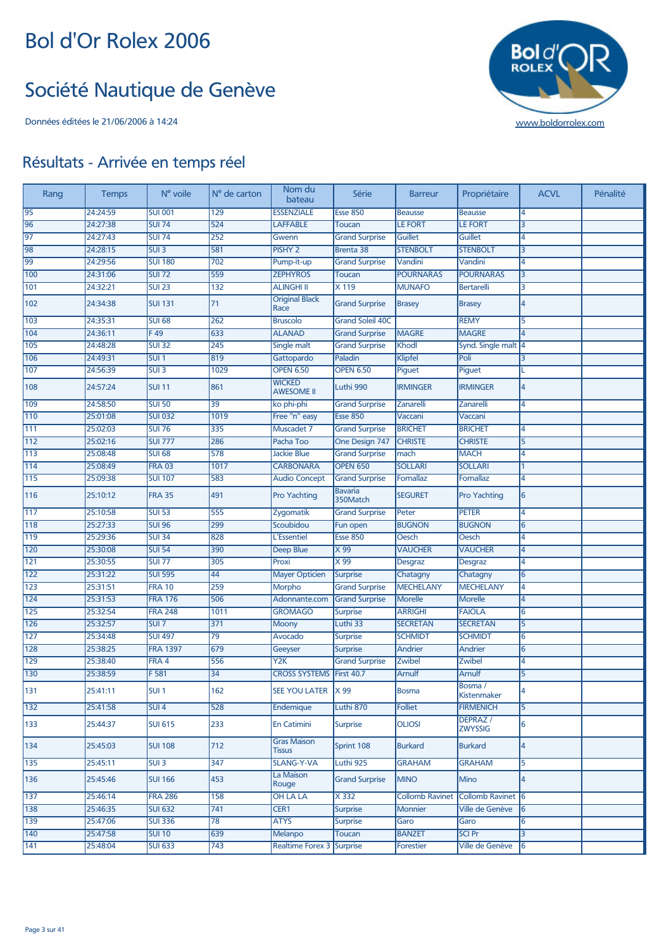#### Société Nautique de Genève



| Rang             | <b>Temps</b> | N° voile         | N° de carton     | Nom du<br>bateau                    | Série                      | <b>Barreur</b>         | Propriétaire               | <b>ACVL</b>    | Pénalité |
|------------------|--------------|------------------|------------------|-------------------------------------|----------------------------|------------------------|----------------------------|----------------|----------|
| 95               | 24:24:59     | <b>SUI 001</b>   | 129              | <b>ESSENZIALE</b>                   | <b>Esse 850</b>            | <b>Beausse</b>         | <b>Beausse</b>             | 4              |          |
| 96               | 24:27:38     | <b>SUI 74</b>    | 524              | <b>LAFFABLE</b>                     | <b>Toucan</b>              | <b>LE FORT</b>         | <b>LE FORT</b>             | 3              |          |
| 97               | 24:27:43     | <b>SUI 74</b>    | 252              | Gwenn                               | <b>Grand Surprise</b>      | Guillet                | <b>Guillet</b>             | 4              |          |
| 98               | 24:28:15     | SUI <sub>3</sub> | 581              | <b>PISHY 2</b>                      | Brenta 38                  | <b>STENBOLT</b>        | <b>STENBOLT</b>            | 3              |          |
| 99               | 24:29:56     | <b>SUI 180</b>   | 702              | Pump-it-up                          | <b>Grand Surprise</b>      | Vandini                | Vandini                    | 4              |          |
| 100              | 24:31:06     | <b>SUI 72</b>    | 559              | <b>ZEPHYROS</b>                     | <b>Toucan</b>              | <b>POURNARAS</b>       | <b>POURNARAS</b>           | 3              |          |
| 101              | 24:32:21     | <b>SUI 23</b>    | $\overline{132}$ | <b>ALINGHI II</b>                   | X 119                      | <b>MUNAFO</b>          | <b>Bertarelli</b>          | 3              |          |
| 102              | 24:34:38     | <b>SUI 131</b>   | 71               | <b>Original Black</b><br>Race       | <b>Grand Surprise</b>      | <b>Brasey</b>          | <b>Brasey</b>              | 4              |          |
| 103              | 24:35:31     | <b>SUI 68</b>    | 262              | <b>Bruscolo</b>                     | <b>Grand Soleil 40C</b>    |                        | <b>REMY</b>                | 5              |          |
| 104              | 24:36:11     | F49              | 633              | <b>ALANAD</b>                       | <b>Grand Surprise</b>      | <b>MAGRE</b>           | <b>MAGRE</b>               | $\overline{4}$ |          |
| 105              | 24:48:28     | <b>SUI 32</b>    | 245              | Single malt                         | <b>Grand Surprise</b>      | Khodl                  | Synd. Single malt 4        |                |          |
| 106              | 24:49:31     | SUI <sub>1</sub> | 819              | Gattopardo                          | Paladin                    | Klipfel                | Poli                       | 3              |          |
| 107              | 24:56:39     | SUI3             | 1029             | <b>OPEN 6.50</b>                    | <b>OPEN 6.50</b>           | Piquet                 | Piguet                     |                |          |
| 108              | 24:57:24     | <b>SUI 11</b>    | 861              | <b>WICKED</b><br><b>AWESOME II</b>  | Luthi 990                  | <b>IRMINGER</b>        | <b>IRMINGER</b>            | 4              |          |
| 109              | 24:58:50     | <b>SUI 50</b>    | 39               | ko phi-phi                          | <b>Grand Surprise</b>      | Zanarelli              | <b>Zanarelli</b>           | 4              |          |
| 110              | 25:01:08     | <b>SUI 032</b>   | 1019             | Free "n" easy                       | <b>Esse 850</b>            | Vaccani                | Vaccani                    |                |          |
| 111              | 25:02:03     | <b>SUI 76</b>    | 335              | Muscadet 7                          | <b>Grand Surprise</b>      | <b>BRICHET</b>         | <b>BRICHET</b>             | 4              |          |
| $\overline{112}$ | 25:02:16     | <b>SUI 777</b>   | 286              | Pacha Too                           | One Design 747             | <b>CHRISTE</b>         | <b>CHRISTE</b>             | $\overline{5}$ |          |
| 113              | 25:08:48     | <b>SUI 68</b>    | $\overline{578}$ | <b>Jackie Blue</b>                  | <b>Grand Surprise</b>      | mach                   | <b>MACH</b>                | 4              |          |
| 114              | 25:08:49     | <b>FRA 03</b>    | 1017             | <b>CARBONARA</b>                    | <b>OPEN 650</b>            | <b>SOLLARI</b>         | <b>SOLLARI</b>             | 1              |          |
| 115              | 25:09:38     | <b>SUI 107</b>   | 583              | <b>Audio Concept</b>                | <b>Grand Surprise</b>      | Fornallaz              | Fornallaz                  | 4              |          |
| 116              | 25:10:12     | <b>FRA 35</b>    | 491              | <b>Pro Yachting</b>                 | <b>Bavaria</b><br>350Match | <b>SEGURET</b>         | <b>Pro Yachting</b>        | 6              |          |
| 117              | 25:10:58     | <b>SUI 53</b>    | 555              | Zygomatik                           | <b>Grand Surprise</b>      | Peter                  | <b>PETER</b>               | 4              |          |
| 118              | 25:27:33     | <b>SUI 96</b>    | 299              | Scoubidou                           | Fun open                   | <b>BUGNON</b>          | <b>BUGNON</b>              | 6              |          |
| 119              | 25:29:36     | <b>SUI 34</b>    | 828              | L'Essentiel                         | <b>Esse 850</b>            | Oesch                  | Oesch                      | 4              |          |
| 120              | 25:30:08     | <b>SUI 54</b>    | 390              | <b>Deep Blue</b>                    | X 99                       | <b>VAUCHER</b>         | <b>VAUCHER</b>             | 4              |          |
| $\overline{121}$ | 25:30:55     | <b>SUI 77</b>    | 305              | Proxi                               | X 99                       | <b>Desgraz</b>         | Desgraz                    | 4              |          |
| $\overline{122}$ | 25:31:22     | <b>SUI 595</b>   | 44               | <b>Mayer Opticien</b>               | <b>Surprise</b>            | Chatagny               | Chatagny                   | 6              |          |
| $\overline{123}$ | 25:31:51     | <b>FRA 10</b>    | 259              | <b>Morpho</b>                       | <b>Grand Surprise</b>      | <b>MECHELANY</b>       | <b>MECHELANY</b>           | 4              |          |
| 124              | 25:31:53     | <b>FRA 176</b>   | 506              | Adonnante.com                       | <b>Grand Surprise</b>      | <b>Morelle</b>         | <b>Morelle</b>             | 4              |          |
| $125$            | 25:32:54     | <b>FRA 248</b>   | 1011             | <b>GROMAGO</b>                      | <b>Surprise</b>            | <b>ARRIGHI</b>         | <b>FAIOLA</b>              | 6              |          |
| 126              | 25:32:57     | $SUI$ 7          | 371              | <b>Moony</b>                        | Luthi 33                   | <b>SECRETAN</b>        | <b>SECRETAN</b>            | 5              |          |
| $127$            | 25:34:48     | <b>SUI 497</b>   | $\overline{79}$  | Avocado                             | <b>Surprise</b>            | <b>SCHMIDT</b>         | <b>SCHMIDT</b>             | 6              |          |
| 128              | 25:38:25     | <b>FRA 1397</b>  | 679              | Geeyser                             | <b>Surprise</b>            | Andrier                | Andrier                    | 6              |          |
| 129              | 25:38:40     | FRA 4            | 556              | Y2K                                 | <b>Grand Surprise</b>      | Zwibel                 | Zwibel                     | 4              |          |
| 130              | 25:38:59     | F 581            | $\overline{34}$  | CROSS SYSTEMS   First 40.7          |                            | Arnulf                 | <b>Arnulf</b>              | 5              |          |
| 131              | 25:41:11     | SUI <sub>1</sub> | 162              | SEE YOU LATER X 99                  |                            | <b>Bosma</b>           | Bosma /<br>Kistenmaker     | 4              |          |
| 132              | 25:41:58     | SUI <sub>4</sub> | 528              | Endemique                           | Luthi 870                  | <b>Folliet</b>         | <b>FIRMENICH</b>           | 5              |          |
| 133              | 25:44:37     | <b>SUI 615</b>   | 233              | <b>En Catimini</b>                  | <b>Surprise</b>            | <b>OLIOSI</b>          | DEPRAZ /<br><b>ZWYSSIG</b> | 6              |          |
| 134              | 25:45:03     | <b>SUI 108</b>   | 712              | <b>Gras Maison</b><br><b>Tissus</b> | Sprint 108                 | <b>Burkard</b>         | <b>Burkard</b>             | 4              |          |
| 135              | 25:45:11     | SUI <sub>3</sub> | 347              | <b>SLANG-Y-VA</b>                   | Luthi 925                  | <b>GRAHAM</b>          | <b>GRAHAM</b>              | 5              |          |
| 136              | 25:45:46     | <b>SUI 166</b>   | 453              | La Maison<br>Rouge                  | <b>Grand Surprise</b>      | <b>MINO</b>            | Mino                       | 4              |          |
| 137              | 25:46:14     | <b>FRA 286</b>   | 158              | <b>OH LA LA</b>                     | X 332                      | <b>Collomb Ravinet</b> | Collomb Ravinet 6          |                |          |
| 138              | 25:46:35     | <b>SUI 632</b>   | 741              | CER1                                | <b>Surprise</b>            | <b>Monnier</b>         | Ville de Genève            | 6              |          |
| 139              | 25:47:06     | <b>SUI 336</b>   | $\overline{78}$  | <b>ATYS</b>                         | <b>Surprise</b>            | Garo                   | Garo                       | 6              |          |
| 140              | 25:47:58     | <b>SUI 10</b>    | 639              | <b>Melanpo</b>                      | Toucan                     | <b>BANZET</b>          | <b>SCI Pr</b>              | 3              |          |
| 141              | 25:48:04     | <b>SUI 633</b>   | 743              | <b>Realtime Forex 3</b>             | Surprise                   | Forestier              | Ville de Genève            | 6              |          |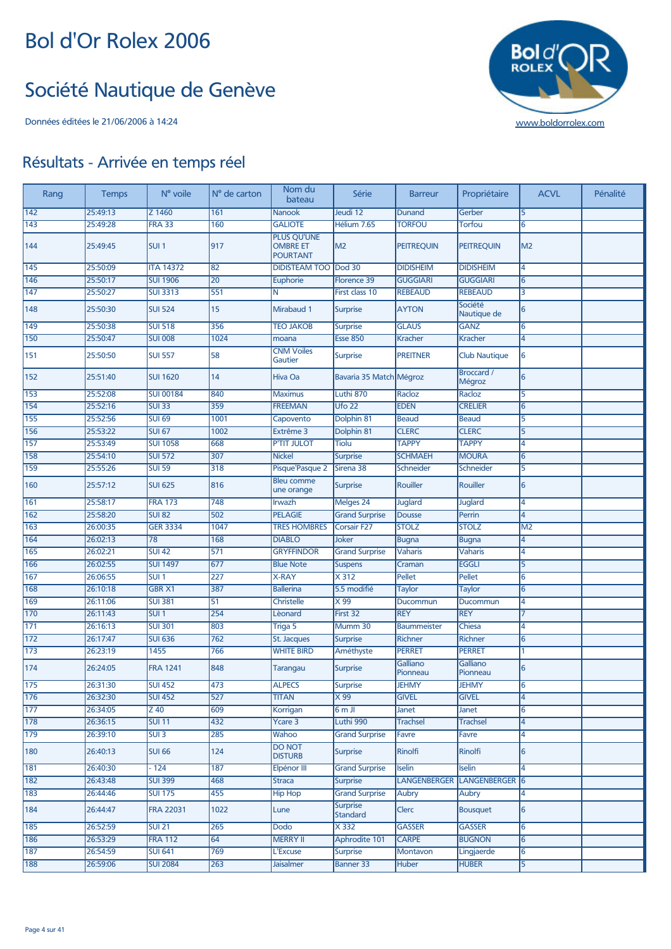#### Société Nautique de Genève



| Rang             | <b>Temps</b> | N° voile         | N° de carton    | Nom du<br>bateau                                         | Série                       | <b>Barreur</b>       | Propriétaire                | <b>ACVL</b>    | Pénalité |
|------------------|--------------|------------------|-----------------|----------------------------------------------------------|-----------------------------|----------------------|-----------------------------|----------------|----------|
| 142              | 25:49:13     | Z 1460           | 161             | <b>Nanook</b>                                            | Jeudi 12                    | Dunand               | Gerber                      | 5              |          |
| 143              | 25:49:28     | <b>FRA 33</b>    | 160             | <b>GALIOTE</b>                                           | Hélium 7.65                 | <b>TORFOU</b>        | Torfou                      | 6              |          |
| 144              | 25:49:45     | SUI <sub>1</sub> | 917             | <b>PLUS QU'UNE</b><br><b>OMBRE ET</b><br><b>POURTANT</b> | M <sub>2</sub>              | <b>PEITREQUIN</b>    | <b>PEITREQUIN</b>           | M <sub>2</sub> |          |
| 145              | 25:50:09     | <b>ITA 14372</b> | 82              | DIDISTEAM TOO   Dod 30                                   |                             | <b>DIDISHEIM</b>     | <b>DIDISHEIM</b>            | 4              |          |
| 146              | 25:50:17     | <b>SUI 1906</b>  | $\overline{20}$ | Euphorie                                                 | Florence 39                 | <b>GUGGIARI</b>      | <b>GUGGIARI</b>             | 6              |          |
| 147              | 25:50:27     | <b>SUI 3313</b>  | 551             | N                                                        | First class 10              | <b>REBEAUD</b>       | <b>REBEAUD</b>              | 3              |          |
| 148              | 25:50:30     | <b>SUI 524</b>   | 15              | Mirabaud 1                                               | <b>Surprise</b>             | <b>AYTON</b>         | Société<br>Nautique de      | 6              |          |
| 149              | 25:50:38     | <b>SUI 518</b>   | 356             | <b>TEO JAKOB</b>                                         | <b>Surprise</b>             | <b>GLAUS</b>         | <b>GANZ</b>                 | 6              |          |
| 150              | 25:50:47     | <b>SUI 008</b>   | 1024            | moana                                                    | <b>Esse 850</b>             | <b>Kracher</b>       | <b>Kracher</b>              | 4              |          |
| 151              | 25:50:50     | <b>SUI 557</b>   | 58              | <b>CNM Voiles</b><br>Gautier                             | <b>Surprise</b>             | <b>PREITNER</b>      | <b>Club Nautique</b>        | 6              |          |
| 152              | 25:51:40     | <b>SUI 1620</b>  | 14              | Hiva Oa                                                  | Bavaria 35 Match Mégroz     |                      | <b>Broccard /</b><br>Mégroz | 6              |          |
| 153              | 25:52:08     | <b>SUI 00184</b> | 840             | <b>Maximus</b>                                           | Luthi 870                   | Racloz               | Racloz                      | 5              |          |
| 154              | 25:52:16     | SUI33            | 359             | <b>FREEMAN</b>                                           | $Ufo$ 22                    | <b>EDEN</b>          | <b>CRELIER</b>              | 6              |          |
| 155              | 25:52:56     | <b>SUI 69</b>    | 1001            | Capovento                                                | Dolphin 81                  | <b>Beaud</b>         | <b>Beaud</b>                | 5              |          |
| 156              | 25:53:22     | <b>SUI 67</b>    | 1002            | Extrême 3                                                | Dolphin 81                  | <b>CLERC</b>         | <b>CLERC</b>                | 5              |          |
| 157              | 25:53:49     | <b>SUI 1058</b>  | 668             | <b>P'TIT JULOT</b>                                       | <b>Tiolu</b>                | <b>TAPPY</b>         | <b>TAPPY</b>                | 4              |          |
| 158              | 25:54:10     | <b>SUI 572</b>   | 307             | <b>Nickel</b>                                            | <b>Surprise</b>             | <b>SCHMAEH</b>       | <b>MOURA</b>                | 6              |          |
| 159              | 25:55:26     | <b>SUI 59</b>    | 318             | Pisque'Pasque 2                                          | Sirena 38                   | Schneider            | Schneider                   | 5              |          |
| 160              | 25:57:12     | <b>SUI 625</b>   | 816             | <b>Bleu comme</b><br>une orange                          | <b>Surprise</b>             | Rouiller             | Rouiller                    | 6              |          |
| 161              | 25:58:17     | <b>FRA 173</b>   | 748             | Irwazh                                                   | Melges 24                   | Juglard              | <b>Juglard</b>              | 4              |          |
| 162              | 25:58:20     | <b>SUI 82</b>    | 502             | <b>PELAGIE</b>                                           | <b>Grand Surprise</b>       | <b>Dousse</b>        | Perrin                      | 4              |          |
| 163              | 26:00:35     | <b>GER 3334</b>  | 1047            | <b>TRES HOMBRES</b>                                      | <b>Corsair F27</b>          | <b>STOLZ</b>         | <b>STOLZ</b>                | M <sub>2</sub> |          |
| 164              | 26:02:13     | 78               | 168             | <b>DIABLO</b>                                            | Joker                       | <b>Bugna</b>         | <b>Bugna</b>                | 4              |          |
| 165              | 26:02:21     | <b>SUI 42</b>    | 571             | <b>GRYFFINDOR</b>                                        | <b>Grand Surprise</b>       | <b>Vaharis</b>       | <b>Vaharis</b>              | 4              |          |
| 166              | 26:02:55     | <b>SUI 1497</b>  | 677             | <b>Blue Note</b>                                         | <b>Suspens</b>              | Craman               | <b>EGGLI</b>                | 5              |          |
| 167              | 26:06:55     | SUI1             | 227             | <b>X-RAY</b>                                             | X 312                       | Pellet               | Pellet                      | 6              |          |
| 168              | 26:10:18     | <b>GBR X1</b>    | 387             | <b>Ballerina</b>                                         | 5.5 modifié                 | <b>Taylor</b>        | <b>Taylor</b>               | 6              |          |
| 169              | 26:11:06     | <b>SUI 381</b>   | 51              | Christelle                                               | X 99                        | Ducommun             | Ducommun                    | 4              |          |
| 170              | 26:11:43     | SUI <sub>1</sub> | 254             | Lèonard                                                  | First 32                    | <b>REY</b>           | <b>REY</b>                  | 7              |          |
| 171              | 26:16:13     | <b>SUI 301</b>   | 803             | Triga 5                                                  | Mumm 30                     | <b>Baummeister</b>   | Chiesa                      | 4              |          |
| $\boxed{172}$    | 26:17:47     | <b>SUI 636</b>   | 762             | St. Jacques                                              | <b>Surprise</b>             | Richner              | Richner                     | 6              |          |
| $\overline{173}$ | 26:23:19     | 1455             | 766             | <b>WHITE BIRD</b>                                        | Améthyste                   | <b>PERRET</b>        | <b>PERRET</b><br>Galliano   | 1              |          |
| 174              | 26:24:05     | <b>FRA 1241</b>  | 848             | <b>Tarangau</b>                                          | <b>Surprise</b>             | Galliano<br>Pionneau | Pionneau                    | 6              |          |
| 175              | 26:31:30     | <b>SUI 452</b>   | 473             | <b>ALPECS</b>                                            | <b>Surprise</b>             | <b>JEHMY</b>         | <b>JEHMY</b>                | 6              |          |
| 176              | 26:32:30     | <b>SUI 452</b>   | 527             | <b>TITAN</b>                                             | X 99                        | <b>GIVEL</b>         | <b>GIVEL</b>                | 4              |          |
| 177              | 26:34:05     | $Z$ 40           | 609             | Korrigan                                                 | 6mJ                         | Janet                | Janet                       | 6              |          |
| 178              | 26:36:15     | <b>SUI 11</b>    | 432             | Ycare 3                                                  | Luthi 990                   | <b>Trachsel</b>      | <b>Trachsel</b>             | 4              |          |
| 179              | 26:39:10     | SUI <sub>3</sub> | 285             | Wahoo<br><b>DO NOT</b>                                   | <b>Grand Surprise</b>       | Favre                | Favre                       | 4              |          |
| 180              | 26:40:13     | <b>SUI 66</b>    | 124             | <b>DISTURB</b>                                           | <b>Surprise</b>             | Rinolfi              | Rinolfi                     | 6              |          |
| 181              | 26:40:30     | $-124$           | 187             | Elpénor III                                              | <b>Grand Surprise</b>       | <b>Iselin</b>        | Iselin                      | 4              |          |
| 182              | 26:43:48     | <b>SUI 399</b>   | 468             | <b>Straca</b>                                            | <b>Surprise</b>             | <b>LANGENBERGER</b>  | LANGENBERGER <sup>6</sup>   |                |          |
| 183              | 26:44:46     | <b>SUI 175</b>   | 455             | Hip Hop                                                  | <b>Grand Surprise</b>       | Aubry                | Aubry                       | 4              |          |
| 184              | 26:44:47     | <b>FRA 22031</b> | 1022            | Lune                                                     | <b>Surprise</b><br>Standard | Clerc                | <b>Bousquet</b>             | 6              |          |
| 185              | 26:52:59     | <b>SUI 21</b>    | 265             | <b>Dodo</b>                                              | X 332                       | <b>GASSER</b>        | <b>GASSER</b>               | 6              |          |
| 186              | 26:53:29     | <b>FRA 112</b>   | 64              | <b>MERRY II</b>                                          | Aphrodite 101               | <b>CARPE</b>         | <b>BUGNON</b>               | 6              |          |
| 187              | 26:54:59     | <b>SUI 641</b>   | 769             | L'Excuse                                                 | <b>Surprise</b>             | Montavon             | Lingjaerde                  | 6              |          |
| 188              | 26:59:06     | <b>SUI 2084</b>  | 263             | <b>Jaisalmer</b>                                         | <b>Banner 33</b>            | <b>Huber</b>         | <b>HUBER</b>                | 5              |          |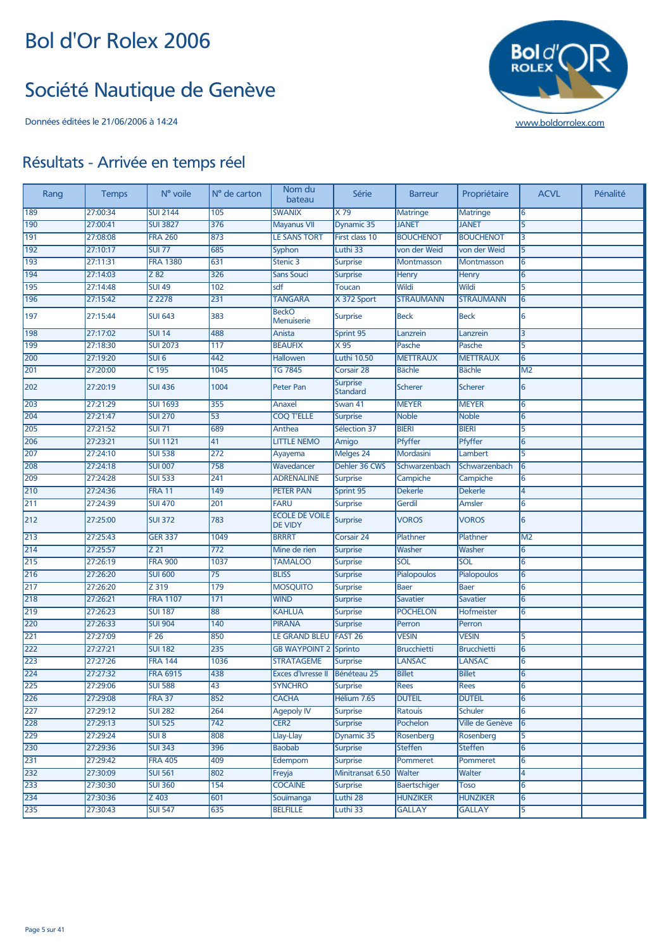#### Société Nautique de Genève



| Rang | <b>Temps</b> | N° voile          | N° de carton     | Nom du<br>bateau                        | Série                              | <b>Barreur</b>     | Propriétaire       | <b>ACVL</b>    | Pénalité |
|------|--------------|-------------------|------------------|-----------------------------------------|------------------------------------|--------------------|--------------------|----------------|----------|
| 189  | 27:00:34     | <b>SUI 2144</b>   | 105              | <b>SWANIX</b>                           | X79                                | <b>Matringe</b>    | <b>Matringe</b>    | 6              |          |
| 190  | 27:00:41     | <b>SUI 3827</b>   | 376              | <b>Mayanus VII</b>                      | Dynamic 35                         | <b>JANET</b>       | <b>JANET</b>       | 5              |          |
| 191  | 27:08:08     | <b>FRA 260</b>    | 873              | <b>LE SANS TORT</b>                     | First class 10                     | <b>BOUCHENOT</b>   | <b>BOUCHENOT</b>   | 3              |          |
| 192  | 27:10:17     | <b>SUI 77</b>     | 685              | Syphon                                  | Luthi 33                           | von der Weid       | von der Weid       | $\overline{5}$ |          |
| 193  | 27:11:31     | <b>FRA 1380</b>   | 631              | Stenic 3                                | <b>Surprise</b>                    | Montmasson         | Montmasson         | 6              |          |
| 194  | 27:14:03     | $\overline{Z}$ 82 | 326              | <b>Sans Souci</b>                       | <b>Surprise</b>                    | Henry              | Henry              | 6              |          |
| 195  | 27:14:48     | <b>SUI 49</b>     | 102              | sdf                                     | <b>Toucan</b>                      | Wildi              | Wildi              | $\overline{5}$ |          |
| 196  | 27:15:42     | Z 2278            | 231              | <b>TANGARA</b>                          | X 372 Sport                        | <b>STRAUMANN</b>   | <b>STRAUMANN</b>   | 6              |          |
| 197  | 27:15:44     | <b>SUI 643</b>    | 383              | <b>BeckO</b><br><b>Menuiserie</b>       | <b>Surprise</b>                    | <b>Beck</b>        | <b>Beck</b>        | 6              |          |
| 198  | 27:17:02     | <b>SUI 14</b>     | 488              | Anista                                  | Sprint 95                          | Lanzrein           | Lanzrein           | 3              |          |
| 199  | 27:18:30     | <b>SUI 2073</b>   | 117              | <b>BEAUFIX</b>                          | $\times 95$                        | Pasche             | Pasche             | 5              |          |
| 200  | 27:19:20     | SUI <sub>6</sub>  | 442              | Hallowen                                | <b>Luthi 10.50</b>                 | <b>METTRAUX</b>    | <b>METTRAUX</b>    | 6              |          |
| 201  | 27:20:00     | $C$ 195           | 1045             | <b>TG 7845</b>                          | Corsair 28                         | <b>Bächle</b>      | <b>Bächle</b>      | M <sub>2</sub> |          |
| 202  | 27:20:19     | <b>SUI 436</b>    | 1004             | <b>Peter Pan</b>                        | <b>Surprise</b><br><b>Standard</b> | <b>Scherer</b>     | <b>Scherer</b>     | 6              |          |
| 203  | 27:21:29     | <b>SUI 1693</b>   | 355              | Anaxel                                  | Swan 41                            | <b>MEYER</b>       | <b>MEYER</b>       | 6              |          |
| 204  | 27:21:47     | <b>SUI 270</b>    | $\overline{53}$  | <b>COQ T'ELLE</b>                       | <b>Surprise</b>                    | <b>Noble</b>       | <b>Noble</b>       | 6              |          |
| 205  | 27:21:52     | <b>SUI 71</b>     | 689              | Anthea                                  | Sélection 37                       | <b>BIERI</b>       | <b>BIERI</b>       | 5              |          |
| 206  | 27:23:21     | <b>SUI 1121</b>   | 41               | <b>LITTLE NEMO</b>                      | Amigo                              | Pfyffer            | Pfyffer            | 6              |          |
| 207  | 27:24:10     | <b>SUI 538</b>    | $\overline{272}$ | Ayayema                                 | Melges 24                          | Mordasini          | Lambert            | 5              |          |
| 208  | 27:24:18     | <b>SUI 007</b>    | 758              | Wavedancer                              | Dehler 36 CWS                      | Schwarzenbach      | Schwarzenbach      | 6              |          |
| 209  | 27:24:28     | <b>SUI 533</b>    | 241              | <b>ADRENALINE</b>                       | <b>Surprise</b>                    | Campiche           | Campiche           | 6              |          |
| 210  | 27:24:36     | <b>FRA 11</b>     | 149              | <b>PETER PAN</b>                        | Sprint 95                          | <b>Dekerle</b>     | <b>Dekerle</b>     | 4              |          |
| 211  | 27:24:39     | <b>SUI 470</b>    | 201              | FARU                                    | <b>Surprise</b>                    | Gerdil             | Amsler             | 6              |          |
| 212  | 27:25:00     | <b>SUI 372</b>    | 783              | <b>ECOLE DE VOILE</b><br><b>DE VIDY</b> | <b>Surprise</b>                    | <b>VOROS</b>       | <b>VOROS</b>       | 6              |          |
| 213  | 27:25:43     | <b>GER 337</b>    | 1049             | <b>BRRRT</b>                            | Corsair 24                         | Plathner           | Plathner           | M <sub>2</sub> |          |
| 214  | 27:25:57     | Z 21              | $\overline{772}$ | Mine de rien                            | <b>Surprise</b>                    | Washer             | Washer             | 6              |          |
| 215  | 27:26:19     | <b>FRA 900</b>    | 1037             | <b>TAMALOO</b>                          | <b>Surprise</b>                    | SOL                | SOL                | 6              |          |
| 216  | 27:26:20     | <b>SUI 600</b>    | 75               | <b>BLISS</b>                            | <b>Surprise</b>                    | Pialopoulos        | Pialopoulos        | 6              |          |
| 217  | 27:26:20     | Z 319             | 179              | <b>MOSQUITO</b>                         | <b>Surprise</b>                    | <b>Baer</b>        | <b>Baer</b>        | 6              |          |
| 218  | 27:26:21     | <b>FRA 1107</b>   | 171              | <b>WIND</b>                             | <b>Surprise</b>                    | <b>Savatier</b>    | <b>Savatier</b>    | 6              |          |
| 219  | 27:26:23     | <b>SUI 187</b>    | 88               | <b>KAHLUA</b>                           | <b>Surprise</b>                    | <b>POCHELON</b>    | Hofmeister         | 6              |          |
| 220  | 27:26:33     | <b>SUI 904</b>    | 140              | <b>PIRANA</b>                           | <b>Surprise</b>                    | Perron             | Perron             |                |          |
| 221  | 27:27:09     | F26               | 850              | LE GRAND BLEU                           | FAST <sub>26</sub>                 | <b>VESIN</b>       | <b>VESIN</b>       | 5              |          |
| 222  | 27:27:21     | <b>SUI 182</b>    | 235              | <b>GB WAYPOINT 2</b>                    | Sprinto                            | <b>Brucchietti</b> | <b>Brucchietti</b> | 6              |          |
| 223  | 27:27:26     | <b>FRA 144</b>    | 1036             | <b>STRATAGEME</b>                       | <b>Surprise</b>                    | <b>LANSAC</b>      | <b>LANSAC</b>      | 6              |          |
| 224  | 27:27:32     | <b>FRA 6915</b>   | 438              | <b>Exces d'Ivresse II</b>               | Bénéteau 25                        | <b>Billet</b>      | <b>Billet</b>      | 6              |          |
| 225  | 27:29:06     | <b>SUI 588</b>    | 43               | <b>SYNCHRO</b>                          | <b>Surprise</b>                    | <b>Rees</b>        | <b>Rees</b>        | 6              |          |
| 226  | 27:29:08     | <b>FRA 37</b>     | 852              | <b>CACHA</b>                            | Hélium 7.65                        | <b>DUTEIL</b>      | <b>DUTEIL</b>      | 6              |          |
| 227  | 27:29:12     | <b>SUI 282</b>    | 264              | <b>Agepoly IV</b>                       | <b>Surprise</b>                    | Ratouis            | <b>Schuler</b>     | 6              |          |
| 228  | 27:29:13     | <b>SUI 525</b>    | 742              | CER <sub>2</sub>                        | <b>Surprise</b>                    | Pochelon           | Ville de Genève    | 6              |          |
| 229  | 27:29:24     | SUI8              | 808              | Llay-Llay                               | Dynamic 35                         | Rosenberg          | Rosenberg          | 5              |          |
| 230  | 27:29:36     | <b>SUI 343</b>    | 396              | <b>Baobab</b>                           | <b>Surprise</b>                    | <b>Steffen</b>     | <b>Steffen</b>     | 6              |          |
| 231  | 27:29:42     | <b>FRA 405</b>    | 409              | Edempom                                 | <b>Surprise</b>                    | Pommeret           | Pommeret           | 6              |          |
| 232  | 27:30:09     | <b>SUI 561</b>    | 802              | Freyja                                  | Minitransat 6.50                   | Walter             | Walter             | 4              |          |
| 233  | 27:30:30     | <b>SUI 360</b>    | 154              | <b>COCAINE</b>                          | <b>Surprise</b>                    | Baertschiger       | <b>Toso</b>        | 6              |          |
| 234  | 27:30:36     | $Z$ 403           | 601              | Souïmanga                               | Luthi 28                           | <b>HUNZIKER</b>    | <b>HUNZIKER</b>    | 6              |          |
| 235  | 27:30:43     | <b>SUI 547</b>    | 635              | <b>BELFILLE</b>                         | Luthi 33                           | <b>GALLAY</b>      | <b>GALLAY</b>      | 5              |          |
|      |              |                   |                  |                                         |                                    |                    |                    |                |          |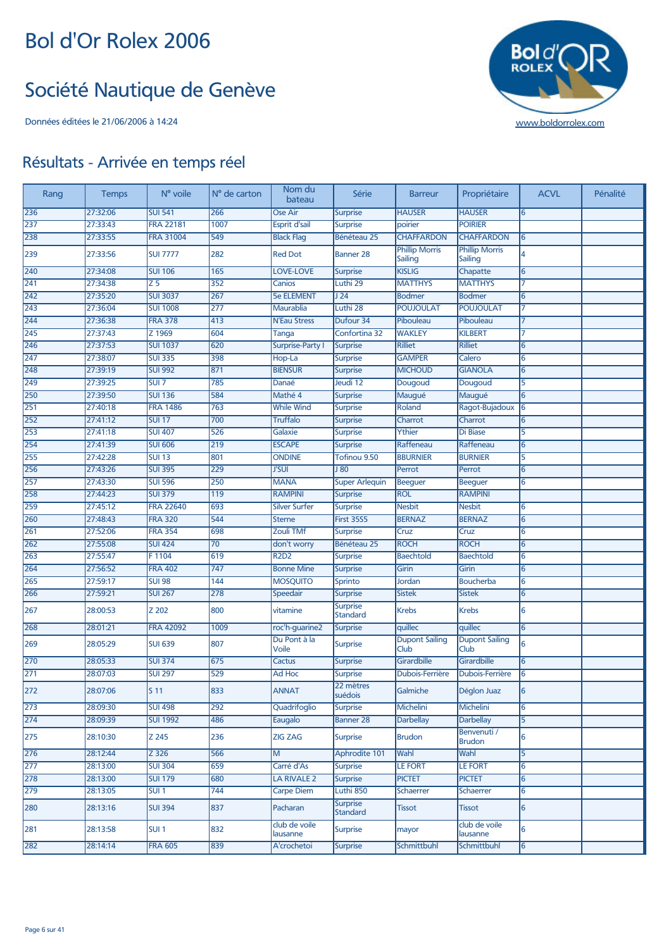#### Société Nautique de Genève



| Rang | <b>Temps</b> | N° voile         | N° de carton     | Nom du<br>bateau          | Série                       | <b>Barreur</b>                   | Propriétaire                     | <b>ACVL</b> | Pénalité |
|------|--------------|------------------|------------------|---------------------------|-----------------------------|----------------------------------|----------------------------------|-------------|----------|
| 236  | 27:32:06     | <b>SUI 541</b>   | 266              | Ose Air                   | <b>Surprise</b>             | <b>HAUSER</b>                    | <b>HAUSER</b>                    | 6           |          |
| 237  | 27:33:43     | <b>FRA 22181</b> | 1007             | Esprit d'sail             | <b>Surprise</b>             | poirier                          | <b>POIRIER</b>                   |             |          |
| 238  | 27:33:55     | <b>FRA 31004</b> | 549              | <b>Black Flag</b>         | Bénéteau 25                 | <b>CHAFFARDON</b>                | <b>CHAFFARDON</b>                | 6           |          |
| 239  | 27:33:56     | <b>SUI 7777</b>  | 282              | <b>Red Dot</b>            | <b>Banner 28</b>            | <b>Phillip Morris</b><br>Sailing | <b>Phillip Morris</b><br>Sailing | 4           |          |
| 240  | 27:34:08     | <b>SUI 106</b>   | 165              | <b>LOVE-LOVE</b>          | <b>Surprise</b>             | <b>KISLIG</b>                    | Chapatte                         | 6           |          |
| 241  | 27:34:38     | $\overline{25}$  | 352              | Canios                    | Luthi 29                    | <b>MATTHYS</b>                   | <b>MATTHYS</b>                   | 7           |          |
| 242  | 27:35:20     | <b>SUI 3037</b>  | 267              | <b>5e ELEMENT</b>         | J <sub>24</sub>             | <b>Bodmer</b>                    | <b>Bodmer</b>                    | 6           |          |
| 243  | 27:36:04     | <b>SUI 1008</b>  | 277              | <b>Maurablia</b>          | Luthi 28                    | <b>POUJOULAT</b>                 | <b>POUJOULAT</b>                 | 7           |          |
| 244  | 27:36:38     | <b>FRA 378</b>   | 413              | <b>N'Eau Stress</b>       | Dufour 34                   | Pibouleau                        | Pibouleau                        | 7           |          |
| 245  | 27:37:43     | Z 1969           | 604              | Tanga                     | Confortina 32               | <b>WAKLEY</b>                    | <b>KILBERT</b>                   | 7           |          |
| 246  | 27:37:53     | <b>SUI 1037</b>  | 620              | <b>Surprise-Party I</b>   | <b>Surprise</b>             | <b>Rilliet</b>                   | <b>Rilliet</b>                   | 6           |          |
| 247  | 27:38:07     | <b>SUI 335</b>   | 398              | Hop-La                    | <b>Surprise</b>             | <b>GAMPER</b>                    | Calero                           | 6           |          |
| 248  | 27:39:19     | <b>SUI 992</b>   | 871              | <b>BIENSUR</b>            | <b>Surprise</b>             | <b>MICHOUD</b>                   | <b>GIANOLA</b>                   | 6           |          |
| 249  | 27:39:25     | SUI <sub>7</sub> | 785              | Danaé                     | Jeudi 12                    | Dougoud                          | Dougoud                          | 5           |          |
| 250  | 27:39:50     | <b>SUI 136</b>   | 584              | Mathé 4                   | <b>Surprise</b>             | Maugué                           | Maugué                           | 6           |          |
| 251  | 27:40:18     | <b>FRA 1486</b>  | 763              | <b>While Wind</b>         | <b>Surprise</b>             | Roland                           | Ragot-Bujadoux                   | 6           |          |
| 252  | 27:41:12     | <b>SUI 17</b>    | 700              | <b>Truffalo</b>           | <b>Surprise</b>             | Charrot                          | Charrot                          | 6           |          |
| 253  | 27:41:18     | <b>SUI 407</b>   | 526              | Galaxie                   | <b>Surprise</b>             | Ythier                           | Di Biase                         | 5           |          |
| 254  | 27:41:39     | <b>SUI 606</b>   | 219              | <b>ESCAPE</b>             | <b>Surprise</b>             | Raffeneau                        | Raffeneau                        | 6           |          |
| 255  | 27:42:28     | <b>SUI 13</b>    | 801              | <b>ONDINE</b>             | Tofinou 9.50                | <b>BBURNIER</b>                  | <b>BURNIER</b>                   | 5           |          |
| 256  | 27:43:26     | <b>SUI 395</b>   | 229              | <b>J'SUI</b>              | J80                         | Perrot                           | Perrot                           | 6           |          |
| 257  | 27:43:30     | <b>SUI 596</b>   | 250              | <b>MANA</b>               | <b>Super Arlequin</b>       | <b>Beeguer</b>                   | <b>Beequer</b>                   | 6           |          |
| 258  | 27:44:23     | <b>SUI 379</b>   | 119              | <b>RAMPINI</b>            | <b>Surprise</b>             | <b>ROL</b>                       | <b>RAMPINI</b>                   |             |          |
| 259  | 27:45:12     | <b>FRA 22640</b> | 693              | <b>Silver Surfer</b>      | <b>Surprise</b>             | <b>Nesbit</b>                    | <b>Nesbit</b>                    | 6           |          |
| 260  | 27:48:43     | <b>FRA 320</b>   | 544              | <b>Sterne</b>             | <b>First 35S5</b>           | <b>BERNAZ</b>                    | <b>BERNAZ</b>                    | 6           |          |
| 261  | 27:52:06     | <b>FRA 354</b>   | 698              | <b>Zouli TMf</b>          | <b>Surprise</b>             | Cruz                             | Cruz                             | 6           |          |
| 262  | 27:55:08     | <b>SUI 424</b>   | 70               | don't worry               | Bénéteau 25                 | <b>ROCH</b>                      | <b>ROCH</b>                      | 6           |          |
| 263  | 27:55:47     | F1104            | 619              | <b>R2D2</b>               | <b>Surprise</b>             | <b>Baechtold</b>                 | <b>Baechtold</b>                 | 6           |          |
| 264  | 27:56:52     | <b>FRA 402</b>   | $\overline{747}$ | <b>Bonne Mine</b>         | <b>Surprise</b>             | Girin                            | Girin                            | 6           |          |
| 265  | 27:59:17     | <b>SUI 98</b>    | 144              | <b>MOSQUITO</b>           | Sprinto                     | Jordan                           | <b>Boucherba</b>                 | 6           |          |
| 266  | 27:59:21     | <b>SUI 267</b>   | 278              | Speedair                  | <b>Surprise</b>             | <b>Sistek</b>                    | <b>Sistek</b>                    | 6           |          |
| 267  | 28:00:53     | Z 202            | 800              | vitamine                  | <b>Surprise</b><br>Standard | <b>Krebs</b>                     | <b>Krebs</b>                     | 6           |          |
| 268  | 28:01:21     | <b>FRA 42092</b> | 1009             | roc'h-guarine2            | <b>Surprise</b>             | quillec                          | quillec                          | 6           |          |
| 269  | 28:05:29     | <b>SUI 639</b>   | 807              | Du Pont à la<br>Voile     | <b>Surprise</b>             | <b>Dupont Sailing</b><br>Club    | <b>Dupont Sailing</b><br>Club    | 6           |          |
| 270  | 28:05:33     | <b>SUI 374</b>   | 675              | <b>Cactus</b>             | <b>Surprise</b>             | Girardbille                      | Girardbille                      | 6           |          |
| 271  | 28:07:03     | <b>SUI 297</b>   | 529              | Ad Hoc                    | <b>Surprise</b>             | Dubois-Ferrière                  | Dubois-Ferrière                  | 6           |          |
| 272  | 28:07:06     | S <sub>11</sub>  | 833              | <b>ANNAT</b>              | 22 mètres<br>suédois        | Galmiche                         | Déglon Juaz                      |             |          |
| 273  | 28:09:30     | <b>SUI 498</b>   | 292              | Quadrifoglio              | <b>Surprise</b>             | Michelini                        | Michelini                        | 6           |          |
| 274  | 28:09:39     | <b>SUI 1992</b>  | 486              | Eaugalo                   | <b>Banner 28</b>            | <b>Darbellay</b>                 | <b>Darbellay</b>                 | 5           |          |
| 275  | 28:10:30     | Z 245            | 236              | <b>ZIG ZAG</b>            | <b>Surprise</b>             | <b>Brudon</b>                    | Benvenuti /<br><b>Brudon</b>     | 6           |          |
| 276  | 28:12:44     | Z 326            | 566              | M                         | Aphrodite 101               | Wahl                             | Wahl                             | 5           |          |
| 277  | 28:13:00     | <b>SUI 304</b>   | 659              | Carré d'As                | <b>Surprise</b>             | <b>LE FORT</b>                   | <b>LE FORT</b>                   | 6           |          |
| 278  | 28:13:00     | <b>SUI 179</b>   | 680              | LA RIVALE 2               | <b>Surprise</b>             | <b>PICTET</b>                    | <b>PICTET</b>                    | 6           |          |
| 279  | 28:13:05     | SUI <sub>1</sub> | 744              | <b>Carpe Diem</b>         | Luthi 850                   | Schaerrer                        | Schaerrer                        | 6           |          |
| 280  | 28:13:16     | <b>SUI 394</b>   | 837              | Pacharan                  | <b>Surprise</b><br>Standard | <b>Tissot</b>                    | <b>Tissot</b>                    | 6           |          |
| 281  | 28:13:58     | SUI <sub>1</sub> | 832              | club de voile<br>lausanne | Surprise                    | mayor                            | club de voile<br>lausanne        | 6           |          |
| 282  | 28:14:14     | <b>FRA 605</b>   | 839              | A'crochetoi               | <b>Surprise</b>             | Schmittbuhl                      | Schmittbuhl                      | 6           |          |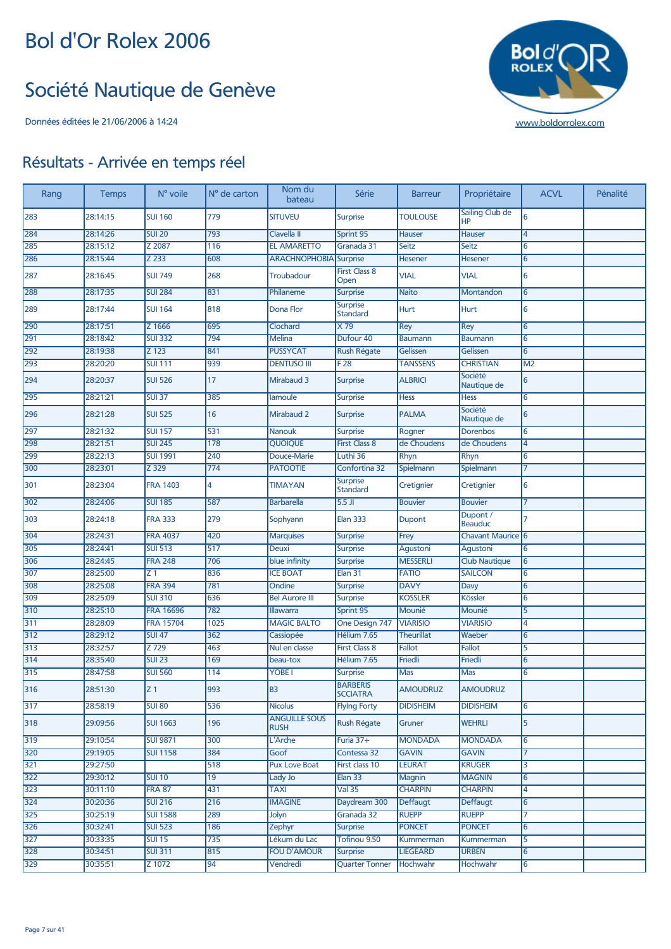#### Société Nautique de Genève



| Rang | <b>Temps</b> | N° voile         | N° de carton | Nom du<br>bateau                    | Série                              | <b>Barreur</b>    | Propriétaire                 | <b>ACVL</b>    | Pénalité |
|------|--------------|------------------|--------------|-------------------------------------|------------------------------------|-------------------|------------------------------|----------------|----------|
| 283  | 28:14:15     | <b>SUI 160</b>   | 779          | <b>SITUVEU</b>                      | <b>Surprise</b>                    | <b>TOULOUSE</b>   | Sailing Club de<br><b>HP</b> | 6              |          |
| 284  | 28:14:26     | <b>SUI 20</b>    | 793          | Clavella II                         | Sprint 95                          | Hauser            | Hauser                       | $\overline{4}$ |          |
| 285  | 28:15:12     | Z 2087           | 116          | <b>EL AMARETTO</b>                  | Granada 31                         | Seitz             | <b>Seitz</b>                 | 6              |          |
| 286  | 28:15:44     | Z 233            | 608          | <b>ARACHNOPHOBIA</b> Surprise       |                                    | Hesener           | Hesener                      | 6              |          |
| 287  | 28:16:45     | <b>SUI 749</b>   | 268          | <b>Troubadour</b>                   | <b>First Class 8</b><br>Open       | <b>VIAL</b>       | <b>VIAL</b>                  | 6              |          |
| 288  | 28:17:35     | <b>SUI 284</b>   | 831          | Philaneme                           | <b>Surprise</b>                    | <b>Naito</b>      | Montandon                    | 6              |          |
| 289  | 28:17:44     | <b>SUI 164</b>   | 818          | Dona Flor                           | <b>Surprise</b><br><b>Standard</b> | Hurt              | Hurt                         | 6              |          |
| 290  | 28:17:51     | Z 1666           | 695          | Clochard                            | $\times 79$                        | Rey               | Rey                          | 6              |          |
| 291  | 28:18:42     | <b>SUI 332</b>   | 794          | <b>Melina</b>                       | Dufour 40                          | <b>Baumann</b>    | <b>Baumann</b>               | 6              |          |
| 292  | 28:19:38     | Z 123            | 841          | <b>PUSSYCAT</b>                     | <b>Rush Régate</b>                 | Gelissen          | Gelissen                     | 6              |          |
| 293  | 28:20:20     | <b>SUI 111</b>   | 939          | <b>DENTUSO III</b>                  | F <sub>28</sub>                    | <b>TANSSENS</b>   | <b>CHRISTIAN</b>             | M <sub>2</sub> |          |
| 294  | 28:20:37     | <b>SUI 526</b>   | 17           | Mirabaud 3                          | <b>Surprise</b>                    | <b>ALBRICI</b>    | Société<br>Nautique de       | 6              |          |
| 295  | 28:21:21     | <b>SUI 37</b>    | 385          | lamoule                             | Surprise                           | <b>Hess</b>       | <b>Hess</b>                  | 6              |          |
| 296  | 28:21:28     | <b>SUI 525</b>   | 16           | <b>Mirabaud 2</b>                   | Surprise                           | <b>PALMA</b>      | Société<br>Nautique de       | 6              |          |
| 297  | 28:21:32     | <b>SUI 157</b>   | 531          | <b>Nanouk</b>                       | <b>Surprise</b>                    | Rogner            | <b>Dorenbos</b>              | 6              |          |
| 298  | 28:21:51     | <b>SUI 245</b>   | 178          | <b>QUOIQUE</b>                      | <b>First Class 8</b>               | de Choudens       | de Choudens                  | 4              |          |
| 299  | 28:22:13     | <b>SUI 1991</b>  | 240          | Douce-Marie                         | Luthi 36                           | Rhyn              | Rhyn                         | 6              |          |
| 300  | 28:23:01     | Z 329            | 774          | <b>PATOOTIE</b>                     | Confortina 32                      | Spielmann         | Spielmann                    | 7              |          |
| 301  | 28:23:04     | <b>FRA 1403</b>  | 4            | <b>TIMAYAN</b>                      | <b>Surprise</b><br><b>Standard</b> | Cretignier        | Cretignier                   | 6              |          |
| 302  | 28:24:06     | <b>SUI 185</b>   | 587          | <b>Barbarella</b>                   | $5.5$ JI                           | <b>Bouvier</b>    | <b>Bouvier</b>               | $\overline{7}$ |          |
| 303  | 28:24:18     | <b>FRA 333</b>   | 279          | Sophyann                            | <b>Elan 333</b>                    | Dupont            | Dupont /<br><b>Beauduc</b>   | 7              |          |
| 304  | 28:24:31     | <b>FRA 4037</b>  | 420          | <b>Marquises</b>                    | Surprise                           | Frey              | Chavant Maurice 6            |                |          |
| 305  | 28:24:41     | <b>SUI 513</b>   | 517          | Deuxi                               | <b>Surprise</b>                    | Agustoni          | Agustoni                     | 6              |          |
| 306  | 28:24:45     | <b>FRA 248</b>   | 706          | blue infinity                       | Surprise                           | <b>MESSERLI</b>   | <b>Club Nautique</b>         | 6              |          |
| 307  | 28:25:00     | Z <sub>1</sub>   | 836          | <b>ICE BOAT</b>                     | Elan 31                            | <b>FATIO</b>      | <b>SAILCON</b>               | 6              |          |
| 308  | 28:25:08     | <b>FRA 394</b>   | 781          | Ondine                              | <b>Surprise</b>                    | <b>DAVY</b>       | Davy                         | 6              |          |
| 309  | 28:25:09     | <b>SUI 310</b>   | 636          | <b>Bel Aurore III</b>               | <b>Surprise</b>                    | <b>KOSSLER</b>    | Kössler                      | 6              |          |
| 310  | 28:25:10     | <b>FRA 16696</b> | 782          | Illawarra                           | Sprint 95                          | Mounié            | Mounié                       | 5              |          |
| 311  | 28:28:09     | <b>FRA 15704</b> | 1025         | <b>MAGIC BALTO</b>                  | One Design 747                     | <b>VIARISIO</b>   | <b>VIARISIO</b>              | 4              |          |
| 312  | 28:29:12     | <b>SUI 47</b>    | 362          | Cassiopée                           | Hélium 7.65                        | <b>Theurillat</b> | Waeber                       | 6              |          |
| 313  | 28:32:57     | Z 729            | 463          | Nul en classe                       | <b>First Class 8</b>               | <b>Fallot</b>     | Fallot                       | 5              |          |
| 314  | 28:35:40     | <b>SUI 23</b>    | 169          | beau-tox                            | Hélium 7.65                        | Friedli           | Friedli                      | 6              |          |
| 315  | 28:47:58     | <b>SUI 560</b>   | 114          | YOBE <sub>I</sub>                   | <b>Surprise</b>                    | <b>Mas</b>        | <b>Mas</b>                   | 6              |          |
| 316  | 28:51:30     | $Z_1$            | 993          | B3                                  | <b>BARBERIS</b><br><b>SCCIATRA</b> | AMOUDRUZ          | AMOUDRUZ                     |                |          |
| 317  | 28:58:19     | <b>SUI 80</b>    | 536          | <b>Nicolus</b>                      | <b>Flying Forty</b>                | <b>DIDISHEIM</b>  | <b>DIDISHEIM</b>             | 6              |          |
| 318  | 29:09:56     | <b>SUI 1663</b>  | 196          | <b>ANGUILLE SOUS</b><br><b>RUSH</b> | Rush Régate                        | Gruner            | <b>WEHRLI</b>                | 5              |          |
| 319  | 29:10:54     | <b>SUI 9871</b>  | 300          | L'Arche                             | Furia 37+                          | <b>MONDADA</b>    | <b>MONDADA</b>               | 6              |          |
| 320  | 29:19:05     | <b>SUI 1158</b>  | 384          | Goof                                | Contessa 32                        | <b>GAVIN</b>      | <b>GAVIN</b>                 | $\overline{7}$ |          |
| 321  | 29:27:50     |                  | 518          | <b>Pux Love Boat</b>                | First class 10                     | <b>LEURAT</b>     | <b>KRUGER</b>                | 3              |          |
| 322  | 29:30:12     | <b>SUI 10</b>    | 19           | Lady Jo                             | Elan 33                            | Magnin            | <b>MAGNIN</b>                | 6              |          |
| 323  | 30:11:10     | <b>FRA 87</b>    | 431          | <b>TAXI</b>                         | Val 35                             | <b>CHARPIN</b>    | <b>CHARPIN</b>               | 4              |          |
| 324  | 30:20:36     | <b>SUI 216</b>   | 216          | <b>IMAGINE</b>                      | Daydream 300                       | Deffaugt          | Deffaugt                     | 6              |          |
| 325  | 30:25:19     | <b>SUI 1588</b>  | 289          | Jolyn                               | Granada 32                         | <b>RUEPP</b>      | <b>RUEPP</b>                 | 7              |          |
| 326  | 30:32:41     | <b>SUI 523</b>   | 186          | Zephyr                              | <b>Surprise</b>                    | <b>PONCET</b>     | <b>PONCET</b>                | 6              |          |
| 327  | 30:33:35     | <b>SUI 15</b>    | 735          | Lékum du Lac                        | Tofinou 9.50                       | Kummerman         | Kummerman                    | 5              |          |
| 328  | 30:34:51     | <b>SUI 311</b>   | 815          | <b>FOU D'AMOUR</b>                  | <b>Surprise</b>                    | <b>LIEGEARD</b>   | <b>URBEN</b>                 | 6              |          |
| 329  | 30:35:51     | Z 1072           | 94           | Vendredi                            | <b>Quarter Tonner</b>              | Hochwahr          | Hochwahr                     | 6              |          |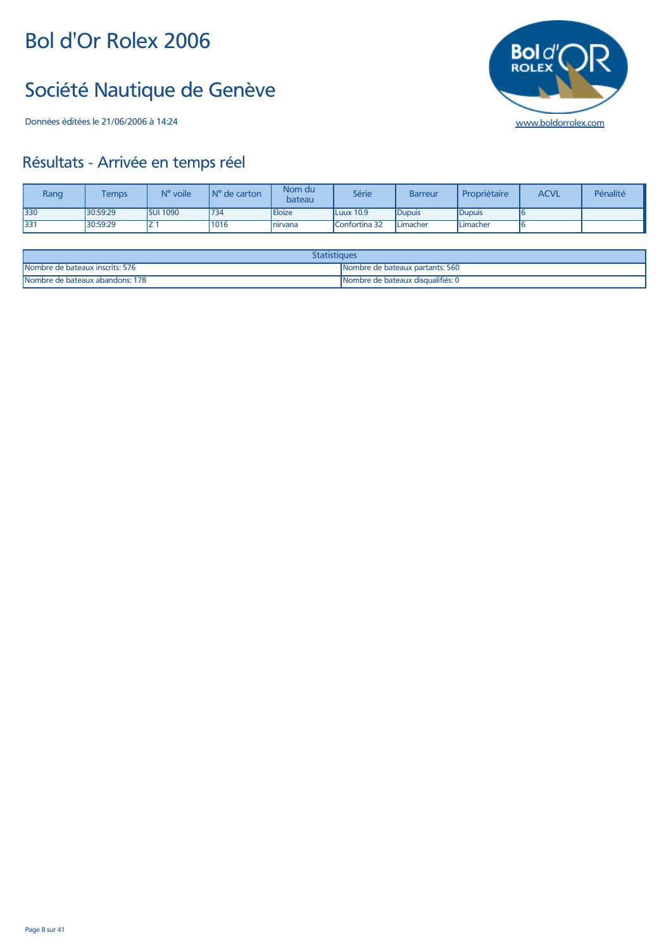## Société Nautique de Genève

Données éditées le 21/06/2006 à 14:24 [www.boldorrolex.com](http://www.boldorrolex.com)

# **Bold'**

| Rang | <b>Temps</b> | N° voile        | $\mathsf{IN}^\circ$ de carton | Nom du<br>bateau | Série         | <b>Barreur</b> | Propriétaire | <b>ACVL</b> | Pénalité |
|------|--------------|-----------------|-------------------------------|------------------|---------------|----------------|--------------|-------------|----------|
| 330  | 30:59:29     | <b>SUI 1090</b> | 734                           | Eloize           | Luux 10.9     | <b>Dupuis</b>  | Dupuis       |             |          |
| 331  | 30:59:29     | <u>.</u>        | 1016                          | nirvana          | Confortina 32 | l Limacher     | Limacher     |             |          |

| statistiques                    |                                   |  |  |  |  |
|---------------------------------|-----------------------------------|--|--|--|--|
| Nombre de bateaux inscrits: 576 | Nombre de bateaux partants: 560   |  |  |  |  |
| Nombre de bateaux abandons: 178 | Nombre de bateaux disqualifiés: 0 |  |  |  |  |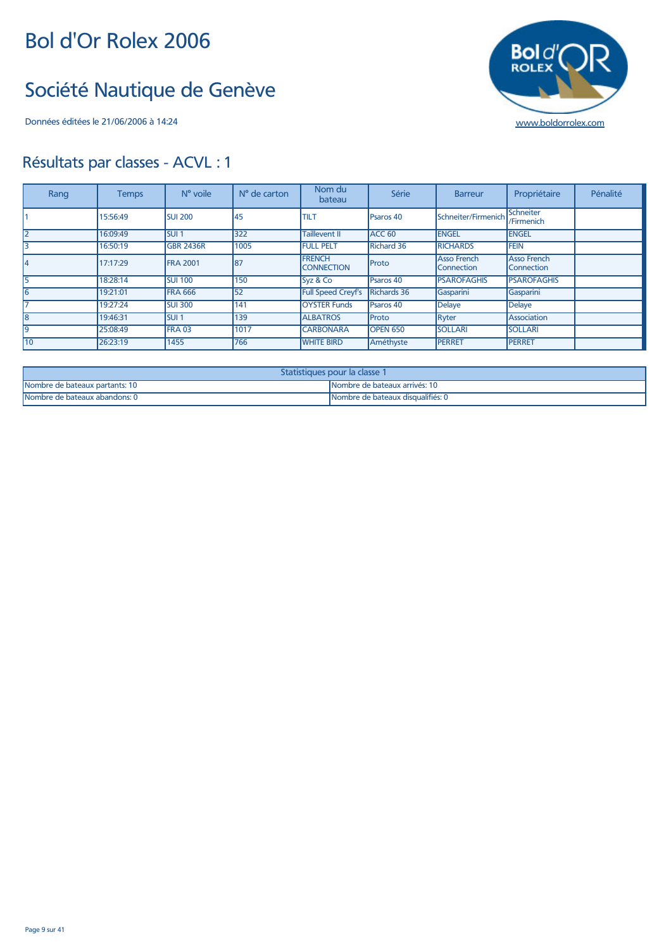#### Société Nautique de Genève

Données éditées le 21/06/2006 à 14:24 [www.boldorrolex.com](http://www.boldorrolex.com)

# **Bold'**

| Rang | <b>Temps</b> | $No$ voile       | N° de carton | Nom du<br>bateau                   | Série               | <b>Barreur</b>                   | Propriétaire                     | Pénalité |
|------|--------------|------------------|--------------|------------------------------------|---------------------|----------------------------------|----------------------------------|----------|
|      | 15:56:49     | <b>SUI 200</b>   | 45           | <b>TILT</b>                        | Psaros 40           | Schneiter/Firmenich              | Schneiter<br>/Firmenich          |          |
| l2   | 16:09:49     | SUI <sub>1</sub> | 322          | Taillevent II                      | ACC <sub>60</sub>   | <b>ENGEL</b>                     | <b>ENGEL</b>                     |          |
| Iз   | 16:50:19     | <b>GBR 2436R</b> | 1005         | <b>FULL PELT</b>                   | <b>Richard 36</b>   | <b>RICHARDS</b>                  | <b>FEIN</b>                      |          |
| 14   | 17:17:29     | <b>FRA 2001</b>  | 87           | <b>FRENCH</b><br><b>CONNECTION</b> | Proto               | <b>Asso French</b><br>Connection | <b>Asso French</b><br>Connection |          |
| 15   | 18:28:14     | <b>SUI 100</b>   | 150          | Syz & Co                           | Psaros 40           | <b>PSAROFAGHIS</b>               | <b>PSAROFAGHIS</b>               |          |
| l6   | 19:21:01     | <b>FRA 666</b>   | 52           | <b>Full Speed Creyf's</b>          | Richards 36         | Gasparini                        | Gasparini                        |          |
| 17   | 19:27:24     | <b>SUI 300</b>   | 141          | <b>OYSTER Funds</b>                | Psaros 40           | Delaye                           | <b>Delaye</b>                    |          |
| l8   | 19:46:31     | <b>SUI1</b>      | 139          | <b>ALBATROS</b>                    | Proto               | Ryter                            | Association                      |          |
| l9   | 25:08:49     | <b>FRA 03</b>    | 1017         | <b>CARBONARA</b>                   | OPEN <sub>650</sub> | <b>SOLLARI</b>                   | <b>SOLLARI</b>                   |          |
| 110  | 26:23:19     | 1455             | 766          | <b>WHITE BIRD</b>                  | Améthyste           | <b>PERRET</b>                    | <b>PERRET</b>                    |          |

| Statistiques pour la classe 1  |                                    |  |  |  |  |
|--------------------------------|------------------------------------|--|--|--|--|
| Nombre de bateaux partants: 10 | INombre de bateaux arrivés: 10     |  |  |  |  |
| Nombre de bateaux abandons: 0  | INombre de bateaux disqualifiés: 0 |  |  |  |  |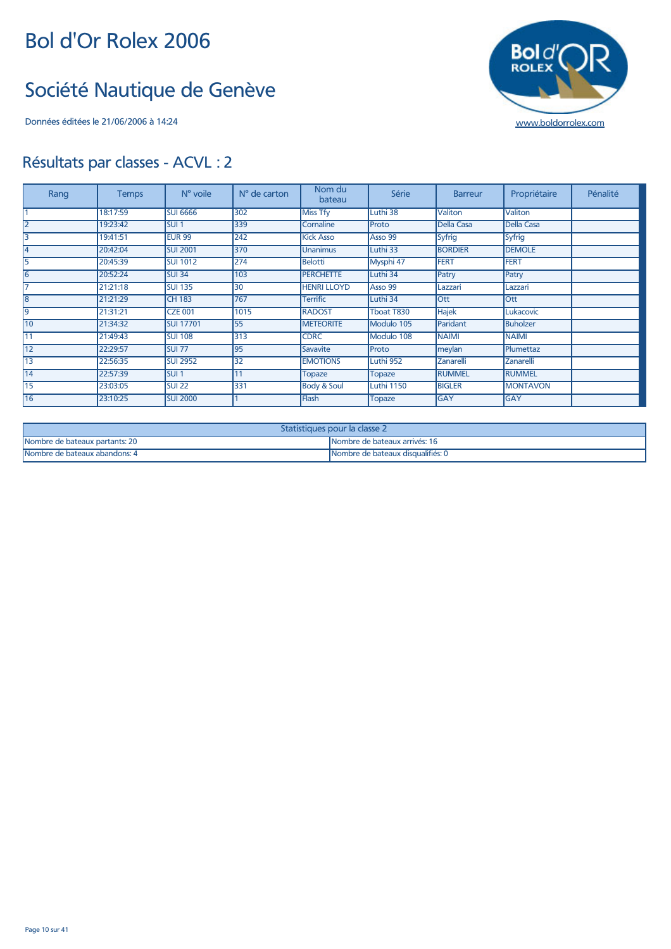#### Société Nautique de Genève



| Rang           | <b>Temps</b> | N° voile         | N° de carton | Nom du<br>bateau       | Série             | <b>Barreur</b> | Propriétaire      | Pénalité |
|----------------|--------------|------------------|--------------|------------------------|-------------------|----------------|-------------------|----------|
|                | 18:17:59     | <b>SUI 6666</b>  | 302          | <b>Miss Tfy</b>        | Luthi 38          | Valiton        | Valiton           |          |
| $\overline{2}$ | 19:23:42     | <b>SUI1</b>      | 339          | Cornaline              | Proto             | Della Casa     | <b>Della Casa</b> |          |
| 3              | 19:41:51     | <b>EUR 99</b>    | 242          | <b>Kick Asso</b>       | Asso 99           | <b>Syfrig</b>  | Syfrig            |          |
| $\overline{4}$ | 20:42:04     | <b>SUI 2001</b>  | 370          | <b>Unanimus</b>        | Luthi 33          | <b>BORDIER</b> | <b>DEMOLE</b>     |          |
| 5              | 20:45:39     | <b>SUI 1012</b>  | 274          | <b>Belotti</b>         | Mysphi 47         | <b>FERT</b>    | <b>FERT</b>       |          |
| 6              | 20:52:24     | <b>SUI 34</b>    | 103          | <b>PERCHETTE</b>       | Luthi 34          | Patry          | Patry             |          |
|                | 21:21:18     | <b>SUI 135</b>   | 30           | <b>HENRI LLOYD</b>     | Asso 99           | Lazzari        | Lazzari           |          |
| 18             | 21:21:29     | <b>CH 183</b>    | 767          | <b>Terrific</b>        | Luthi 34          | lOtt           | <b>Ott</b>        |          |
| 19             | 21:31:21     | <b>CZE 001</b>   | 1015         | <b>RADOST</b>          | Tboat T830        | <b>Hajek</b>   | Lukacovic         |          |
| 10             | 21:34:32     | <b>SUI 17701</b> | 55           | <b>METEORITE</b>       | Modulo 105        | Paridant       | <b>Buholzer</b>   |          |
| 11             | 21:49:43     | <b>SUI 108</b>   | 313          | <b>CDRC</b>            | Modulo 108        | <b>NAIMI</b>   | <b>NAIMI</b>      |          |
| 12             | 22:29:57     | <b>SUI 77</b>    | 95           | Savavite               | Proto             | meylan         | Plumettaz         |          |
| 13             | 22:56:35     | <b>SUI 2952</b>  | 32           | <b>EMOTIONS</b>        | Luthi 952         | Zanarelli      | Zanarelli         |          |
| 14             | 22:57:39     | SUI1             |              | <b>Topaze</b>          | <b>Topaze</b>     | <b>RUMMEL</b>  | <b>RUMMEL</b>     |          |
| 15             | 23:03:05     | <b>SUI 22</b>    | 331          | <b>Body &amp; Soul</b> | <b>Luthi 1150</b> | <b>BIGLER</b>  | <b>MONTAVON</b>   |          |
| 16             | 23:10:25     | <b>SUI 2000</b>  |              | Flash                  | <b>Topaze</b>     | <b>GAY</b>     | GAY               |          |

| Statistiques pour la classe 2  |                                   |  |  |  |  |  |
|--------------------------------|-----------------------------------|--|--|--|--|--|
| Nombre de bateaux partants: 20 | INombre de bateaux arrivés: 16    |  |  |  |  |  |
| Nombre de bateaux abandons: 4  | Nombre de bateaux disqualifiés: 0 |  |  |  |  |  |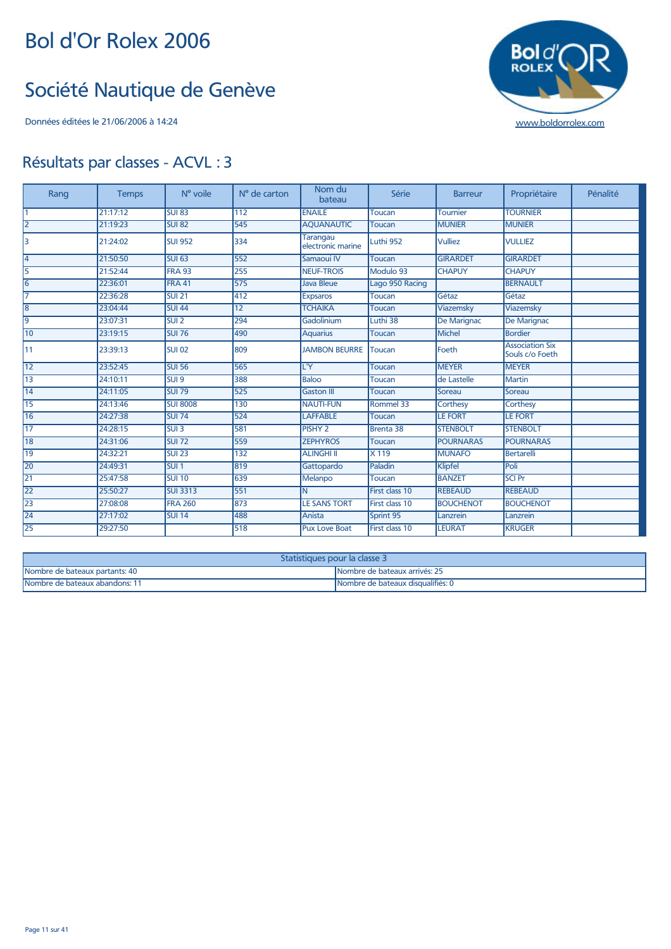#### Société Nautique de Genève



| Rang            | <b>Temps</b> | N° voile         | N° de carton    | Nom du<br>bateau                     | Série            | <b>Barreur</b>   | Propriétaire                              | Pénalité |
|-----------------|--------------|------------------|-----------------|--------------------------------------|------------------|------------------|-------------------------------------------|----------|
|                 | 21:17:12     | <b>SUI 83</b>    | 112             | <b>ENAILE</b>                        | Toucan           | <b>Tournier</b>  | <b>TOURNIER</b>                           |          |
| 2               | 21:19:23     | <b>SUI 82</b>    | 545             | <b>AOUANAUTIC</b>                    | <b>Toucan</b>    | <b>MUNIER</b>    | <b>MUNIER</b>                             |          |
| 3               | 21:24:02     | <b>SUI 952</b>   | 334             | <b>Tarangau</b><br>electronic marine | Luthi 952        | <b>Vulliez</b>   | <b>VULLIEZ</b>                            |          |
| l4              | 21:50:50     | <b>SUI 63</b>    | 552             | Samaoui IV                           | <b>Toucan</b>    | <b>GIRARDET</b>  | <b>GIRARDET</b>                           |          |
| 5               | 21:52:44     | <b>FRA 93</b>    | 255             | <b>NEUF-TROIS</b>                    | Modulo 93        | <b>CHAPUY</b>    | <b>CHAPUY</b>                             |          |
| 6               | 22:36:01     | FRA 41           | 575             | <b>Java Bleue</b>                    | Lago 950 Racing  |                  | <b>BERNAULT</b>                           |          |
| 17              | 22:36:28     | <b>SUI 21</b>    | 412             | <b>Expsaros</b>                      | <b>Toucan</b>    | Gétaz            | Gétaz                                     |          |
| 8               | 23:04:44     | <b>SUI 44</b>    | $\overline{12}$ | <b>TCHAIKA</b>                       | <b>Toucan</b>    | Viazemsky        | Viazemsky                                 |          |
| l9              | 23:07:31     | SUI <sub>2</sub> | 294             | Gadolinium                           | Luthi 38         | De Marignac      | De Marignac                               |          |
| 10              | 23:19:15     | <b>SUI 76</b>    | 490             | <b>Aquarius</b>                      | Toucan           | Michel           | <b>Bordier</b>                            |          |
| 11              | 23:39:13     | <b>SUI 02</b>    | 809             | <b>JAMBON BEURRE</b>                 | Toucan           | Foeth            | <b>Association Six</b><br>Souls c/o Foeth |          |
| 12              | 23:52:45     | <b>SUI 56</b>    | 565             | L'Y                                  | Toucan           | <b>MEYER</b>     | <b>MEYER</b>                              |          |
| 13              | 24:10:11     | SUI <sub>9</sub> | 388             | <b>Baloo</b>                         | <b>Toucan</b>    | de Lastelle      | <b>Martin</b>                             |          |
| 14              | 24:11:05     | <b>SUI 79</b>    | 525             | <b>Gaston III</b>                    | Toucan           | Soreau           | Soreau                                    |          |
| 15              | 24:13:46     | <b>SUI 8008</b>  | 130             | <b>NAUTI-FUN</b>                     | Rommel 33        | Corthesy         | Corthesy                                  |          |
| 16              | 24:27:38     | <b>SUI 74</b>    | 524             | <b>LAFFABLE</b>                      | <b>Toucan</b>    | <b>LE FORT</b>   | <b>LE FORT</b>                            |          |
| 17              | 24:28:15     | SUI <sub>3</sub> | 581             | PISHY <sub>2</sub>                   | <b>Brenta 38</b> | <b>STENBOLT</b>  | <b>STENBOLT</b>                           |          |
| $\overline{18}$ | 24:31:06     | <b>SUI 72</b>    | 559             | <b>ZEPHYROS</b>                      | <b>Toucan</b>    | <b>POURNARAS</b> | <b>POURNARAS</b>                          |          |
| $\overline{19}$ | 24:32:21     | <b>SUI 23</b>    | 132             | <b>ALINGHI II</b>                    | X 119            | <b>MUNAFO</b>    | <b>Bertarelli</b>                         |          |
| 20              | 24:49:31     | SUI <sub>1</sub> | 819             | Gattopardo                           | Paladin          | Klipfel          | Poli                                      |          |
| 21              | 25:47:58     | <b>SUI 10</b>    | 639             | Melanpo                              | <b>Toucan</b>    | <b>BANZET</b>    | <b>SCI Pr</b>                             |          |
| $\overline{22}$ | 25:50:27     | <b>SUI 3313</b>  | 551             | N                                    | First class 10   | <b>REBEAUD</b>   | <b>REBEAUD</b>                            |          |
| $\overline{23}$ | 27:08:08     | <b>FRA 260</b>   | 873             | <b>LE SANS TORT</b>                  | First class 10   | <b>BOUCHENOT</b> | <b>BOUCHENOT</b>                          |          |
| 24              | 27:17:02     | <b>SUI 14</b>    | 488             | Anista                               | Sprint 95        | Lanzrein         | Lanzrein                                  |          |
| $\overline{25}$ | 29:27:50     |                  | 518             | <b>Pux Love Boat</b>                 | First class 10   | <b>LEURAT</b>    | <b>KRUGER</b>                             |          |

| Statistiques pour la classe 3  |                                   |  |  |  |  |  |  |
|--------------------------------|-----------------------------------|--|--|--|--|--|--|
| Nombre de bateaux partants: 40 | Nombre de bateaux arrivés: 25     |  |  |  |  |  |  |
| Nombre de bateaux abandons: 1  | Nombre de bateaux disqualifiés: 0 |  |  |  |  |  |  |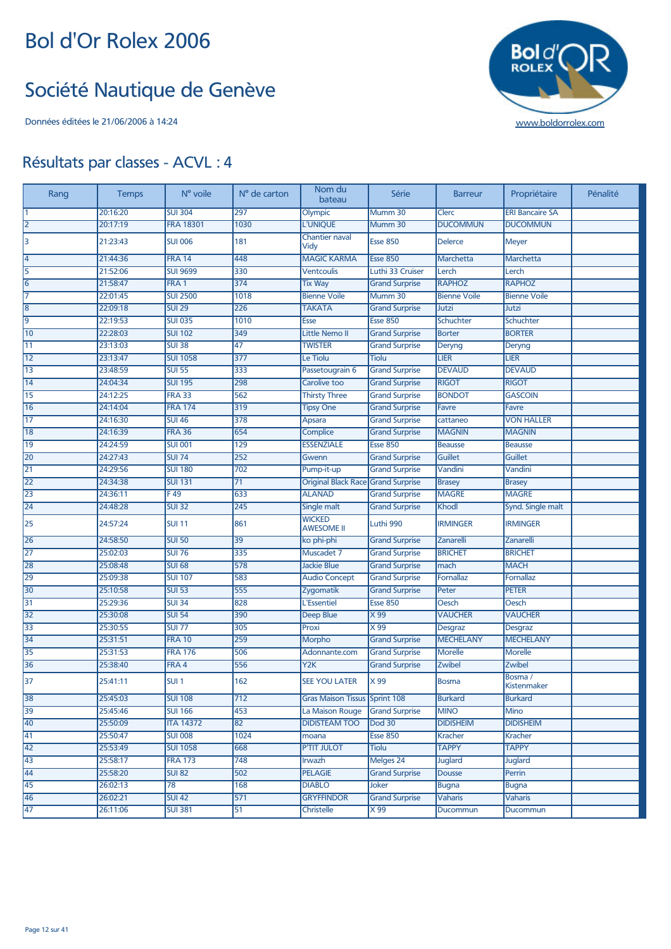#### Société Nautique de Genève

Données éditées le 21/06/2006 à 14:24 [www.boldorrolex.com](http://www.boldorrolex.com)



| Rang            | <b>Temps</b> | N° voile         | N° de carton     | Nom du<br>bateau                     | Série                 | <b>Barreur</b>      | Propriétaire           | Pénalité |
|-----------------|--------------|------------------|------------------|--------------------------------------|-----------------------|---------------------|------------------------|----------|
|                 | 20:16:20     | <b>SUI 304</b>   | 297              | Olympic                              | Mumm 30               | Clerc               | <b>ERI Bancaire SA</b> |          |
| $\overline{2}$  | 20:17:19     | <b>FRA 18301</b> | 1030             | <b>L'UNIOUE</b>                      | Mumm 30               | <b>DUCOMMUN</b>     | <b>DUCOMMUN</b>        |          |
| 3               | 21:23:43     | <b>SUI 006</b>   | 181              | <b>Chantier naval</b><br>Vidy        | <b>Esse 850</b>       | <b>Delerce</b>      | <b>Meyer</b>           |          |
| 4               | 21:44:36     | <b>FRA 14</b>    | 448              | <b>MAGIC KARMA</b>                   | <b>Esse 850</b>       | Marchetta           | Marchetta              |          |
| 5               | 21:52:06     | <b>SUI 9699</b>  | 330              | <b>Ventcoulis</b>                    | Luthi 33 Cruiser      | Lerch               | Lerch                  |          |
| 6               | 21:58:47     | FRA <sub>1</sub> | 374              | <b>Tix Way</b>                       | <b>Grand Surprise</b> | <b>RAPHOZ</b>       | <b>RAPHOZ</b>          |          |
|                 | 22:01:45     | <b>SUI 2500</b>  | 1018             | <b>Bienne Voile</b>                  | Mumm 30               | <b>Bienne Voile</b> | <b>Bienne Voile</b>    |          |
| 8               | 22:09:18     | <b>SUI 29</b>    | 226              | <b>TAKATA</b>                        | <b>Grand Surprise</b> | Jutzi               | Jutzi                  |          |
| 9               | 22:19:53     | <b>SUI 035</b>   | 1010             | Esse                                 | <b>Esse 850</b>       | Schuchter           | Schuchter              |          |
| 10              | 22:28:03     | <b>SUI 102</b>   | 349              | <b>Little Nemo II</b>                | <b>Grand Surprise</b> | <b>Borter</b>       | <b>BORTER</b>          |          |
| $\overline{11}$ | 23:13:03     | <b>SUI 38</b>    | 47               | <b>TWISTER</b>                       | <b>Grand Surprise</b> | Deryng              | Deryng                 |          |
| 12              | 23:13:47     | <b>SUI 1058</b>  | 377              | Le Tiolu                             | <b>Tiolu</b>          | <b>LIER</b>         | <b>LIER</b>            |          |
| 13              | 23:48:59     | <b>SUI 55</b>    | 333              | Passetougrain 6                      | <b>Grand Surprise</b> | <b>DEVAUD</b>       | <b>DEVAUD</b>          |          |
| 14              | 24:04:34     | <b>SUI 195</b>   | 298              | Carolive too                         | <b>Grand Surprise</b> | <b>RIGOT</b>        | <b>RIGOT</b>           |          |
| 15              | 24:12:25     | <b>FRA 33</b>    | 562              | <b>Thirsty Three</b>                 | <b>Grand Surprise</b> | <b>BONDOT</b>       | <b>GASCOIN</b>         |          |
| 16              | 24:14:04     | <b>FRA 174</b>   | 319              | <b>Tipsy One</b>                     | <b>Grand Surprise</b> | <b>Favre</b>        | <b>Favre</b>           |          |
| $\overline{17}$ | 24:16:30     | <b>SUI 46</b>    | 378              | <b>Apsara</b>                        | <b>Grand Surprise</b> | cattaneo            | <b>VON HALLER</b>      |          |
| 18              | 24:16:39     | <b>FRA 36</b>    | 654              | Complice                             | <b>Grand Surprise</b> | <b>MAGNIN</b>       | <b>MAGNIN</b>          |          |
| 19              | 24:24:59     | <b>SUI 001</b>   | 129              | <b>ESSENZIALE</b>                    | <b>Esse 850</b>       | <b>Beausse</b>      | <b>Beausse</b>         |          |
| 20              | 24:27:43     | <b>SUI 74</b>    | 252              | Gwenn                                | <b>Grand Surprise</b> | <b>Guillet</b>      | <b>Guillet</b>         |          |
| 21              | 24:29:56     | <b>SUI 180</b>   | 702              | Pump-it-up                           | <b>Grand Surprise</b> | Vandini             | Vandini                |          |
| $\overline{22}$ | 24:34:38     | <b>SUI 131</b>   | 71               | Original Black Race Grand Surprise   |                       | <b>Brasey</b>       | <b>Brasey</b>          |          |
| 23              | 24:36:11     | F49              | 633              | <b>ALANAD</b>                        | <b>Grand Surprise</b> | <b>MAGRE</b>        | <b>MAGRE</b>           |          |
| 24              | 24:48:28     | <b>SUI 32</b>    | 245              | Single malt                          | <b>Grand Surprise</b> | Khodl               | Synd. Single malt      |          |
| 25              | 24:57:24     | <b>SUI 11</b>    | 861              | <b>WICKED</b><br><b>AWESOME II</b>   | Luthi 990             | <b>IRMINGER</b>     | <b>IRMINGER</b>        |          |
| 26              | 24:58:50     | <b>SUI 50</b>    | 39               | ko phi-phi                           | <b>Grand Surprise</b> | Zanarelli           | Zanarelli              |          |
| $\overline{27}$ | 25:02:03     | <b>SUI 76</b>    | 335              | Muscadet 7                           | <b>Grand Surprise</b> | <b>BRICHET</b>      | <b>BRICHET</b>         |          |
| 28              | 25:08:48     | <b>SUI 68</b>    | 578              | <b>Jackie Blue</b>                   | <b>Grand Surprise</b> | mach                | <b>MACH</b>            |          |
| 29              | 25:09:38     | <b>SUI 107</b>   | 583              | <b>Audio Concept</b>                 | <b>Grand Surprise</b> | <b>Fornallaz</b>    | <b>Fornallaz</b>       |          |
| 30              | 25:10:58     | <b>SUI 53</b>    | 555              | Zygomatik                            | <b>Grand Surprise</b> | Peter               | <b>PETER</b>           |          |
| 31              | 25:29:36     | <b>SUI 34</b>    | 828              | L'Essentiel                          | <b>Esse 850</b>       | Oesch               | Oesch                  |          |
| 32              | 25:30:08     | <b>SUI 54</b>    | 390              | Deep Blue                            | X 99                  | <b>VAUCHER</b>      | <b>VAUCHER</b>         |          |
| 33              | 25:30:55     | <b>SUI 77</b>    | 305              | Proxi                                | $\times 99$           | <b>Desgraz</b>      | <b>Desgraz</b>         |          |
| 34              | 25:31:51     | <b>FRA 10</b>    | 259              | <b>Morpho</b>                        | <b>Grand Surprise</b> | <b>MECHELANY</b>    | <b>MECHELANY</b>       |          |
| 35              | 25:31:53     | <b>FRA 176</b>   | 506              | Adonnante.com                        | <b>Grand Surprise</b> | <b>Morelle</b>      | <b>Morelle</b>         |          |
| 36              | 25:38:40     | FRA 4            | 556              | Y <sub>2</sub> K                     | <b>Grand Surprise</b> | Zwibel              | Zwibel<br>Bosma /      |          |
| 37              | 25:41:11     | SUI <sub>1</sub> | 162              | <b>SEE YOU LATER</b>                 | X 99                  | <b>Bosma</b>        | <b>Kistenmaker</b>     |          |
| 38              | 25:45:03     | <b>SUI 108</b>   | $\overline{712}$ | <b>Gras Maison Tissus Sprint 108</b> |                       | <b>Burkard</b>      | <b>Burkard</b>         |          |
| 39              | 25:45:46     | <b>SUI 166</b>   | 453              | La Maison Rouge                      | <b>Grand Surprise</b> | <b>MINO</b>         | <b>Mino</b>            |          |
| 40              | 25:50:09     | <b>ITA 14372</b> | 82               | <b>DIDISTEAM TOO</b>                 | <b>Dod 30</b>         | <b>DIDISHEIM</b>    | <b>DIDISHEIM</b>       |          |
| 41              | 25:50:47     | <b>SUI 008</b>   | 1024             | moana                                | <b>Esse 850</b>       | Kracher             | <b>Kracher</b>         |          |
| 42              | 25:53:49     | <b>SUI 1058</b>  | 668              | <b>P'TIT JULOT</b>                   | <b>Tiolu</b>          | <b>TAPPY</b>        | <b>TAPPY</b>           |          |
| 43              | 25:58:17     | <b>FRA 173</b>   | 748              | Irwazh                               | Melges 24             | <b>Juglard</b>      | <b>Juglard</b>         |          |
| 44              | 25:58:20     | <b>SUI 82</b>    | 502              | <b>PELAGIE</b>                       | <b>Grand Surprise</b> | <b>Dousse</b>       | Perrin                 |          |
| 45              | 26:02:13     | 78               | 168              | <b>DIABLO</b>                        | Joker                 | <b>Bugna</b>        | <b>Bugna</b>           |          |
| 46              | 26:02:21     | <b>SUI 42</b>    | 571              | <b>GRYFFINDOR</b>                    | <b>Grand Surprise</b> | Vaharis             | <b>Vaharis</b>         |          |
| 47              | 26:11:06     | <b>SUI 381</b>   | 51               | Christelle                           | X 99                  | Ducommun            | Ducommun               |          |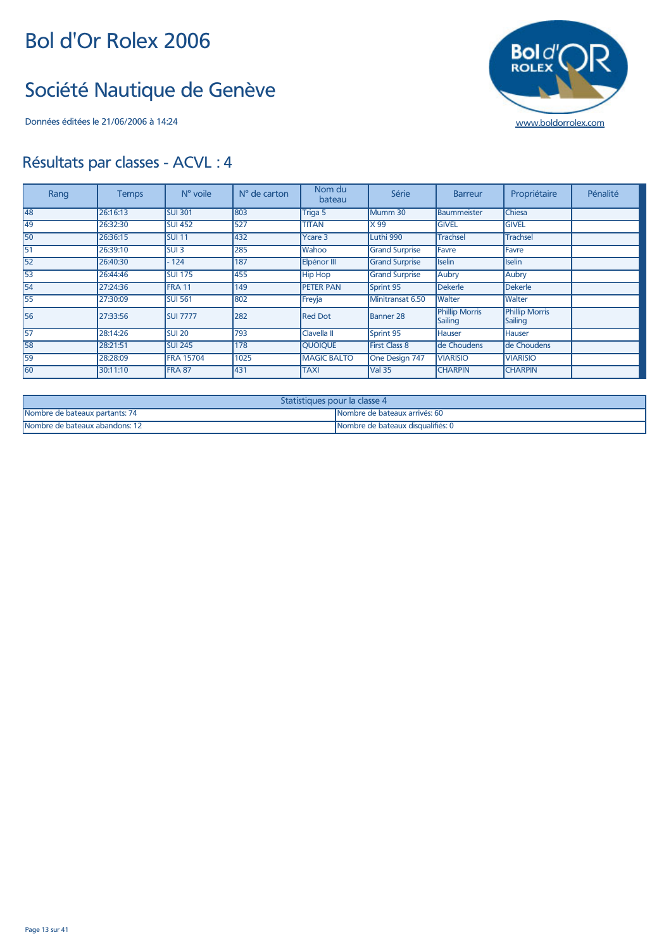#### Société Nautique de Genève



| Rang | <b>Temps</b> | N° voile          | $No$ de carton | Nom du<br>bateau   | Série                 | <b>Barreur</b>                   | Propriétaire                     | Pénalité |
|------|--------------|-------------------|----------------|--------------------|-----------------------|----------------------------------|----------------------------------|----------|
| 48   | 26:16:13     | <b>SUI 301</b>    | 803            | Triga 5            | Mumm 30               | <b>Baummeister</b>               | <b>Chiesa</b>                    |          |
| 49   | 26:32:30     | <b>SUI 452</b>    | 527            | <b>TITAN</b>       | X 99                  | <b>GIVEL</b>                     | <b>GIVEL</b>                     |          |
| 50   | 26:36:15     | <b>SUI 11</b>     | 432            | <b>Ycare 3</b>     | Luthi 990             | <b>Trachsel</b>                  | <b>Trachsel</b>                  |          |
| 51   | 26:39:10     | SUI <sub>3</sub>  | 285            | Wahoo              | <b>Grand Surprise</b> | Favre                            | Favre                            |          |
| 52   | 26:40:30     | 124               | 187            | Elpénor III        | <b>Grand Surprise</b> | <b>Iselin</b>                    | <b>Iselin</b>                    |          |
| 53   | 26:44:46     | <b>SUI 175</b>    | 455            | <b>Hip Hop</b>     | <b>Grand Surprise</b> | Aubry                            | Aubry                            |          |
| 54   | 27:24:36     | FRA <sub>11</sub> | 149            | <b>PETER PAN</b>   | Sprint 95             | <b>Dekerle</b>                   | Dekerle                          |          |
| 55   | 27:30:09     | <b>SUI 561</b>    | 802            | Freyja             | Minitransat 6.50      | <b>Walter</b>                    | Walter                           |          |
| 56   | 27:33:56     | <b>SUI 7777</b>   | 282            | <b>Red Dot</b>     | <b>Banner 28</b>      | <b>Phillip Morris</b><br>Sailing | <b>Phillip Morris</b><br>Sailing |          |
| 57   | 28:14:26     | <b>SUI 20</b>     | 793            | Clavella II        | Sprint 95             | <b>Hauser</b>                    | <b>Hauser</b>                    |          |
| 58   | 28:21:51     | <b>SUI 245</b>    | 178            | <b>QUOIQUE</b>     | <b>First Class 8</b>  | de Choudens                      | de Choudens                      |          |
| 59   | 28:28:09     | <b>FRA 15704</b>  | 1025           | <b>MAGIC BALTO</b> | One Design 747        | <b>VIARISIO</b>                  | <b>VIARISIO</b>                  |          |
| 60   | 30:11:10     | FRA 87            | 431            | <b>TAXI</b>        | <b>Val 35</b>         | <b>CHARPIN</b>                   | <b>CHARPIN</b>                   |          |

| <b>Statistiques pour la classe 4</b> |                                    |  |  |  |  |  |
|--------------------------------------|------------------------------------|--|--|--|--|--|
| Nombre de bateaux partants: 74       | lNombre de bateaux arrivés: 60     |  |  |  |  |  |
| Nombre de bateaux abandons: 12       | 'Nombre de bateaux disqualifiés: 0 |  |  |  |  |  |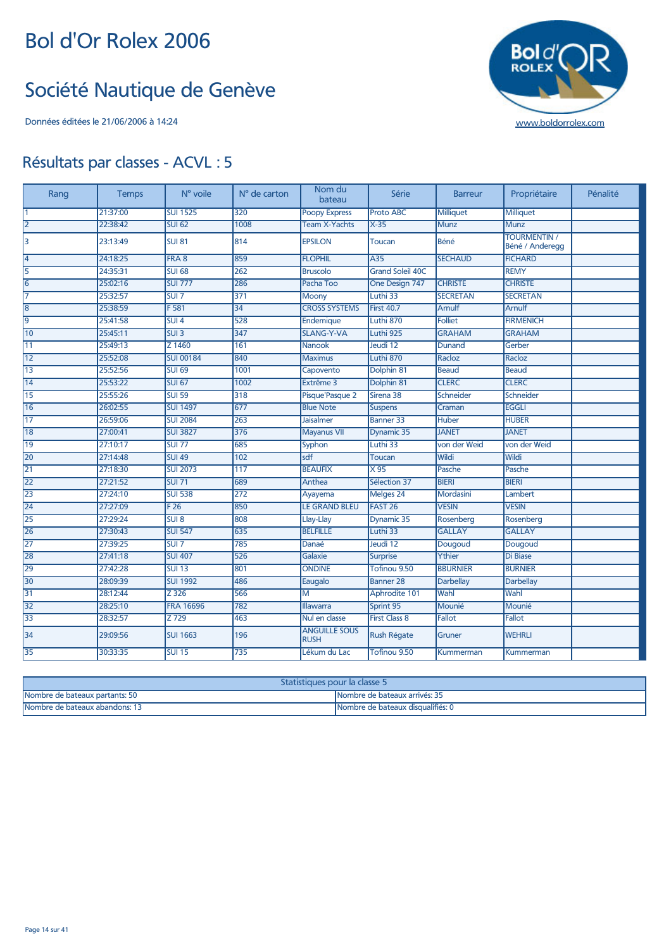#### Société Nautique de Genève



| Rang            | <b>Temps</b> | N° voile         | N° de carton    | Nom du<br>bateau                    | Série                   | <b>Barreur</b>   | Propriétaire                           | Pénalité |
|-----------------|--------------|------------------|-----------------|-------------------------------------|-------------------------|------------------|----------------------------------------|----------|
|                 | 21:37:00     | <b>SUI 1525</b>  | $\frac{1}{320}$ | <b>Poopy Express</b>                | <b>Proto ABC</b>        | <b>Milliquet</b> | <b>Milliquet</b>                       |          |
| l2              | 22:38:42     | <b>SUI 62</b>    | 1008            | <b>Team X-Yachts</b>                | $X-35$                  | <b>Munz</b>      | <b>Munz</b>                            |          |
| 3               | 23:13:49     | <b>SUI 81</b>    | 814             | <b>EPSILON</b>                      | Toucan                  | Béné             | <b>TOURMENTIN /</b><br>Béné / Anderegg |          |
| 14              | 24:18:25     | FRA 8            | 859             | <b>FLOPHIL</b>                      | A35                     | <b>SECHAUD</b>   | <b>FICHARD</b>                         |          |
| $\overline{5}$  | 24:35:31     | <b>SUI 68</b>    | 262             | <b>Bruscolo</b>                     | <b>Grand Soleil 40C</b> |                  | <b>REMY</b>                            |          |
| 16              | 25:02:16     | <b>SUI 777</b>   | 286             | Pacha Too                           | One Design 747          | <b>CHRISTE</b>   | <b>CHRISTE</b>                         |          |
| 17              | 25:32:57     | SUI 7            | 371             | Moony                               | Luthi 33                | <b>SECRETAN</b>  | <b>SECRETAN</b>                        |          |
| 8               | 25:38:59     | F <sub>581</sub> | 34              | <b>CROSS SYSTEMS</b>                | <b>First 40.7</b>       | <b>Arnulf</b>    | <b>Arnulf</b>                          |          |
| l9              | 25:41:58     | SUI <sub>4</sub> | 528             | Endemique                           | Luthi 870               | <b>Folliet</b>   | <b>FIRMENICH</b>                       |          |
| 10              | 25:45:11     | SUI3             | 347             | <b>SLANG-Y-VA</b>                   | Luthi 925               | <b>GRAHAM</b>    | <b>GRAHAM</b>                          |          |
| 11              | 25:49:13     | Z 1460           | 161             | <b>Nanook</b>                       | Jeudi 12                | <b>Dunand</b>    | Gerber                                 |          |
| 12              | 25:52:08     | <b>SUI 00184</b> | 840             | <b>Maximus</b>                      | Luthi 870               | Racloz           | Racloz                                 |          |
| 13              | 25:52:56     | <b>SUI 69</b>    | 1001            | Capovento                           | Dolphin 81              | <b>Beaud</b>     | <b>Beaud</b>                           |          |
| 14              | 25:53:22     | <b>SUI 67</b>    | 1002            | Extrême 3                           | Dolphin 81              | <b>CLERC</b>     | <b>CLERC</b>                           |          |
| 15              | 25:55:26     | <b>SUI 59</b>    | 318             | Pisque'Pasque 2                     | Sirena 38               | Schneider        | Schneider                              |          |
| 16              | 26:02:55     | <b>SUI 1497</b>  | 677             | <b>Blue Note</b>                    | <b>Suspens</b>          | Craman           | <b>EGGLI</b>                           |          |
| $\overline{17}$ | 26:59:06     | <b>SUI 2084</b>  | 263             | <b>Jaisalmer</b>                    | <b>Banner 33</b>        | <b>Huber</b>     | <b>HUBER</b>                           |          |
| 18              | 27:00:41     | <b>SUI 3827</b>  | 376             | <b>Mayanus VII</b>                  | Dynamic 35              | <b>JANET</b>     | <b>JANET</b>                           |          |
| <b>19</b>       | 27:10:17     | <b>SUI 77</b>    | 685             | <b>Syphon</b>                       | Luthi 33                | von der Weid     | von der Weid                           |          |
| 20              | 27:14:48     | <b>SUI 49</b>    | 102             | sdf                                 | <b>Toucan</b>           | Wildi            | Wildi                                  |          |
| 21              | 27:18:30     | <b>SUI 2073</b>  | 117             | <b>BEAUFIX</b>                      | $\times 95$             | Pasche           | Pasche                                 |          |
| 22              | 27:21:52     | <b>SUI 71</b>    | 689             | Anthea                              | Sélection 37            | <b>BIERI</b>     | <b>BIERI</b>                           |          |
| $\overline{23}$ | 27:24:10     | <b>SUI 538</b>   | 272             | Ayayema                             | Melges 24               | Mordasini        | Lambert                                |          |
| 24              | 27:27:09     | F26              | 850             | <b>LE GRAND BLEU</b>                | FAST <sub>26</sub>      | <b>VESIN</b>     | <b>VESIN</b>                           |          |
| $\overline{25}$ | 27:29:24     | SUI 8            | 808             | Llay-Llay                           | Dynamic 35              | Rosenberg        | Rosenberg                              |          |
| 26              | 27:30:43     | <b>SUI 547</b>   | 635             | <b>BELFILLE</b>                     | Luthi 33                | <b>GALLAY</b>    | <b>GALLAY</b>                          |          |
| 27              | 27:39:25     | $SUI$ 7          | 785             | Danaé                               | Jeudi 12                | Dougoud          | Dougoud                                |          |
| 28              | 27:41:18     | <b>SUI 407</b>   | 526             | Galaxie                             | <b>Surprise</b>         | Ythier           | <b>Di Biase</b>                        |          |
| 29              | 27:42:28     | <b>SUI 13</b>    | 801             | <b>ONDINE</b>                       | Tofinou 9.50            | <b>BBURNIER</b>  | <b>BURNIER</b>                         |          |
| 30              | 28:09:39     | <b>SUI 1992</b>  | 486             | Eaugalo                             | <b>Banner 28</b>        | <b>Darbellay</b> | <b>Darbellay</b>                       |          |
| 31              | 28:12:44     | $Z$ 326          | 566             | M                                   | Aphrodite 101           | Wahl             | Wahl                                   |          |
| 32              | 28:25:10     | <b>FRA 16696</b> | 782             | <b>Illawarra</b>                    | Sprint 95               | Mounié           | Mounié                                 |          |
| 33              | 28:32:57     | Z 729            | 463             | Nul en classe                       | <b>First Class 8</b>    | Fallot           | Fallot                                 |          |
| 34              | 29:09:56     | <b>SUI 1663</b>  | 196             | <b>ANGUILLE SOUS</b><br><b>RUSH</b> | <b>Rush Régate</b>      | Gruner           | <b>WEHRLI</b>                          |          |
| 35              | 30:33:35     | <b>SUI 15</b>    | 735             | Lékum du Lac                        | Tofinou 9.50            | Kummerman        | Kummerman                              |          |

| Statistiques pour la classe 5                                      |                               |  |  |  |  |
|--------------------------------------------------------------------|-------------------------------|--|--|--|--|
| Nombre de bateaux partants: 50                                     | Mombre de bateaux arrivés: 35 |  |  |  |  |
| Nombre de bateaux abandons: 1<br>Nombre de bateaux disqualifiés: 0 |                               |  |  |  |  |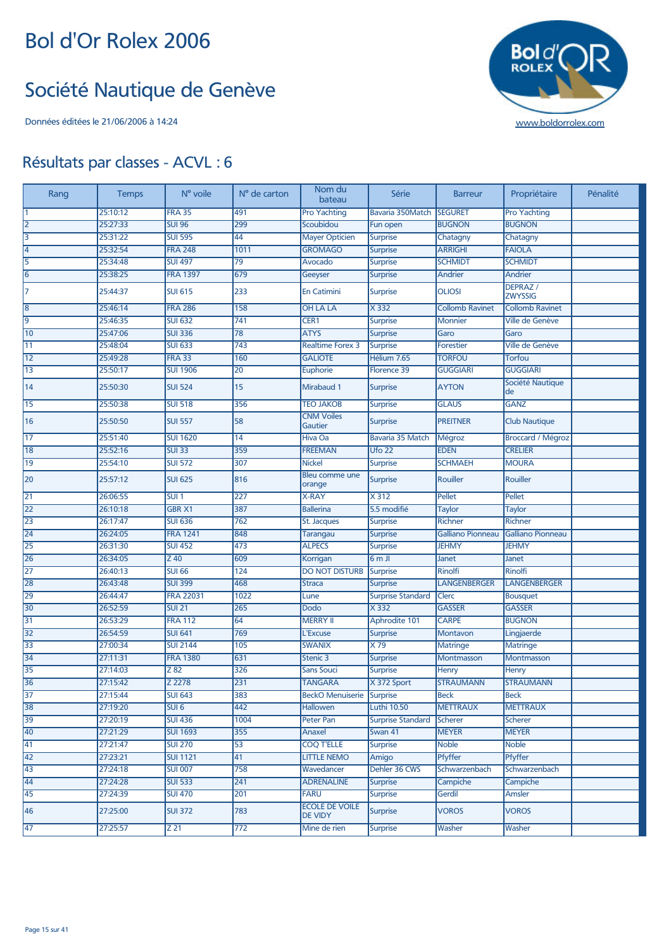#### Société Nautique de Genève



| Rang | <b>Temps</b> | N° voile         | N° de carton    | Nom du<br>bateau                        | Série                    | <b>Barreur</b>           | Propriétaire                    | Pénalité |
|------|--------------|------------------|-----------------|-----------------------------------------|--------------------------|--------------------------|---------------------------------|----------|
| Ι1   | 25:10:12     | <b>FRA 35</b>    | 491             | <b>Pro Yachting</b>                     | Bavaria 350Match         | <b>SEGURET</b>           | <b>Pro Yachting</b>             |          |
| 12   | 25:27:33     | <b>SUI 96</b>    | 299             | Scoubidou                               | Fun open                 | <b>BUGNON</b>            | <b>BUGNON</b>                   |          |
| 3    | 25:31:22     | <b>SUI 595</b>   | 44              | <b>Mayer Opticien</b>                   | <b>Surprise</b>          | Chatagny                 | Chatagny                        |          |
| 14   | 25:32:54     | <b>FRA 248</b>   | 1011            | <b>GROMAGO</b>                          | <b>Surprise</b>          | <b>ARRIGHI</b>           | <b>FAIOLA</b>                   |          |
| 5    | 25:34:48     | <b>SUI 497</b>   | 79              | Avocado                                 | <b>Surprise</b>          | <b>SCHMIDT</b>           | <b>SCHMIDT</b>                  |          |
| 6    | 25:38:25     | <b>FRA 1397</b>  | 679             | Geeyser                                 | <b>Surprise</b>          | Andrier                  | <b>Andrier</b>                  |          |
| 17   | 25:44:37     | <b>SUI 615</b>   | 233             | <b>En Catimini</b>                      | <b>Surprise</b>          | <b>OLIOSI</b>            | <b>DEPRAZ</b><br><b>ZWYSSIG</b> |          |
| 8    | 25:46:14     | <b>FRA 286</b>   | 158             | <b>OH LA LA</b>                         | $X$ 332                  | <b>Collomb Ravinet</b>   | <b>Collomb Ravinet</b>          |          |
| 9    | 25:46:35     | <b>SUI 632</b>   | 741             | CER <sub>1</sub>                        | <b>Surprise</b>          | <b>Monnier</b>           | Ville de Genève                 |          |
| 10   | 25:47:06     | <b>SUI 336</b>   | 78              | <b>ATYS</b>                             | <b>Surprise</b>          | Garo                     | Garo                            |          |
| 11   | 25:48:04     | <b>SUI 633</b>   | 743             | <b>Realtime Forex 3</b>                 | <b>Surprise</b>          | <b>Forestier</b>         | Ville de Genève                 |          |
| 12   | 25:49:28     | <b>FRA 33</b>    | 160             | <b>GALIOTE</b>                          | Hélium 7.65              | <b>TORFOU</b>            | Torfou                          |          |
| 13   | 25:50:17     | <b>SUI 1906</b>  | 20              | Euphorie                                | Florence 39              | <b>GUGGIARI</b>          | <b>GUGGIARI</b>                 |          |
| 14   | 25:50:30     | <b>SUI 524</b>   | 15              | Mirabaud 1                              | <b>Surprise</b>          | <b>AYTON</b>             | Société Nautique<br>de          |          |
| 15   | 25:50:38     | <b>SUI 518</b>   | 356             | <b>TEO JAKOB</b>                        | <b>Surprise</b>          | <b>GLAUS</b>             | <b>GANZ</b>                     |          |
| 16   | 25:50:50     | <b>SUI 557</b>   | 58              | <b>CNM Voiles</b><br>Gautier            | <b>Surprise</b>          | <b>PREITNER</b>          | <b>Club Nautique</b>            |          |
| 17   | 25:51:40     | <b>SUI 1620</b>  | $\overline{14}$ | Hiva Oa                                 | Bavaria 35 Match         | Mégroz                   | <b>Broccard / Mégroz</b>        |          |
| 18   | 25:52:16     | <b>SUI 33</b>    | 359             | <b>FREEMAN</b>                          | <b>Ufo 22</b>            | <b>EDEN</b>              | <b>CRELIER</b>                  |          |
| 19   | 25:54:10     | <b>SUI 572</b>   | 307             | <b>Nickel</b>                           | <b>Surprise</b>          | <b>SCHMAEH</b>           | <b>MOURA</b>                    |          |
| 20   | 25:57:12     | <b>SUI 625</b>   | 816             | Bleu comme une<br>orange                | <b>Surprise</b>          | Rouiller                 | Rouiller                        |          |
| 21   | 26:06:55     | SUI <sub>1</sub> | 227             | <b>X-RAY</b>                            | X 312                    | <b>Pellet</b>            | Pellet                          |          |
| 22   | 26:10:18     | <b>GBR X1</b>    | 387             | <b>Ballerina</b>                        | 5.5 modifié              | <b>Taylor</b>            | <b>Taylor</b>                   |          |
| 23   | 26:17:47     | <b>SUI 636</b>   | 762             | St. Jacques                             | <b>Surprise</b>          | Richner                  | Richner                         |          |
| 24   | 26:24:05     | <b>FRA 1241</b>  | 848             | <b>Tarangau</b>                         | <b>Surprise</b>          | <b>Galliano Pionneau</b> | Galliano Pionneau               |          |
| 25   | 26:31:30     | <b>SUI 452</b>   | 473             | <b>ALPECS</b>                           | <b>Surprise</b>          | <b>JEHMY</b>             | <b>JEHMY</b>                    |          |
| 26   | 26:34:05     | Z 40             | 609             | Korrigan                                | 6mJ                      | Janet                    | Janet                           |          |
| 27   | 26:40:13     | <b>SUI 66</b>    | 124             | <b>DO NOT DISTURB</b>                   | Surprise                 | Rinolfi                  | Rinolfi                         |          |
| 28   | 26:43:48     | <b>SUI 399</b>   | 468             | <b>Straca</b>                           | <b>Surprise</b>          | <b>LANGENBERGER</b>      | <b>LANGENBERGER</b>             |          |
| 29   | 26:44:47     | <b>FRA 22031</b> | 1022            | Lune                                    | <b>Surprise Standard</b> | Clerc                    | <b>Bousquet</b>                 |          |
| 30   | 26:52:59     | <b>SUI 21</b>    | 265             | Dodo                                    | X 332                    | <b>GASSER</b>            | <b>GASSER</b>                   |          |
| 31   | 26:53:29     | <b>FRA 112</b>   | 64              | <b>MERRY II</b>                         | Aphrodite 101            | <b>CARPE</b>             | <b>BUGNON</b>                   |          |
| 32   | 26:54:59     | <b>SUI 641</b>   | 769             | L'Excuse                                | <b>Surprise</b>          | Montavon                 | Lingjaerde                      |          |
| 33   | 27:00:34     | <b>SUI 2144</b>  | 105             | <b>SWANIX</b>                           | $\times 79$              | <b>Matringe</b>          | <b>Matringe</b>                 |          |
| 34   | 27:11:31     | <b>FRA 1380</b>  | 631             | Stenic 3                                | <b>Surprise</b>          | Montmasson               | <b>Montmasson</b>               |          |
| 35   | 27:14:03     | $\overline{Z82}$ | 326             | Sans Souci                              | <b>Surprise</b>          | Henry                    | Henry                           |          |
| 36   | 27:15:42     | Z 2278           | 231             | <b>TANGARA</b>                          | X 372 Sport              | <b>STRAUMANN</b>         | <b>STRAUMANN</b>                |          |
| 37   | 27:15:44     | <b>SUI 643</b>   | 383             | <b>BeckO Menuiserie</b>                 | Surprise                 | <b>Beck</b>              | <b>Beck</b>                     |          |
| 38   | 27:19:20     | SUI <sub>6</sub> | 442             | Hallowen                                | <b>Luthi 10.50</b>       | <b>METTRAUX</b>          | <b>METTRAUX</b>                 |          |
| 39   | 27:20:19     | <b>SUI 436</b>   | 1004            | Peter Pan                               | <b>Surprise Standard</b> | Scherer                  | <b>Scherer</b>                  |          |
| 40   | 27:21:29     | <b>SUI 1693</b>  | 355             | Anaxel                                  | Swan 41                  | <b>MEYER</b>             | <b>MEYER</b>                    |          |
| 41   | 27:21:47     | <b>SUI 270</b>   | 53              | <b>COQ T'ELLE</b>                       | <b>Surprise</b>          | <b>Noble</b>             | <b>Noble</b>                    |          |
| 42   | 27:23:21     | <b>SUI 1121</b>  | 41              | <b>LITTLE NEMO</b>                      | Amigo                    | Pfyffer                  | Pfyffer                         |          |
| 43   | 27:24:18     | <b>SUI 007</b>   | 758             | Wavedancer                              | Dehler 36 CWS            | Schwarzenbach            | Schwarzenbach                   |          |
| 44   | 27:24:28     | <b>SUI 533</b>   | 241             | <b>ADRENALINE</b>                       | <b>Surprise</b>          | Campiche                 | Campiche                        |          |
| 45   | 27:24:39     | <b>SUI 470</b>   | 201             | <b>FARU</b>                             | <b>Surprise</b>          | Gerdil                   | Amsler                          |          |
| 46   | 27:25:00     | <b>SUI 372</b>   | 783             | <b>ECOLE DE VOILE</b><br><b>DE VIDY</b> | <b>Surprise</b>          | <b>VOROS</b>             | <b>VOROS</b>                    |          |
| 47   | 27:25:57     | Z 21             | 772             | Mine de rien                            | <b>Surprise</b>          | Washer                   | Washer                          |          |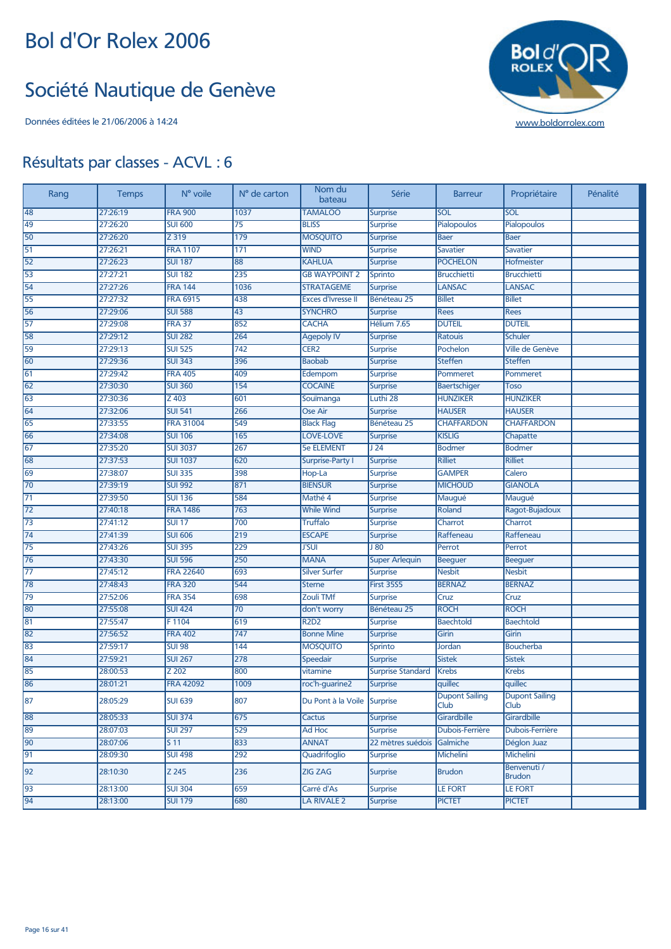#### Société Nautique de Genève



| Rang | <b>Temps</b> | N° voile         | N° de carton     | Nom du<br>bateau            | Série                    | <b>Barreur</b>                       | Propriétaire                  | Pénalité |
|------|--------------|------------------|------------------|-----------------------------|--------------------------|--------------------------------------|-------------------------------|----------|
| 48   | 27:26:19     | <b>FRA 900</b>   | 1037             | <b>TAMALOO</b>              | <b>Surprise</b>          | SOL                                  | SOL                           |          |
| 49   | 27:26:20     | <b>SUI 600</b>   | $\overline{75}$  | <b>BLISS</b>                | <b>Surprise</b>          | Pialopoulos                          | Pialopoulos                   |          |
| 50   | 27:26:20     | Z 319            | 179              | <b>MOSQUITO</b>             | <b>Surprise</b>          | <b>Baer</b>                          | Baer                          |          |
| 51   | 27:26:21     | <b>FRA 1107</b>  | 171              | <b>WIND</b>                 | <b>Surprise</b>          | <b>Savatier</b>                      | <b>Savatier</b>               |          |
| 52   | 27:26:23     | <b>SUI 187</b>   | 88               | <b>KAHLUA</b>               | <b>Surprise</b>          | <b>POCHELON</b>                      | Hofmeister                    |          |
| 53   | 27:27:21     | <b>SUI 182</b>   | 235              | <b>GB WAYPOINT 2</b>        | Sprinto                  | <b>Brucchietti</b>                   | <b>Brucchietti</b>            |          |
| 54   | 27:27:26     | <b>FRA 144</b>   | 1036             | <b>STRATAGEME</b>           | <b>Surprise</b>          | <b>LANSAC</b>                        | <b>LANSAC</b>                 |          |
| 55   | 27:27:32     | <b>FRA 6915</b>  | 438              | <b>Exces d'Ivresse II</b>   | Bénéteau 25              | <b>Billet</b>                        | <b>Billet</b>                 |          |
| 56   | 27:29:06     | <b>SUI 588</b>   | 43               | <b>SYNCHRO</b>              | <b>Surprise</b>          | <b>Rees</b>                          | <b>Rees</b>                   |          |
| 57   | 27:29:08     | <b>FRA 37</b>    | 852              | <b>CACHA</b>                | Hélium 7.65              | <b>DUTEIL</b>                        | <b>DUTEIL</b>                 |          |
| 58   | 27:29:12     | <b>SUI 282</b>   | 264              | <b>Agepoly IV</b>           | <b>Surprise</b>          | Ratouis                              | <b>Schuler</b>                |          |
| 59   | 27:29:13     | <b>SUI 525</b>   | 742              | CER <sub>2</sub>            | <b>Surprise</b>          | Pochelon                             | <b>Ville de Genève</b>        |          |
| 60   | 27:29:36     | <b>SUI 343</b>   | 396              | <b>Baobab</b>               | <b>Surprise</b>          | <b>Steffen</b>                       | <b>Steffen</b>                |          |
| 61   | 27:29:42     | <b>FRA 405</b>   | 409              | Edempom                     | <b>Surprise</b>          | Pommeret                             | Pommeret                      |          |
| 62   | 27:30:30     | <b>SUI 360</b>   | 154              | <b>COCAINE</b>              | <b>Surprise</b>          | Baertschiger                         | <b>Toso</b>                   |          |
| 63   | 27:30:36     | Z 403            | 601              | Souïmanga                   | Luthi 28                 | <b>HUNZIKER</b>                      | <b>HUNZIKER</b>               |          |
| 64   | 27:32:06     | <b>SUI 541</b>   | 266              | Ose Air                     | <b>Surprise</b>          | <b>HAUSER</b>                        | <b>HAUSER</b>                 |          |
| 65   | 27:33:55     | <b>FRA 31004</b> | 549              | <b>Black Flag</b>           | Bénéteau 25              | <b>CHAFFARDON</b>                    | <b>CHAFFARDON</b>             |          |
| 66   | 27:34:08     | <b>SUI 106</b>   | 165              | <b>LOVE-LOVE</b>            | <b>Surprise</b>          | <b>KISLIG</b>                        | Chapatte                      |          |
| 67   | 27:35:20     | <b>SUI 3037</b>  | 267              | <b>5e ELEMENT</b>           | J <sub>24</sub>          | <b>Bodmer</b>                        | <b>Bodmer</b>                 |          |
| 68   | 27:37:53     | <b>SUI 1037</b>  | 620              | <b>Surprise-Party I</b>     | <b>Surprise</b>          | Rilliet                              | <b>Rilliet</b>                |          |
| 69   | 27:38:07     | <b>SUI 335</b>   | 398              | Hop-La                      | <b>Surprise</b>          | <b>GAMPER</b>                        | Calero                        |          |
| 70   | 27:39:19     | <b>SUI 992</b>   | 871              | <b>BIENSUR</b>              | <b>Surprise</b>          | <b>MICHOUD</b>                       | <b>GIANOLA</b>                |          |
| 71   | 27:39:50     | <b>SUI 136</b>   | 584              | Mathé 4                     | <b>Surprise</b>          | Maugué                               | Maugué                        |          |
| 72   | 27:40:18     | <b>FRA 1486</b>  | 763              | <b>While Wind</b>           | <b>Surprise</b>          | Roland                               | Ragot-Bujadoux                |          |
| 73   | 27:41:12     | <b>SUI 17</b>    | 700              | <b>Truffalo</b>             | <b>Surprise</b>          | Charrot                              | Charrot                       |          |
| 74   | 27:41:39     | <b>SUI 606</b>   | 219              | <b>ESCAPE</b>               | <b>Surprise</b>          | Raffeneau                            | Raffeneau                     |          |
| 75   | 27:43:26     | <b>SUI 395</b>   | 229              | <b>J'SUI</b>                | 180                      | Perrot                               | Perrot                        |          |
| 76   | 27:43:30     | <b>SUI 596</b>   | 250              | <b>MANA</b>                 | <b>Super Arlequin</b>    | <b>Beeguer</b>                       | <b>Beeguer</b>                |          |
| 77   | 27:45:12     | <b>FRA 22640</b> | 693              | <b>Silver Surfer</b>        | <b>Surprise</b>          | <b>Nesbit</b>                        | <b>Nesbit</b>                 |          |
| 78   | 27:48:43     | <b>FRA 320</b>   | 544              | <b>Sterne</b>               | <b>First 35S5</b>        | <b>BERNAZ</b>                        | <b>BERNAZ</b>                 |          |
| 79   | 27:52:06     | <b>FRA 354</b>   | 698              | Zouli TMf                   | <b>Surprise</b>          | Cruz                                 | Cruz                          |          |
| 80   | 27:55:08     | <b>SUI 424</b>   | 70               | don't worry                 | Bénéteau 25              | <b>ROCH</b>                          | <b>ROCH</b>                   |          |
| 81   | 27:55:47     | F1104            | 619              | <b>R2D2</b>                 | <b>Surprise</b>          | <b>Baechtold</b>                     | <b>Baechtold</b>              |          |
| 82   | 27:56:52     | <b>FRA 402</b>   | $\overline{747}$ | <b>Bonne Mine</b>           | <b>Surprise</b>          | Girin                                | Girin                         |          |
| 83   | 27:59:17     | <b>SUI 98</b>    | 144              | <b>MOSQUITO</b>             | Sprinto                  | Jordan                               | Boucherba                     |          |
| 84   | 27:59:21     | <b>SUI 267</b>   | 278              | Speedair                    | Surprise                 | <b>Sistek</b>                        | <b>Sistek</b>                 |          |
| 85   | 28:00:53     | Z 202            | 800              | vitamine                    | <b>Surprise Standard</b> | <b>Krebs</b>                         | <b>Krebs</b>                  |          |
| 86   | 28:01:21     | <b>FRA 42092</b> | 1009             | roc'h-guarine2              | <b>Surprise</b>          | quillec                              | quillec                       |          |
| 87   | 28:05:29     | <b>SUI 639</b>   | 807              | Du Pont à la Voile Surprise |                          | <b>Dupont Sailing</b><br><b>Club</b> | <b>Dupont Sailing</b><br>Club |          |
| 88   | 28:05:33     | <b>SUI 374</b>   | 675              | Cactus                      | <b>Surprise</b>          | Girardbille                          | Girardbille                   |          |
| 89   | 28:07:03     | <b>SUI 297</b>   | 529              | Ad Hoc                      | <b>Surprise</b>          | Dubois-Ferrière                      | Dubois-Ferrière               |          |
| 90   | 28:07:06     | S 11             | 833              | <b>ANNAT</b>                | 22 mètres suédois        | Galmiche                             | Déglon Juaz                   |          |
| 91   | 28:09:30     | <b>SUI 498</b>   | 292              | Quadrifoglio                | <b>Surprise</b>          | Michelini                            | Michelini                     |          |
| 92   | 28:10:30     | Z 245            | 236              | ZIG ZAG                     | <b>Surprise</b>          | <b>Brudon</b>                        | Benvenuti /<br><b>Brudon</b>  |          |
| 93   | 28:13:00     | <b>SUI 304</b>   | 659              | Carré d'As                  | <b>Surprise</b>          | <b>LE FORT</b>                       | <b>LE FORT</b>                |          |
| 94   | 28:13:00     | <b>SUI 179</b>   | 680              | LA RIVALE 2                 | <b>Surprise</b>          | <b>PICTET</b>                        | <b>PICTET</b>                 |          |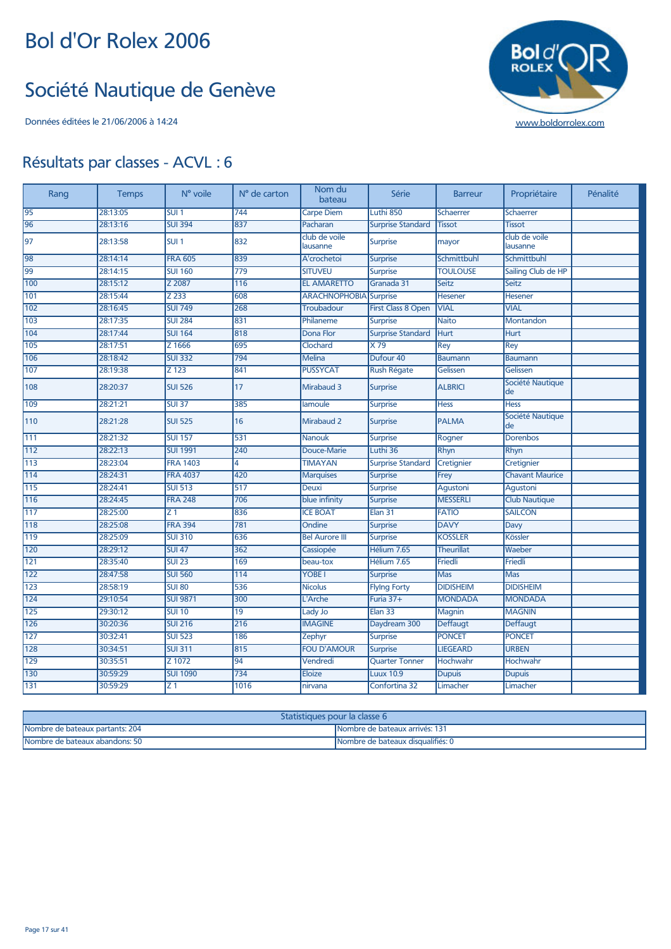#### Société Nautique de Genève



| Rang | <b>Temps</b> | N° voile           | N° de carton     | Nom du<br>bateau          | Série                     | <b>Barreur</b>    | Propriétaire              | Pénalité |
|------|--------------|--------------------|------------------|---------------------------|---------------------------|-------------------|---------------------------|----------|
| 95   | 28:13:05     | SUI1               | 744              | Carpe Diem                | Luthi 850                 | Schaerrer         | <b>Schaerrer</b>          |          |
| 96   | 28:13:16     | <b>SUI 394</b>     | 837              | Pacharan                  | <b>Surprise Standard</b>  | <b>Tissot</b>     | <b>Tissot</b>             |          |
| 97   | 28:13:58     | SUI <sub>1</sub>   | 832              | club de voile<br>lausanne | <b>Surprise</b>           | mayor             | club de voile<br>lausanne |          |
| 98   | 28:14:14     | <b>FRA 605</b>     | 839              | A'crochetoi               | <b>Surprise</b>           | Schmittbuhl       | Schmittbuhl               |          |
| 99   | 28:14:15     | <b>SUI 160</b>     | $\overline{779}$ | <b>SITUVEU</b>            | <b>Surprise</b>           | <b>TOULOUSE</b>   | Sailing Club de HP        |          |
| 100  | 28:15:12     | Z 2087             | 116              | <b>EL AMARETTO</b>        | Granada 31                | Seitz             | <b>Seitz</b>              |          |
| 101  | 28:15:44     | $\overline{Z}$ 233 | 608              | <b>ARACHNOPHOBIA</b>      | Surprise                  | Hesener           | Hesener                   |          |
| 102  | 28:16:45     | <b>SUI 749</b>     | 268              | <b>Troubadour</b>         | <b>First Class 8 Open</b> | <b>VIAL</b>       | <b>VIAL</b>               |          |
| 103  | 28:17:35     | <b>SUI 284</b>     | 831              | Philaneme                 | <b>Surprise</b>           | <b>Naito</b>      | <b>Montandon</b>          |          |
| 104  | 28:17:44     | <b>SUI 164</b>     | 818              | Dona Flor                 | <b>Surprise Standard</b>  | Hurt              | <b>Hurt</b>               |          |
| 105  | 28:17:51     | Z 1666             | 695              | Clochard                  | $\times 79$               | Rey               | Rey                       |          |
| 106  | 28:18:42     | <b>SUI 332</b>     | 794              | <b>Melina</b>             | Dufour 40                 | <b>Baumann</b>    | <b>Baumann</b>            |          |
| 107  | 28:19:38     | Z 123              | 841              | <b>PUSSYCAT</b>           | <b>Rush Régate</b>        | Gelissen          | Gelissen                  |          |
| 108  | 28:20:37     | <b>SUI 526</b>     | 17               | Mirabaud 3                | <b>Surprise</b>           | <b>ALBRICI</b>    | Société Nautique<br>de    |          |
| 109  | 28:21:21     | <b>SUI 37</b>      | 385              | lamoule                   | <b>Surprise</b>           | <b>Hess</b>       | <b>Hess</b>               |          |
| 110  | 28:21:28     | <b>SUI 525</b>     | 16               | Mirabaud 2                | <b>Surprise</b>           | <b>PALMA</b>      | Société Nautique<br>de    |          |
| 111  | 28:21:32     | <b>SUI 157</b>     | 531              | <b>Nanouk</b>             | <b>Surprise</b>           | Rogner            | <b>Dorenbos</b>           |          |
| 112  | 28:22:13     | <b>SUI 1991</b>    | 240              | Douce-Marie               | Luthi 36                  | Rhyn              | Rhyn                      |          |
| 113  | 28:23:04     | <b>FRA 1403</b>    | 4                | <b>TIMAYAN</b>            | <b>Surprise Standard</b>  | Cretignier        | Cretignier                |          |
| 114  | 28:24:31     | <b>FRA 4037</b>    | 420              | <b>Marquises</b>          | <b>Surprise</b>           | Frey              | <b>Chavant Maurice</b>    |          |
| 115  | 28:24:41     | <b>SUI 513</b>     | 517              | <b>Deuxi</b>              | <b>Surprise</b>           | Agustoni          | Agustoni                  |          |
| 116  | 28:24:45     | <b>FRA 248</b>     | 706              | blue infinity             | <b>Surprise</b>           | <b>MESSERLI</b>   | <b>Club Nautique</b>      |          |
| 117  | 28:25:00     | Z <sub>1</sub>     | 836              | <b>ICE BOAT</b>           | Elan <sub>31</sub>        | <b>FATIO</b>      | <b>SAILCON</b>            |          |
| 118  | 28:25:08     | <b>FRA 394</b>     | 781              | Ondine                    | <b>Surprise</b>           | <b>DAVY</b>       | Davy                      |          |
| 119  | 28:25:09     | <b>SUI 310</b>     | 636              | <b>Bel Aurore III</b>     | <b>Surprise</b>           | <b>KOSSLER</b>    | <b>Kössler</b>            |          |
| 120  | 28:29:12     | <b>SUI 47</b>      | 362              | Cassiopée                 | Hélium 7.65               | <b>Theurillat</b> | Waeber                    |          |
| 121  | 28:35:40     | <b>SUI 23</b>      | 169              | beau-tox                  | Hélium 7.65               | Friedli           | Friedli                   |          |
| 122  | 28:47:58     | <b>SUI 560</b>     | 114              | <b>YOBE</b>               | <b>Surprise</b>           | Mas               | <b>Mas</b>                |          |
| 123  | 28:58:19     | <b>SUI 80</b>      | 536              | <b>Nicolus</b>            | <b>Flying Forty</b>       | <b>DIDISHEIM</b>  | <b>DIDISHEIM</b>          |          |
| 124  | 29:10:54     | <b>SUI 9871</b>    | 300              | L'Arche                   | Furia 37+                 | <b>MONDADA</b>    | <b>MONDADA</b>            |          |
| 125  | 29:30:12     | <b>SUI 10</b>      | 19               | Lady Jo                   | Elan 33                   | Magnin            | <b>MAGNIN</b>             |          |
| 126  | 30:20:36     | <b>SUI 216</b>     | $\overline{216}$ | <b>IMAGINE</b>            | Daydream 300              | Deffaugt          | Deffaugt                  |          |
| 127  | 30:32:41     | <b>SUI 523</b>     | 186              | Zephyr                    | <b>Surprise</b>           | <b>PONCET</b>     | <b>PONCET</b>             |          |
| 128  | 30:34:51     | <b>SUI 311</b>     | 815              | <b>FOU D'AMOUR</b>        | <b>Surprise</b>           | <b>LIEGEARD</b>   | <b>URBEN</b>              |          |
| 129  | 30:35:51     | Z 1072             | $\overline{94}$  | Vendredi                  | <b>Quarter Tonner</b>     | Hochwahr          | Hochwahr                  |          |
| 130  | 30:59:29     | <b>SUI 1090</b>    | 734              | <b>Eloize</b>             | <b>Luux 10.9</b>          | <b>Dupuis</b>     | <b>Dupuis</b>             |          |
| 131  | 30:59:29     | $\overline{z_1}$   | 1016             | nirvana                   | Confortina 32             | Limacher          | Limacher                  |          |

| Statistiques pour la classe 6   |                                   |  |  |  |  |
|---------------------------------|-----------------------------------|--|--|--|--|
| Nombre de bateaux partants: 204 | Mombre de bateaux arrivés: 131    |  |  |  |  |
| Nombre de bateaux abandons: 50  | Nombre de bateaux disqualifiés: 0 |  |  |  |  |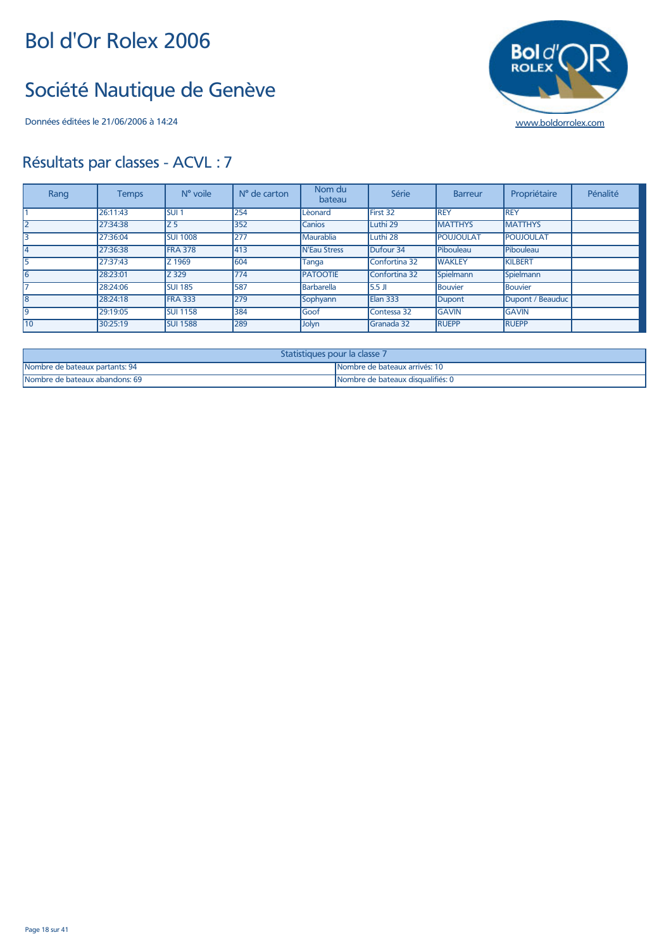#### Société Nautique de Genève

Données éditées le 21/06/2006 à 14:24 [www.boldorrolex.com](http://www.boldorrolex.com)



| Rang | <b>Temps</b> | N° voile         | N° de carton | Nom du<br>bateau    | Série             | <b>Barreur</b> | Propriétaire     | Pénalité |
|------|--------------|------------------|--------------|---------------------|-------------------|----------------|------------------|----------|
|      | 26:11:43     | SUI <sub>1</sub> | 254          | Lèonard             | First 32          | REY            | <b>REY</b>       |          |
|      | 27:34:38     | Iz 5             | 352          | <b>Canios</b>       | Luthi 29          | <b>MATTHYS</b> | <b>MATTHYS</b>   |          |
| 3    | 27:36:04     | <b>SUI 1008</b>  | 277          | Maurablia           | Luthi 28          | POUJOULAT      | <b>POUJOULAT</b> |          |
|      | 27:36:38     | <b>FRA 378</b>   | 413          | <b>N'Eau Stress</b> | Dufour 34         | Pibouleau      | Pibouleau        |          |
|      | 27:37:43     | Z 1969           | 604          | Tanga               | Confortina 32     | <b>WAKLEY</b>  | <b>KILBERT</b>   |          |
| l6   | 28:23:01     | Z 329            | 774          | <b>PATOOTIE</b>     | Confortina 32     | Spielmann      | Spielmann        |          |
|      | 28:24:06     | <b>SUI 185</b>   | 587          | Barbarella          | 5.5 JI            | <b>Bouvier</b> | Bouvier          |          |
| 18   | 28:24:18     | <b>FRA 333</b>   | 279          | Sophyann            | Elan 333          | Dupont         | Dupont / Beauduc |          |
| 19   | 29:19:05     | <b>SUI 1158</b>  | 384          | <b>Goof</b>         | Contessa 32       | <b>GAVIN</b>   | <b>GAVIN</b>     |          |
| 10   | 30:25:19     | <b>SUI 1588</b>  | 289          | Jolyn               | <b>Granada 32</b> | <b>RUEPP</b>   | <b>RUEPP</b>     |          |

| Statistiques pour la classe 7  |                                   |  |  |  |
|--------------------------------|-----------------------------------|--|--|--|
| Nombre de bateaux partants: 94 | Nombre de bateaux arrivés: 10     |  |  |  |
| Nombre de bateaux abandons: 69 | Nombre de bateaux disqualifiés: 0 |  |  |  |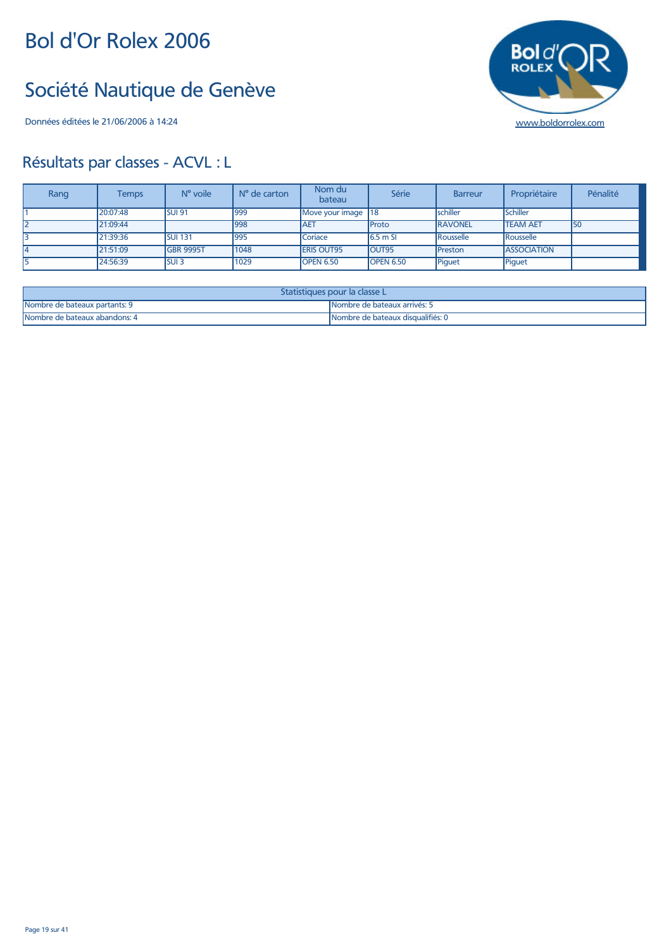#### Société Nautique de Genève

Données éditées le 21/06/2006 à 14:24 [www.boldorrolex.com](http://www.boldorrolex.com)

# $Bol<sub>d</sub>$

| Rang | <b>Temps</b> | N° voile          | $No$ de carton | Nom du<br>bateau   | Série            | <b>Barreur</b>   | Propriétaire       | Pénalité |
|------|--------------|-------------------|----------------|--------------------|------------------|------------------|--------------------|----------|
|      | 20:07:48     | <b>SUI 91</b>     | 999            | Move your image    | <b>18</b>        | <b>schiller</b>  | Schiller           |          |
| l2   | 21:09:44     |                   | 998            | <b>AET</b>         | <b>Proto</b>     | <b>RAVONEL</b>   | <b>ITEAM AET</b>   | 150      |
|      | 21:39:36     | <b>SUI 131</b>    | 995            | Coriace            | $6.5m$ SI        | <b>Rousselle</b> | Rousselle          |          |
|      | 21:51:09     | <b>IGBR 9995T</b> | 1048           | <b>IERIS OUT95</b> | <b>OUT95</b>     | <b>IPreston</b>  | <b>ASSOCIATION</b> |          |
|      | 24:56:39     | <b>SUI3</b>       | 1029           | <b>OPEN 6.50</b>   | <b>OPEN 6.50</b> | Piquet           | Piquet             |          |

| Statistiques pour la classe L' |                                   |  |  |
|--------------------------------|-----------------------------------|--|--|
| Nombre de bateaux partants: 9  | INombre de bateaux arrivés: 5     |  |  |
| Nombre de bateaux abandons: 4  | Nombre de bateaux disqualifiés: 0 |  |  |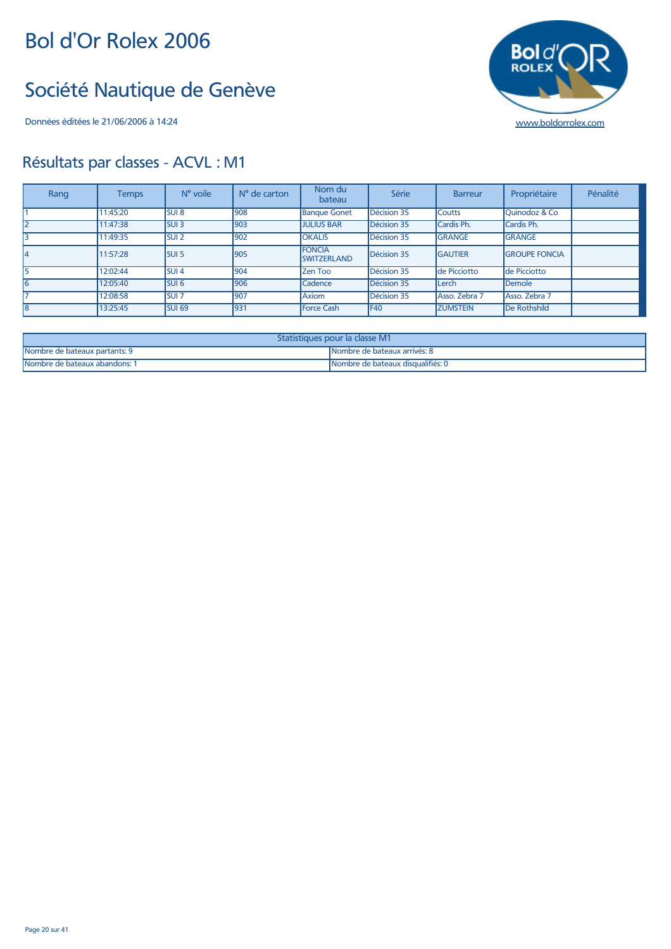#### Société Nautique de Genève

Données éditées le 21/06/2006 à 14:24 [www.boldorrolex.com](http://www.boldorrolex.com)



| Rang | <b>Temps</b> | $N^{\circ}$ voile | $No$ de carton | Nom du<br>bateau                    | Série       | <b>Barreur</b>  | Propriétaire             | Pénalité |
|------|--------------|-------------------|----------------|-------------------------------------|-------------|-----------------|--------------------------|----------|
|      | 11:45:20     | SUI <sub>8</sub>  | 908            | <b>Banque Gonet</b>                 | Décision 35 | <b>Coutts</b>   | <b>Ouinodoz &amp; Co</b> |          |
| l2   | 11:47:38     | <b>SUI 3</b>      | 903            | <b>JULIUS BAR</b>                   | Décision 35 | Cardis Ph.      | Cardis Ph.               |          |
| 3    | 11:49:35     | <b>SUI 2</b>      | 902            | <b>OKALIS</b>                       | Décision 35 | <b>GRANGE</b>   | <b>GRANGE</b>            |          |
| 14   | 11:57:28     | <b>SUI 5</b>      | 905            | <b>FONCIA</b><br><b>SWITZERLAND</b> | Décision 35 | <b>GAUTIER</b>  | <b>GROUPE FONCIA</b>     |          |
| l5   | 12:02:44     | SUI <sub>4</sub>  | 904            | Zen Too                             | Décision 35 | de Picciotto    | de Picciotto             |          |
| 16   | 12:05:40     | SUI <sub>6</sub>  | 906            | Cadence                             | Décision 35 | lLerch          | Demole                   |          |
| 17   | 12:08:58     | <b>SUI 7</b>      | 907            | Axiom                               | Décision 35 | Asso. Zebra 7   | Asso, Zebra 7            |          |
| l8   | 13:25:45     | <b>SUI 69</b>     | 931            | <b>Force Cash</b>                   | <b>F40</b>  | <b>ZUMSTEIN</b> | De Rothshild             |          |

| Statistiques pour la classe M1 |                                    |  |  |  |
|--------------------------------|------------------------------------|--|--|--|
| Nombre de bateaux partants: 9  | l Nombre de bateaux arrivés: 8     |  |  |  |
| Nombre de bateaux abandons: 1  | INombre de bateaux disqualifiés: 0 |  |  |  |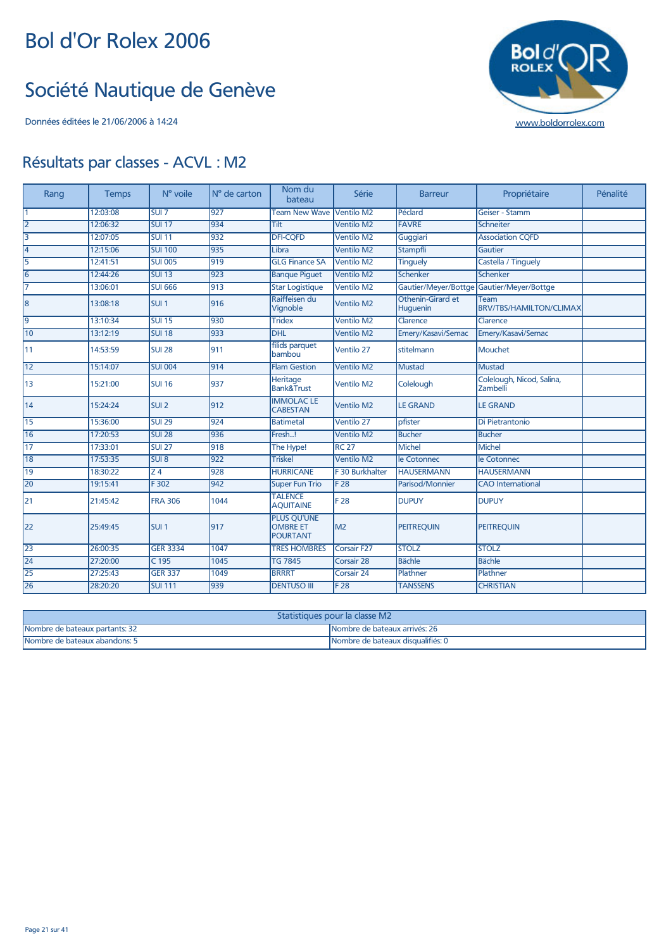#### Société Nautique de Genève

Données éditées le 21/06/2006 à 14:24 [www.boldorrolex.com](http://www.boldorrolex.com)



| Rang            | <b>Temps</b> | N° voile          | N° de carton     | Nom du<br>bateau                                         | Série              | <b>Barreur</b>                | Propriétaire                              | Pénalité |
|-----------------|--------------|-------------------|------------------|----------------------------------------------------------|--------------------|-------------------------------|-------------------------------------------|----------|
| $\overline{1}$  | 12:03:08     | SUI 7             | 927              | <b>Team New Wave</b>                                     | Ventilo M2         | Péclard                       | Geiser - Stamm                            |          |
| $\overline{2}$  | 12:06:32     | <b>SUI 17</b>     | 934              | Tilt                                                     | <b>Ventilo M2</b>  | <b>FAVRE</b>                  | Schneiter                                 |          |
| 3               | 12:07:05     | <b>SUI 11</b>     | 932              | <b>DFI-CQFD</b>                                          | <b>Ventilo M2</b>  | Guggiari                      | <b>Association CQFD</b>                   |          |
| 4               | 12:15:06     | <b>SUI 100</b>    | 935              | Libra                                                    | <b>Ventilo M2</b>  | <b>Stampfli</b>               | Gautier                                   |          |
| 5               | 12:41:51     | <b>SUI 005</b>    | 919              | <b>GLG Finance SA</b>                                    | <b>Ventilo M2</b>  | <b>Tinguely</b>               | Castella / Tinquely                       |          |
| 16              | 12:44:26     | <b>SUI 13</b>     | 923              | <b>Banque Piquet</b>                                     | <b>Ventilo M2</b>  | Schenker                      | Schenker                                  |          |
| 17              | 13:06:01     | <b>SUI 666</b>    | 913              | <b>Star Logistique</b>                                   | Ventilo M2         |                               | Gautier/Meyer/Bottge Gautier/Meyer/Bottge |          |
| 18              | 13:08:18     | <b>SUI1</b>       | 916              | Raiffeisen du<br>Vignoble                                | <b>Ventilo M2</b>  | Othenin-Girard et<br>Huguenin | Team<br><b>BRV/TBS/HAMILTON/CLIMAX</b>    |          |
| 9               | 13:10:34     | <b>SUI 15</b>     | 930              | <b>Tridex</b>                                            | <b>Ventilo M2</b>  | Clarence                      | Clarence                                  |          |
| 10              | 13:12:19     | <b>SUI 18</b>     | 933              | <b>DHL</b>                                               | <b>Ventilo M2</b>  | Emery/Kasavi/Semac            | Emery/Kasavi/Semac                        |          |
| l 11            | 14:53:59     | <b>SUI 28</b>     | 911              | filids parquet<br>bambou                                 | Ventilo 27         | stitelmann                    | <b>Mouchet</b>                            |          |
| $\overline{12}$ | 15:14:07     | <b>SUI 004</b>    | 914              | <b>Flam Gestion</b>                                      | Ventilo M2         | <b>Mustad</b>                 | <b>Mustad</b>                             |          |
| 13              | 15:21:00     | SUI <sub>16</sub> | 937              | <b>Heritage</b><br><b>Bank&amp;Trust</b>                 | Ventilo M2         | Colelough                     | Colelough, Nicod, Salina,<br>Zambelli     |          |
| 14              | 15:24:24     | <b>SUI 2</b>      | 912              | <b>IMMOLAC LE</b><br><b>CABESTAN</b>                     | Ventilo M2         | <b>LE GRAND</b>               | <b>LE GRAND</b>                           |          |
| <b>15</b>       | 15:36:00     | <b>SUI 29</b>     | 924              | <b>Batimetal</b>                                         | Ventilo 27         | pfister                       | Di Pietrantonio                           |          |
| 16              | 17:20:53     | <b>SUI 28</b>     | 936              | Fresh!                                                   | <b>Ventilo M2</b>  | <b>Bucher</b>                 | <b>Bucher</b>                             |          |
| $\overline{17}$ | 17:33:01     | <b>SUI 27</b>     | 918              | The Hype!                                                | <b>RC 27</b>       | <b>Michel</b>                 | <b>Michel</b>                             |          |
| 18              | 17:53:35     | $SU1$ 8           | $\overline{922}$ | <b>Triskel</b>                                           | <b>Ventilo M2</b>  | le Cotonnec                   | le Cotonnec                               |          |
| <b>19</b>       | 18:30:22     | Z <sub>4</sub>    | 928              | <b>HURRICANE</b>                                         | F 30 Burkhalter    | <b>HAUSERMANN</b>             | <b>HAUSERMANN</b>                         |          |
| 20              | 19:15:41     | F302              | 942              | <b>Super Fun Trio</b>                                    | F <sub>28</sub>    | Parisod/Monnier               | <b>CAO</b> International                  |          |
| 21              | 21:45:42     | <b>FRA 306</b>    | 1044             | <b>TALENCE</b><br><b>AQUITAINE</b>                       | F 28               | <b>DUPUY</b>                  | <b>DUPUY</b>                              |          |
| 22              | 25:49:45     | <b>SUI1</b>       | 917              | <b>PLUS QU'UNE</b><br><b>OMBRE ET</b><br><b>POURTANT</b> | M <sub>2</sub>     | <b>PEITREQUIN</b>             | <b>PEITREOUIN</b>                         |          |
| 23              | 26:00:35     | <b>GER 3334</b>   | 1047             | <b>TRES HOMBRES</b>                                      | <b>Corsair F27</b> | <b>STOLZ</b>                  | <b>STOLZ</b>                              |          |
| 24              | 27:20:00     | $C$ 195           | 1045             | <b>TG 7845</b>                                           | Corsair 28         | Bächle                        | <b>Bächle</b>                             |          |
| 25              | 27:25:43     | <b>GER 337</b>    | 1049             | <b>BRRRT</b>                                             | Corsair 24         | Plathner                      | Plathner                                  |          |
| 26              | 28:20:20     | <b>SUI 111</b>    | 939              | <b>DENTUSO III</b>                                       | F <sub>28</sub>    | <b>TANSSENS</b>               | <b>CHRISTIAN</b>                          |          |

| Statistiques pour la classe M2 |                                   |  |  |  |
|--------------------------------|-----------------------------------|--|--|--|
| Nombre de bateaux partants: 32 | Nombre de bateaux arrivés: 26     |  |  |  |
| Nombre de bateaux abandons: 5  | Nombre de bateaux disqualifiés: 0 |  |  |  |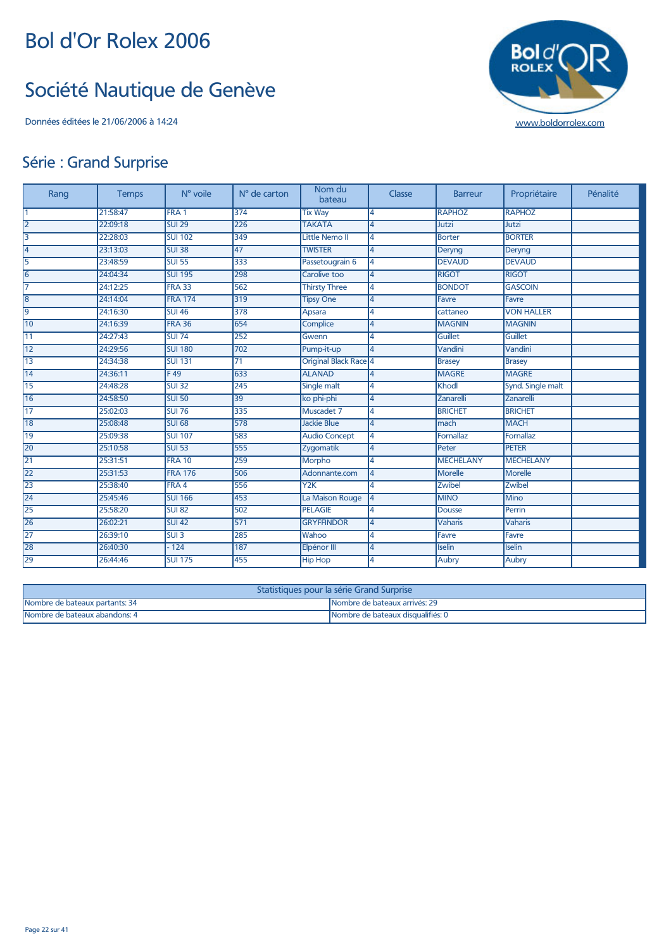#### Société Nautique de Genève



#### Série : Grand Surprise

| Rang            | <b>Temps</b> | N° voile         | N° de carton    | Nom du<br>bateau      | Classe         | <b>Barreur</b>   | Propriétaire      | Pénalité |
|-----------------|--------------|------------------|-----------------|-----------------------|----------------|------------------|-------------------|----------|
| $\overline{1}$  | 21:58:47     | FRA <sub>1</sub> | 374             | <b>Tix Way</b>        | 4              | <b>RAPHOZ</b>    | <b>RAPHOZ</b>     |          |
| $\overline{2}$  | 22:09:18     | <b>SUI 29</b>    | 226             | <b>TAKATA</b>         | 4              | Jutzi            | Jutzi             |          |
| $\overline{3}$  | 22:28:03     | <b>SUI 102</b>   | 349             | Little Nemo II        | 4              | Borter           | <b>BORTER</b>     |          |
| $\overline{4}$  | 23:13:03     | <b>SUI 38</b>    | 47              | <b>TWISTER</b>        | 4              | Deryng           | Deryng            |          |
| 5               | 23:48:59     | <b>SUI 55</b>    | 333             | Passetougrain 6       | 4              | <b>DEVAUD</b>    | <b>DEVAUD</b>     |          |
| $\overline{6}$  | 24:04:34     | <b>SUI 195</b>   | 298             | Carolive too          | 4              | <b>RIGOT</b>     | <b>RIGOT</b>      |          |
| 7               | 24:12:25     | <b>FRA 33</b>    | 562             | <b>Thirsty Three</b>  | 4              | <b>BONDOT</b>    | <b>GASCOIN</b>    |          |
| $\overline{8}$  | 24:14:04     | <b>FRA 174</b>   | 319             | <b>Tipsy One</b>      | 4              | Favre            | Favre             |          |
| $\overline{9}$  | 24:16:30     | <b>SUI 46</b>    | 378             | <b>Apsara</b>         | 4              | cattaneo         | <b>VON HALLER</b> |          |
| 10              | 24:16:39     | <b>FRA 36</b>    | 654             | <b>Complice</b>       | 4              | <b>MAGNIN</b>    | <b>MAGNIN</b>     |          |
| $\overline{11}$ | 24:27:43     | <b>SUI 74</b>    | 252             | Gwenn                 | 4              | Guillet          | <b>Guillet</b>    |          |
| $\overline{12}$ | 24:29:56     | <b>SUI 180</b>   | 702             | Pump-it-up            | 4              | Vandini          | Vandini           |          |
| $\overline{13}$ | 24:34:38     | <b>SUI 131</b>   | $\overline{71}$ | Original Black Race 4 |                | <b>Brasey</b>    | <b>Brasey</b>     |          |
| $\overline{14}$ | 24:36:11     | F49              | 633             | <b>ALANAD</b>         | 4              | <b>MAGRE</b>     | <b>MAGRE</b>      |          |
| 15              | 24:48:28     | <b>SUI 32</b>    | 245             | Single malt           | 4              | Khodl            | Synd. Single malt |          |
| 16              | 24:58:50     | <b>SUI 50</b>    | 39              | ko phi-phi            | 4              | Zanarelli        | <b>Zanarelli</b>  |          |
| $\overline{17}$ | 25:02:03     | <b>SUI 76</b>    | 335             | Muscadet 7            | 4              | <b>BRICHET</b>   | <b>BRICHET</b>    |          |
| 18              | 25:08:48     | <b>SUI 68</b>    | 578             | <b>Jackie Blue</b>    | 4              | mach             | <b>MACH</b>       |          |
| 19              | 25:09:38     | <b>SUI 107</b>   | 583             | <b>Audio Concept</b>  | 4              | Fornallaz        | <b>Fornallaz</b>  |          |
| 20              | 25:10:58     | <b>SUI 53</b>    | 555             | Zygomatik             | 4              | Peter            | <b>PETER</b>      |          |
| $\overline{21}$ | 25:31:51     | <b>FRA 10</b>    | 259             | <b>Morpho</b>         | 4              | <b>MECHELANY</b> | <b>MECHELANY</b>  |          |
| 22              | 25:31:53     | <b>FRA 176</b>   | 506             | Adonnante.com         | 4              | Morelle          | <b>Morelle</b>    |          |
| $\overline{23}$ | 25:38:40     | FRA 4            | 556             | YZK                   | 4              | <b>Zwibel</b>    | Zwibel            |          |
| $\overline{24}$ | 25:45:46     | <b>SUI 166</b>   | 453             | La Maison Rouge       | 4              | <b>MINO</b>      | Mino              |          |
| $\overline{25}$ | 25:58:20     | <b>SUI 82</b>    | 502             | <b>PELAGIE</b>        | 4              | Dousse           | Perrin            |          |
| $\overline{26}$ | 26:02:21     | <b>SUI 42</b>    | 571             | <b>GRYFFINDOR</b>     | $\overline{4}$ | Vaharis          | <b>Vaharis</b>    |          |
| $\overline{27}$ | 26:39:10     | SUI3             | 285             | Wahoo                 | 4              | Favre            | Favre             |          |
| 28              | 26:40:30     | $-124$           | 187             | Elpénor III           | 4              | <b>Iselin</b>    | Iselin            |          |
| 29              | 26:44:46     | <b>SUI 175</b>   | 455             | <b>Hip Hop</b>        | 4              | Aubry            | Aubry             |          |

| Statistiques pour la série Grand Surprise |                                    |  |  |  |  |
|-------------------------------------------|------------------------------------|--|--|--|--|
| Nombre de bateaux partants: 34            | Nombre de bateaux arrivés: 29      |  |  |  |  |
| Nombre de bateaux abandons: 4             | INombre de bateaux disqualifiés: 0 |  |  |  |  |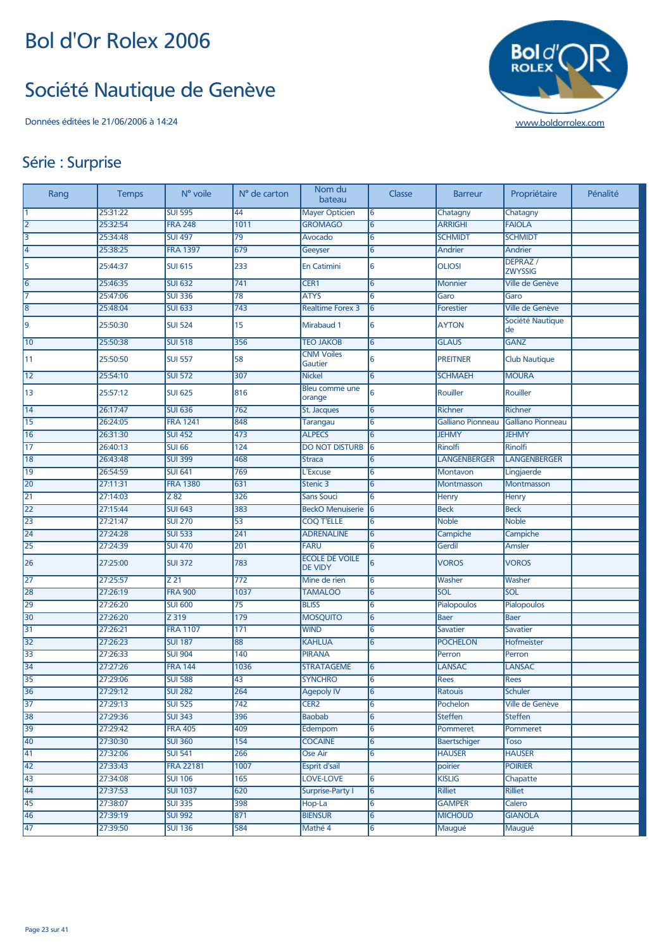#### Société Nautique de Genève

Données éditées le 21/06/2006 à 14:24 [www.boldorrolex.com](http://www.boldorrolex.com)



#### Série : Surprise

| Rang            | <b>Temps</b> | N° voile         | N° de carton    | Nom du<br>bateau                        | Classe | <b>Barreur</b>      | Propriétaire               | Pénalité |
|-----------------|--------------|------------------|-----------------|-----------------------------------------|--------|---------------------|----------------------------|----------|
| $\overline{1}$  | 25:31:22     | <b>SUI 595</b>   | 44              | <b>Mayer Opticien</b>                   | 6      | Chatagny            | Chatagny                   |          |
| $\overline{2}$  | 25:32:54     | <b>FRA 248</b>   | 1011            | <b>GROMAGO</b>                          | 6      | <b>ARRIGHI</b>      | <b>FAIOLA</b>              |          |
| $\overline{3}$  | 25:34:48     | <b>SUI 497</b>   | $\overline{79}$ | Avocado                                 | 6      | <b>SCHMIDT</b>      | <b>SCHMIDT</b>             |          |
| $\overline{4}$  | 25:38:25     | <b>FRA 1397</b>  | 679             | Geeyser                                 | 6      | Andrier             | Andrier                    |          |
| 5               | 25:44:37     | <b>SUI 615</b>   | 233             | <b>En Catimini</b>                      | 6      | <b>OLIOSI</b>       | DEPRAZ /<br><b>ZWYSSIG</b> |          |
| $\overline{6}$  | 25:46:35     | <b>SUI 632</b>   | 741             | CER1                                    | 6      | <b>Monnier</b>      | Ville de Genève            |          |
| 7               | 25:47:06     | <b>SUI 336</b>   | 78              | <b>ATYS</b>                             | 6      | Garo                | Garo                       |          |
| $\overline{8}$  | 25:48:04     | <b>SUI 633</b>   | 743             | <b>Realtime Forex 3</b>                 | 6      | <b>Forestier</b>    | Ville de Genève            |          |
| 9               | 25:50:30     | <b>SUI 524</b>   | 15              | Mirabaud 1                              | 6      | <b>AYTON</b>        | Société Nautique<br>de     |          |
| 10              | 25:50:38     | <b>SUI 518</b>   | 356             | <b>TEO JAKOB</b>                        | 6      | <b>GLAUS</b>        | <b>GANZ</b>                |          |
| 11              | 25:50:50     | <b>SUI 557</b>   | 58              | <b>CNM Voiles</b><br>Gautier            | 6      | <b>PREITNER</b>     | <b>Club Nautique</b>       |          |
| $\overline{12}$ | 25:54:10     | <b>SUI 572</b>   | 307             | <b>Nickel</b>                           | 6      | <b>SCHMAEH</b>      | <b>MOURA</b>               |          |
| 13              | 25:57:12     | <b>SUI 625</b>   | 816             | Bleu comme une<br>orange                | 6      | Rouiller            | Rouiller                   |          |
| $\overline{14}$ | 26:17:47     | <b>SUI 636</b>   | 762             | St. Jacques                             | 6      | <b>Richner</b>      | <b>Richner</b>             |          |
| $\overline{15}$ | 26:24:05     | <b>FRA 1241</b>  | 848             | <b>Tarangau</b>                         | 6      | Galliano Pionneau   | <b>Galliano Pionneau</b>   |          |
| $\overline{16}$ | 26:31:30     | <b>SUI 452</b>   | 473             | <b>ALPECS</b>                           | 6      | <b>JEHMY</b>        | <b>JEHMY</b>               |          |
| $\overline{17}$ | 26:40:13     | <b>SUI 66</b>    | 124             | <b>DO NOT DISTURB</b>                   | 6      | Rinolfi             | <b>Rinolfi</b>             |          |
| 18              | 26:43:48     | <b>SUI 399</b>   | 468             | <b>Straca</b>                           | 6      | <b>LANGENBERGER</b> | <b>LANGENBERGER</b>        |          |
| $\overline{19}$ | 26:54:59     | <b>SUI 641</b>   | 769             | L'Excuse                                | 6      | <b>Montavon</b>     | Lingjaerde                 |          |
| 20              | 27:11:31     | <b>FRA 1380</b>  | 631             | Stenic 3                                | 6      | Montmasson          | Montmasson                 |          |
| 21              | 27:14:03     | Z 82             | 326             | <b>Sans Souci</b>                       | 6      | Henry               | Henry                      |          |
| $\overline{22}$ | 27:15:44     | <b>SUI 643</b>   | 383             | <b>BeckO Menuiserie</b>                 | 6      | <b>Beck</b>         | <b>Beck</b>                |          |
| 23              | 27:21:47     | <b>SUI 270</b>   | 53              | <b>COQ T'ELLE</b>                       | 6      | <b>Noble</b>        | <b>Noble</b>               |          |
| 24              | 27:24:28     | <b>SUI 533</b>   | 241             | <b>ADRENALINE</b>                       | 6      | Campiche            | Campiche                   |          |
| 25              | 27:24:39     | <b>SUI 470</b>   | 201             | <b>FARU</b>                             | 6      | Gerdil              | Amsler                     |          |
| 26              | 27:25:00     | <b>SUI 372</b>   | 783             | <b>ECOLE DE VOILE</b><br><b>DE VIDY</b> | 6      | <b>VOROS</b>        | <b>VOROS</b>               |          |
| 27              | 27:25:57     | Z 21             | 772             | Mine de rien                            | 6      | Washer              | Washer                     |          |
| 28              | 27:26:19     | <b>FRA 900</b>   | 1037            | <b>TAMALOO</b>                          | 6      | SOL                 | SOL                        |          |
| 29              | 27:26:20     | <b>SUI 600</b>   | 75              | <b>BLISS</b>                            | 6      | Pialopoulos         | <b>Pialopoulos</b>         |          |
| 30              | 27:26:20     | Z 319            | 179             | <b>MOSQUITO</b>                         | 6      | <b>Baer</b>         | <b>Baer</b>                |          |
| 31              | 27:26:21     | <b>FRA 1107</b>  | $171$           | <b>WIND</b>                             | 6      | Savatier            | <b>Savatier</b>            |          |
| 32              | 27:26:23     | <b>SUI 187</b>   | 88              | <b>KAHLUA</b>                           | 6      | <b>POCHELON</b>     | Hofmeister                 |          |
| 33              | 27:26:33     | <b>SUI 904</b>   | 140             | <b>PIRANA</b>                           |        | Perron              | Perron                     |          |
| 34              | 27:27:26     | <b>FRA 144</b>   | 1036            | <b>STRATAGEME</b>                       | 6      | <b>LANSAC</b>       | <b>LANSAC</b>              |          |
| 35              | 27:29:06     | <b>SUI 588</b>   | 43              | <b>SYNCHRO</b>                          | 6      | <b>Rees</b>         | Rees                       |          |
| 36              | 27:29:12     | <b>SUI 282</b>   | 264             | <b>Agepoly IV</b>                       |        | Ratouis             | <b>Schuler</b>             |          |
| 37              | 27:29:13     | <b>SUI 525</b>   | 742             | CER <sub>2</sub>                        | 6      | Pochelon            | Ville de Genève            |          |
| 38              | 27:29:36     | <b>SUI 343</b>   | 396             | <b>Baobab</b>                           | 6      | <b>Steffen</b>      | <b>Steffen</b>             |          |
| 39              | 27:29:42     | <b>FRA 405</b>   | 409             | Edempom                                 | 6      | Pommeret            | Pommeret                   |          |
| 40              | 27:30:30     | <b>SUI 360</b>   | 154             | <b>COCAINE</b>                          | 6      | Baertschiger        | Toso                       |          |
| $\overline{41}$ | 27:32:06     | <b>SUI 541</b>   | 266             | Ose Air                                 | 6      | <b>HAUSER</b>       | <b>HAUSER</b>              |          |
| $\overline{42}$ | 27:33:43     | <b>FRA 22181</b> | 1007            | <b>Esprit d'sail</b>                    |        | poirier             | <b>POIRIER</b>             |          |
| $\overline{43}$ | 27:34:08     | <b>SUI 106</b>   | 165             | <b>LOVE-LOVE</b>                        | 6      | <b>KISLIG</b>       | Chapatte                   |          |
| 44              | 27:37:53     | <b>SUI 1037</b>  | 620             | Surprise-Party I                        | 6      | Rilliet             | <b>Rilliet</b>             |          |
| 45              | 27:38:07     | <b>SUI 335</b>   | 398             | Hop-La                                  | 6      | <b>GAMPER</b>       | Calero                     |          |
| 46              | 27:39:19     | <b>SUI 992</b>   | 871             | <b>BIENSUR</b>                          | 6      | <b>MICHOUD</b>      | <b>GIANOLA</b>             |          |
| 47              | 27:39:50     | <b>SUI 136</b>   | 584             | Mathé 4                                 | 6      | Maugué              | Maugué                     |          |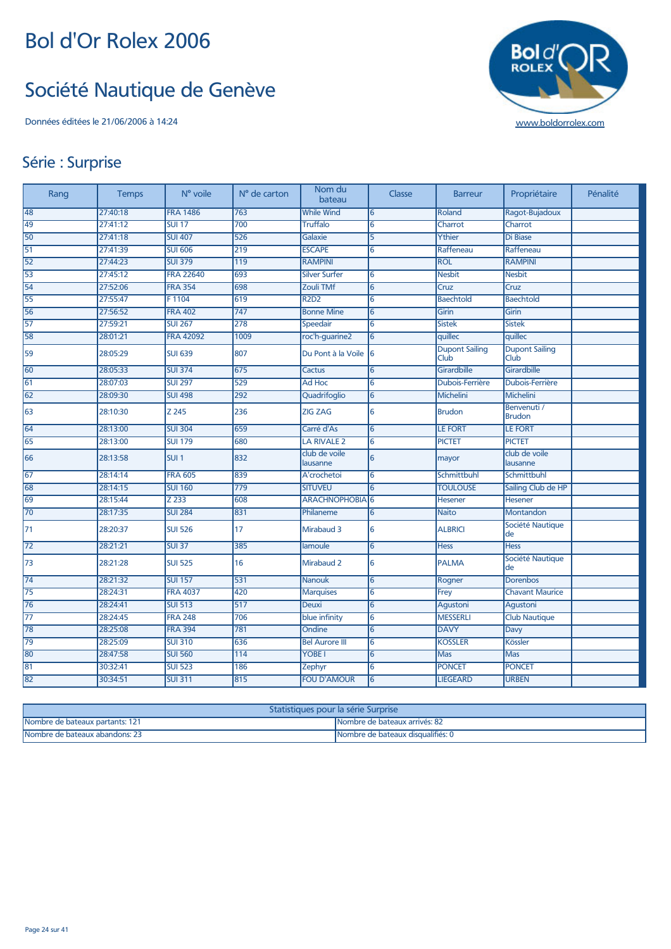#### Société Nautique de Genève



#### Série : Surprise

| Rang            | <b>Temps</b> | N° voile         | N° de carton     | Nom du<br>bateau          | Classe          | <b>Barreur</b>                | Propriétaire                  | Pénalité |
|-----------------|--------------|------------------|------------------|---------------------------|-----------------|-------------------------------|-------------------------------|----------|
| 48              | 27:40:18     | <b>FRA 1486</b>  | 763              | <b>While Wind</b>         | 6               | Roland                        | Ragot-Bujadoux                |          |
| 49              | 27:41:12     | <b>SUI 17</b>    | 700              | <b>Truffalo</b>           | 6               | Charrot                       | Charrot                       |          |
| 50              | 27:41:18     | <b>SUI 407</b>   | $\overline{526}$ | Galaxie                   | $\overline{5}$  | Ythier                        | Di Biase                      |          |
| 51              | 27:41:39     | <b>SUI 606</b>   | 219              | <b>ESCAPE</b>             | $\overline{6}$  | Raffeneau                     | Raffeneau                     |          |
| 52              | 27:44:23     | <b>SUI 379</b>   | 119              | <b>RAMPINI</b>            |                 | <b>ROL</b>                    | <b>RAMPINI</b>                |          |
| 53              | 27:45:12     | <b>FRA 22640</b> | 693              | <b>Silver Surfer</b>      | 6               | <b>Nesbit</b>                 | <b>Nesbit</b>                 |          |
| 54              | 27:52:06     | <b>FRA 354</b>   | 698              | Zouli TMf                 | 6               | Cruz                          | Cruz                          |          |
| 55              | 27:55:47     | F1104            | 619              | <b>R2D2</b>               | 6               | <b>Baechtold</b>              | <b>Baechtold</b>              |          |
| 56              | 27:56:52     | <b>FRA 402</b>   | 747              | <b>Bonne Mine</b>         | 6               | Girin                         | Girin                         |          |
| 57              | 27:59:21     | <b>SUI 267</b>   | 278              | <b>Speedair</b>           | 6               | <b>Sistek</b>                 | <b>Sistek</b>                 |          |
| 58              | 28:01:21     | <b>FRA 42092</b> | 1009             | roc'h-guarine2            | 6               | quillec                       | quillec                       |          |
| 59              | 28:05:29     | <b>SUI 639</b>   | 807              | Du Pont à la Voile        | 16              | <b>Dupont Sailing</b><br>Club | <b>Dupont Sailing</b><br>Club |          |
| 60              | 28:05:33     | <b>SUI 374</b>   | 675              | <b>Cactus</b>             | $\overline{6}$  | Girardbille                   | Girardbille                   |          |
| 61              | 28:07:03     | <b>SUI 297</b>   | 529              | Ad Hoc                    | $\overline{6}$  | Dubois-Ferrière               | <b>Dubois-Ferrière</b>        |          |
| 62              | 28:09:30     | <b>SUI 498</b>   | 292              | Quadrifoglio              | 6               | <b>Michelini</b>              | Michelini                     |          |
| 63              | 28:10:30     | Z 245            | 236              | <b>ZIG ZAG</b>            | 6               | <b>Brudon</b>                 | Benvenuti /<br><b>Brudon</b>  |          |
| 64              | 28:13:00     | <b>SUI 304</b>   | 659              | Carré d'As                | 6               | <b>LE FORT</b>                | <b>LE FORT</b>                |          |
| 65              | 28:13:00     | <b>SUI 179</b>   | 680              | <b>LA RIVALE 2</b>        | $\overline{6}$  | <b>PICTET</b>                 | <b>PICTET</b>                 |          |
| 66              | 28:13:58     | SUI <sub>1</sub> | 832              | club de voile<br>lausanne | $6\overline{6}$ | mayor                         | club de voile<br>lausanne     |          |
| 67              | 28:14:14     | <b>FRA 605</b>   | 839              | A'crochetoi               | 6               | Schmittbuhl                   | Schmittbuhl                   |          |
| 68              | 28:14:15     | <b>SUI 160</b>   | 779              | <b>SITUVEU</b>            | $\overline{6}$  | <b>TOULOUSE</b>               | Sailing Club de HP            |          |
| 69              | 28:15:44     | Z 233            | 608              | <b>ARACHNOPHOBIA</b>      | 6               | Hesener                       | Hesener                       |          |
| 70              | 28:17:35     | <b>SUI 284</b>   | 831              | Philaneme                 | 6               | <b>Naito</b>                  | Montandon                     |          |
| 71              | 28:20:37     | <b>SUI 526</b>   | 17               | Mirabaud 3                | 6               | <b>ALBRICI</b>                | Société Nautique<br>lde       |          |
| $\overline{72}$ | 28:21:21     | <b>SUI 37</b>    | 385              | lamoule                   | $\overline{6}$  | <b>Hess</b>                   | <b>Hess</b>                   |          |
| 73              | 28:21:28     | <b>SUI 525</b>   | 16               | Mirabaud 2                | 6               | <b>PALMA</b>                  | Société Nautique<br>de        |          |
| 74              | 28:21:32     | <b>SUI 157</b>   | 531              | <b>Nanouk</b>             | $\overline{6}$  | Rogner                        | Dorenbos                      |          |
| 75              | 28:24:31     | <b>FRA 4037</b>  | 420              | <b>Marquises</b>          | 6               | Frey                          | <b>Chavant Maurice</b>        |          |
| 76              | 28:24:41     | <b>SUI 513</b>   | 517              | <b>Deuxi</b>              | 6               | Agustoni                      | Agustoni                      |          |
| $\overline{77}$ | 28:24:45     | <b>FRA 248</b>   | 706              | blue infinity             | 6               | <b>MESSERLI</b>               | <b>Club Nautique</b>          |          |
| 78              | 28:25:08     | <b>FRA 394</b>   | 781              | Ondine                    | 6               | <b>DAVY</b>                   | Davy                          |          |
| 79              | 28:25:09     | <b>SUI 310</b>   | 636              | <b>Bel Aurore III</b>     | $6\overline{6}$ | <b>KOSSLER</b>                | Kössler                       |          |
| 80              | 28:47:58     | <b>SUI 560</b>   | 114              | YOBE I                    | 6               | <b>Mas</b>                    | <b>Mas</b>                    |          |
| 81              | 30:32:41     | <b>SUI 523</b>   | 186              | Zephyr                    | 6               | <b>PONCET</b>                 | <b>PONCET</b>                 |          |
| 82              | 30:34:51     | <b>SUI 311</b>   | 815              | <b>FOU D'AMOUR</b>        | 6               | <b>LIEGEARD</b>               | <b>URBEN</b>                  |          |

| Statistiques pour la série Surprise |                                   |  |  |  |  |  |
|-------------------------------------|-----------------------------------|--|--|--|--|--|
| Nombre de bateaux partants: 121     | Nombre de bateaux arrivés: 82     |  |  |  |  |  |
| Nombre de bateaux abandons: 23      | Nombre de bateaux disqualifiés: 0 |  |  |  |  |  |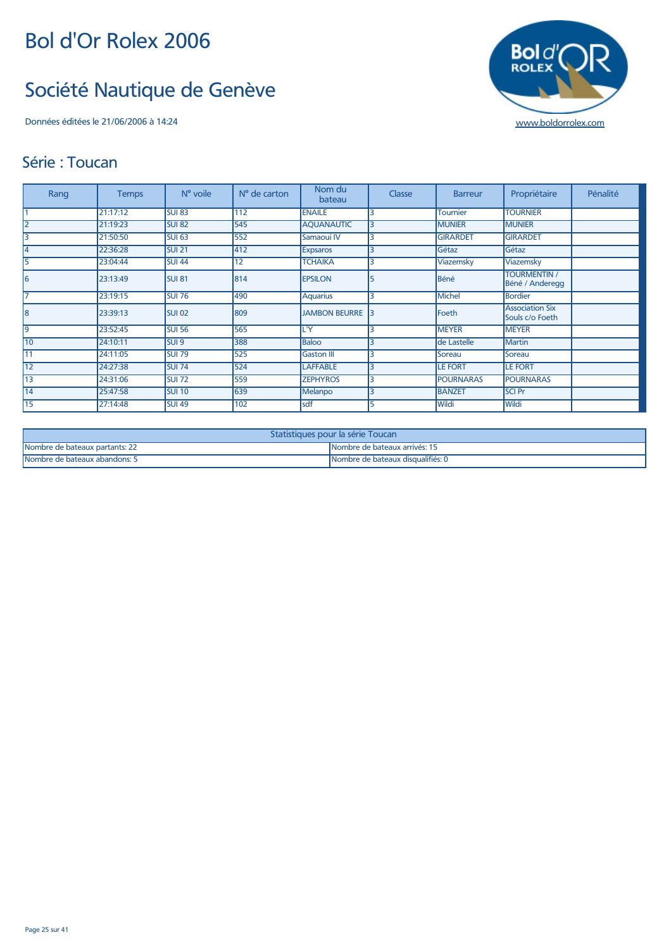## Société Nautique de Genève

Données éditées le 21/06/2006 à 14:24 [www.boldorrolex.com](http://www.boldorrolex.com)



#### Série : Toucan

| Rang           | <b>Temps</b> | $No$ voile        | N° de carton | Nom du<br>bateau     | Classe | <b>Barreur</b>   | Propriétaire                              | Pénalité |
|----------------|--------------|-------------------|--------------|----------------------|--------|------------------|-------------------------------------------|----------|
|                | 21:17:12     | <b>SUI 83</b>     | 112          | <b>ENAILE</b>        |        | <b>Tournier</b>  | <b>TOURNIER</b>                           |          |
| $\overline{2}$ | 21:19:23     | <b>SUI 82</b>     | 545          | <b>AQUANAUTIC</b>    | 3      | <b>MUNIER</b>    | <b>MUNIER</b>                             |          |
| 3              | 21:50:50     | SUI <sub>63</sub> | 552          | Samaoui IV           | 3      | <b>GIRARDET</b>  | <b>GIRARDET</b>                           |          |
| 4              | 22:36:28     | <b>SUI 21</b>     | 412          | <b>Expsaros</b>      |        | Gétaz            | Gétaz                                     |          |
| 5              | 23:04:44     | <b>SUI 44</b>     | 12           | <b>TCHAIKA</b>       | 3      | Viazemsky        | Viazemsky                                 |          |
| 6              | 23:13:49     | <b>SUI 81</b>     | 814          | <b>EPSILON</b>       | 5      | Béné             | <b>TOURMENTIN /</b><br>Béné / Anderegg    |          |
|                | 23:19:15     | <b>SUI 76</b>     | 490          | <b>Aquarius</b>      |        | <b>Michel</b>    | <b>Bordier</b>                            |          |
| 18             | 23:39:13     | SUI <sub>02</sub> | 809          | <b>JAMBON BEURRE</b> |        | Foeth            | <b>Association Six</b><br>Souls c/o Foeth |          |
| 9              | 23:52:45     | <b>SUI 56</b>     | 565          | L'Y                  |        | <b>MEYER</b>     | <b>MEYER</b>                              |          |
| 10             | 24:10:11     | SUI 9             | 388          | <b>Baloo</b>         |        | de Lastelle      | <b>Martin</b>                             |          |
| 11             | 24:11:05     | <b>SUI 79</b>     | 525          | <b>Gaston III</b>    |        | Soreau           | Soreau                                    |          |
| 12             | 24:27:38     | <b>SUI 74</b>     | 524          | <b>LAFFABLE</b>      | ς      | <b>LE FORT</b>   | <b>LE FORT</b>                            |          |
| 13             | 24:31:06     | <b>SUI 72</b>     | 559          | <b>ZEPHYROS</b>      |        | <b>POURNARAS</b> | <b>POURNARAS</b>                          |          |
| 14             | 25:47:58     | SUI 10            | 639          | Melanpo              |        | <b>BANZET</b>    | <b>SCI Pr</b>                             |          |
| 15             | 27:14:48     | <b>SUI 49</b>     | 102          | sdf                  |        | Wildi            | Wildi                                     |          |

| Statistiques pour la série Toucan                               |                                   |  |  |  |  |
|-----------------------------------------------------------------|-----------------------------------|--|--|--|--|
| Nombre de bateaux partants: 22<br>Nombre de bateaux arrivés: 15 |                                   |  |  |  |  |
| Nombre de bateaux abandons: 5                                   | Nombre de bateaux disqualifiés: 0 |  |  |  |  |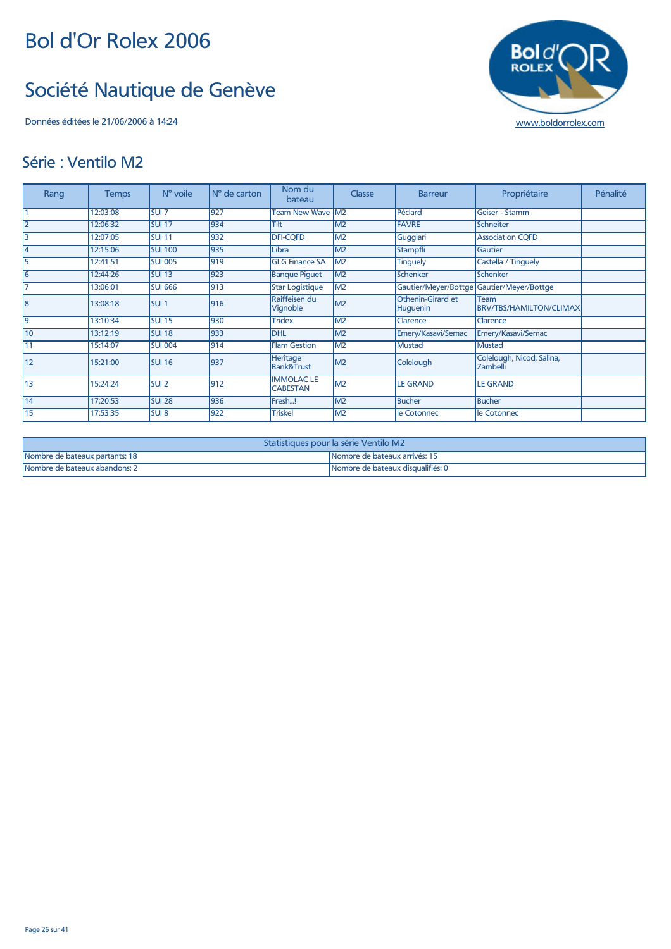## Société Nautique de Genève

#### Série : Ventilo M2

| Rang | <b>Temps</b> | $No$ voile        | N° de carton | Nom du<br>bateau                    | Classe         | <b>Barreur</b>                | Propriétaire                              | Pénalité |
|------|--------------|-------------------|--------------|-------------------------------------|----------------|-------------------------------|-------------------------------------------|----------|
|      | 12:03:08     | SUI <sub>7</sub>  | 927          | <b>Team New Wave M2</b>             |                | Péclard                       | Geiser - Stamm                            |          |
|      | 12:06:32     | <b>SUI 17</b>     | 934          | Tilt                                | M <sub>2</sub> | <b>FAVRE</b>                  | Schneiter                                 |          |
|      | 12:07:05     | <b>SUI 11</b>     | 932          | <b>DFI-CQFD</b>                     | M <sub>2</sub> | Guggiari                      | <b>Association CQFD</b>                   |          |
|      | 12:15:06     | <b>SUI 100</b>    | 935          | Libra                               | M <sub>2</sub> | Stampfli                      | Gautier                                   |          |
|      | 12:41:51     | <b>SUI 005</b>    | 919          | <b>GLG Finance SA</b>               | M <sub>2</sub> | <b>Tinguely</b>               | Castella / Tinguely                       |          |
| 6    | 12:44:26     | <b>SUI 13</b>     | 923          | <b>Banque Piquet</b>                | M <sub>2</sub> | Schenker                      | Schenker                                  |          |
|      | 13:06:01     | <b>SUI 666</b>    | 913          | <b>Star Logistique</b>              | M <sub>2</sub> |                               | Gautier/Meyer/Bottge Gautier/Meyer/Bottge |          |
| 8    | 13:08:18     | SUI <sub>1</sub>  | 916          | Raiffeisen du<br>Vignoble           | M <sub>2</sub> | Othenin-Girard et<br>Huguenin | Team<br>BRV/TBS/HAMILTON/CLIMAX           |          |
| 9    | 13:10:34     | <b>SUI 15</b>     | 930          | <b>Tridex</b>                       | M <sub>2</sub> | Clarence                      | Clarence                                  |          |
| 10   | 13:12:19     | <b>SUI 18</b>     | 933          | <b>DHL</b>                          | M <sub>2</sub> | Emery/Kasavi/Semac            | Emery/Kasavi/Semac                        |          |
| 11   | 15:14:07     | <b>SUI 004</b>    | 914          | <b>Flam Gestion</b>                 | M <sub>2</sub> | <b>Mustad</b>                 | <b>Mustad</b>                             |          |
| 12   | 15:21:00     | SUI <sub>16</sub> | 937          | Heritage<br>Bank&Trust              | M <sub>2</sub> | Colelough                     | Colelough, Nicod, Salina,<br>Zambelli     |          |
| 13   | 15:24:24     | SUI <sub>2</sub>  | 912          | <b>IMMOLACLE</b><br><b>CABESTAN</b> | M <sub>2</sub> | <b>LE GRAND</b>               | <b>LE GRAND</b>                           |          |
| 14   | 17:20:53     | <b>SUI 28</b>     | 936          | Fresh!                              | M2             | <b>Bucher</b>                 | <b>Bucher</b>                             |          |
| 15   | 17:53:35     | SUI <sub>8</sub>  | 922          | <b>Triskel</b>                      | M <sub>2</sub> | le Cotonnec                   | le Cotonnec                               |          |

| Statistiques pour la série Ventilo M2                              |  |  |  |  |  |  |  |
|--------------------------------------------------------------------|--|--|--|--|--|--|--|
| Nombre de bateaux partants: 18<br>INombre de bateaux arrivés: 15   |  |  |  |  |  |  |  |
| Nombre de bateaux disqualifiés: 0<br>Nombre de bateaux abandons: 2 |  |  |  |  |  |  |  |

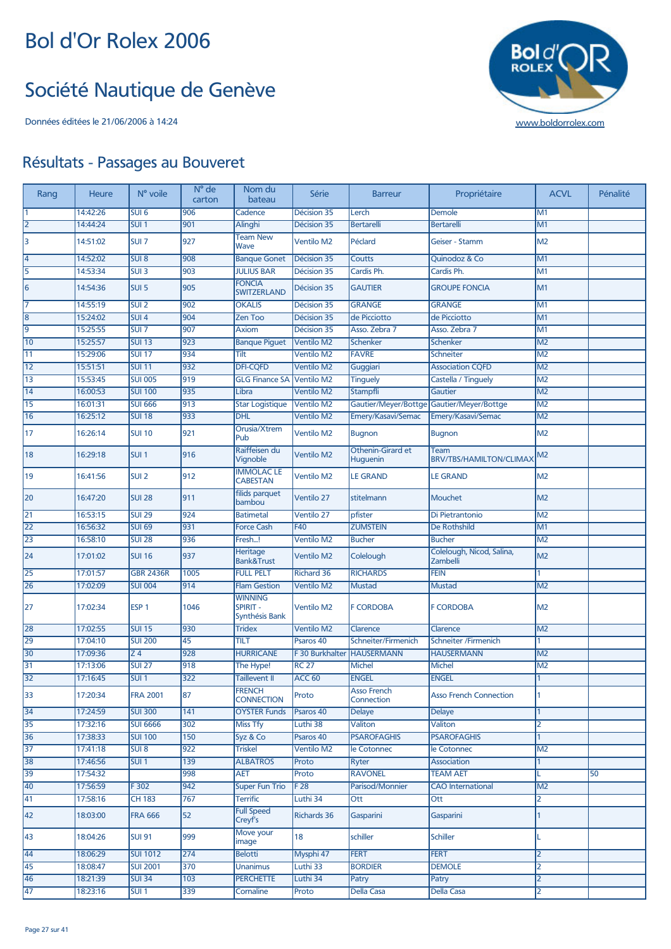#### Société Nautique de Genève



| Rang | Heure    | N° voile         | N° de<br>carton | Nom du<br>bateau                                    | Série              | <b>Barreur</b>                   | Propriétaire                           | <b>ACVL</b>              | Pénalité |
|------|----------|------------------|-----------------|-----------------------------------------------------|--------------------|----------------------------------|----------------------------------------|--------------------------|----------|
|      | 14:42:26 | SUI <sub>6</sub> | 906             | Cadence                                             | Décision 35        | Lerch                            | Demole                                 | M1                       |          |
| 2    | 14:44:24 | SUI1             | 901             | Alinghi                                             | Décision 35        | <b>Bertarelli</b>                | <b>Bertarelli</b>                      | M1                       |          |
| 3    | 14:51:02 | SUI <sub>7</sub> | 927             | <b>Team New</b><br>Wave                             | <b>Ventilo M2</b>  | Péclard                          | Geiser - Stamm                         | M <sub>2</sub>           |          |
| 4    | 14:52:02 | SUI <sub>8</sub> | 908             | <b>Banque Gonet</b>                                 | Décision 35        | Coutts                           | <b>Ouinodoz &amp; Co</b>               | M1                       |          |
| 5    | 14:53:34 | SUI3             | 903             | <b>JULIUS BAR</b>                                   | Décision 35        | Cardis Ph.                       | Cardis Ph.                             | M1                       |          |
| 6    | 14:54:36 | SUI <sub>5</sub> | 905             | <b>FONCIA</b><br><b>SWITZERLAND</b>                 | Décision 35        | <b>GAUTIER</b>                   | <b>GROUPE FONCIA</b>                   | M1                       |          |
| 17   | 14:55:19 | SUI2             | 902             | <b>OKALIS</b>                                       | Décision 35        | <b>GRANGE</b>                    | <b>GRANGE</b>                          | M1                       |          |
| 8    | 15:24:02 | SUI <sub>4</sub> | 904             | <b>Zen Too</b>                                      | Décision 35        | de Picciotto                     | de Picciotto                           | M1                       |          |
| l9   | 15:25:55 | SUI 7            | 907             | <b>Axiom</b>                                        | Décision 35        | Asso. Zebra 7                    | Asso. Zebra 7                          | M1                       |          |
| 10   | 15:25:57 | <b>SUI 13</b>    | 923             | <b>Banque Piquet</b>                                | <b>Ventilo M2</b>  | <b>Schenker</b>                  | Schenker                               | M <sub>2</sub>           |          |
| 11   | 15:29:06 | <b>SUI 17</b>    | 934             | Tilt                                                | <b>Ventilo M2</b>  | <b>FAVRE</b>                     | Schneiter                              | M <sub>2</sub>           |          |
| $12$ | 15:51:51 | <b>SUI 11</b>    | 932             | <b>DFI-CQFD</b>                                     | <b>Ventilo M2</b>  | Guggiari                         | <b>Association CQFD</b>                | M <sub>2</sub>           |          |
| 13   | 15:53:45 | <b>SUI 005</b>   | 919             | <b>GLG Finance SA</b>                               | Ventilo M2         | <b>Tinguely</b>                  | Castella / Tinguely                    | $\overline{\mathsf{M2}}$ |          |
| 14   | 16:00:53 | <b>SUI 100</b>   | 935             | Libra                                               | <b>Ventilo M2</b>  | Stampfli                         | Gautier                                | M <sub>2</sub>           |          |
| 15   | 16:01:31 | <b>SUI 666</b>   | 913             | <b>Star Logistique</b>                              | Ventilo M2         | Gautier/Meyer/Bottge             | Gautier/Meyer/Bottge                   | M <sub>2</sub>           |          |
| 16   | 16:25:12 | <b>SUI 18</b>    | 933             | <b>DHL</b>                                          | <b>Ventilo M2</b>  | Emery/Kasavi/Semac               | Emery/Kasavi/Semac                     | M <sub>2</sub>           |          |
| 17   | 16:26:14 | <b>SUI 10</b>    | 921             | Orusia/Xtrem<br>Pub                                 | <b>Ventilo M2</b>  | <b>Bugnon</b>                    | <b>Bugnon</b>                          | M <sub>2</sub>           |          |
| 18   | 16:29:18 | SUI <sub>1</sub> | 916             | Raiffeisen du<br>Vignoble                           | <b>Ventilo M2</b>  | Othenin-Girard et<br>Huguenin    | Team<br><b>BRV/TBS/HAMILTON/CLIMAX</b> | M2                       |          |
| 19   | 16:41:56 | SUI <sub>2</sub> | 912             | <b>IMMOLAC LE</b><br><b>CABESTAN</b>                | <b>Ventilo M2</b>  | <b>LE GRAND</b>                  | <b>LE GRAND</b>                        | M2                       |          |
| 20   | 16:47:20 | <b>SUI 28</b>    | 911             | filids parquet<br>bambou                            | Ventilo 27         | stitelmann                       | <b>Mouchet</b>                         | M <sub>2</sub>           |          |
| 21   | 16:53:15 | <b>SUI 29</b>    | 924             | <b>Batimetal</b>                                    | <b>Ventilo 27</b>  | pfister                          | Di Pietrantonio                        | M <sub>2</sub>           |          |
| 22   | 16:56:32 | <b>SUI 69</b>    | 931             | <b>Force Cash</b>                                   | F40                | <b>ZUMSTEIN</b>                  | De Rothshild                           | M1                       |          |
| 23   | 16:58:10 | <b>SUI 28</b>    | 936             | Fresh!                                              | <b>Ventilo M2</b>  | <b>Bucher</b>                    | <b>Bucher</b>                          | M <sub>2</sub>           |          |
| 24   | 17:01:02 | <b>SUI 16</b>    | 937             | Heritage<br><b>Bank&amp;Trust</b>                   | <b>Ventilo M2</b>  | Colelough                        | Colelough, Nicod, Salina,<br>Zambelli  | M <sub>2</sub>           |          |
| 25   | 17:01:57 | <b>GBR 2436R</b> | 1005            | <b>FULL PELT</b>                                    | <b>Richard 36</b>  | <b>RICHARDS</b>                  | <b>FEIN</b>                            |                          |          |
| 26   | 17:02:09 | <b>SUI 004</b>   | 914             | <b>Flam Gestion</b>                                 | <b>Ventilo M2</b>  | <b>Mustad</b>                    | <b>Mustad</b>                          | M <sub>2</sub>           |          |
| 27   | 17:02:34 | ESP <sub>1</sub> | 1046            | <b>WINNING</b><br><b>SPIRIT -</b><br>Synthésis Bank | <b>Ventilo M2</b>  | <b>F CORDOBA</b>                 | <b>F CORDOBA</b>                       | M <sub>2</sub>           |          |
| 28   | 17:02:55 | <b>SUI 15</b>    | 930             | <b>Tridex</b>                                       | <b>Ventilo M2</b>  | Clarence                         | Clarence                               | M <sub>2</sub>           |          |
| 29   | 17:04:10 | <b>SUI 200</b>   | 45              | TILT                                                | Psaros 40          | Schneiter/Firmenich              | <b>Schneiter /Firmenich</b>            |                          |          |
| 30   | 17:09:36 | Z4               | 928             | <b>HURRICANE</b>                                    | F 30 Burkhalter    | <b>HAUSERMANN</b>                | <b>HAUSERMANN</b>                      | M <sub>2</sub>           |          |
| 31   | 17:13:06 | <b>SUI 27</b>    | 918             | The Hype!                                           | <b>RC 27</b>       | <b>Michel</b>                    | Michel                                 | M2                       |          |
| 32   | 17:16:45 | <b>SUI 1</b>     | 322             | <b>Taillevent II</b>                                | ACC <sub>60</sub>  | <b>ENGEL</b>                     | <b>ENGEL</b>                           |                          |          |
| 33   | 17:20:34 | <b>FRA 2001</b>  | 87              | <b>FRENCH</b><br><b>CONNECTION</b>                  | Proto              | <b>Asso French</b><br>Connection | <b>Asso French Connection</b>          | 1                        |          |
| 34   | 17:24:59 | <b>SUI 300</b>   | 141             | <b>OYSTER Funds</b>                                 | Psaros 40          | <b>Delaye</b>                    | <b>Delaye</b>                          |                          |          |
| 35   | 17:32:16 | <b>SUI 6666</b>  | 302             | <b>Miss Tfy</b>                                     | Luthi 38           | Valiton                          | Valiton                                | 2                        |          |
| 36   | 17:38:33 | <b>SUI 100</b>   | 150             | Syz & Co                                            | Psaros 40          | <b>PSAROFAGHIS</b>               | <b>PSAROFAGHIS</b>                     | 1                        |          |
| 37   | 17:41:18 | SUI8             | 922             | <b>Triskel</b>                                      | <b>Ventilo M2</b>  | le Cotonnec                      | le Cotonnec                            | M2                       |          |
| 38   | 17:46:56 | SUI1             | 139             | <b>ALBATROS</b>                                     | Proto              | <b>Ryter</b>                     | <b>Association</b>                     | 1                        |          |
| 39   | 17:54:32 |                  | 998             | AET                                                 | Proto              | <b>RAVONEL</b>                   | <b>TEAM AET</b>                        |                          | 50       |
| 40   | 17:56:59 | F302             | 942             | <b>Super Fun Trio</b>                               | F <sub>28</sub>    | Parisod/Monnier                  | <b>CAO</b> International               | M2                       |          |
| 41   | 17:58:16 | <b>CH 183</b>    | 767             | <b>Terrific</b>                                     | Luthi 34           | Ott                              | Ott                                    | 2                        |          |
| 42   | 18:03:00 | <b>FRA 666</b>   | 52              | <b>Full Speed</b><br>Creyf's                        | <b>Richards 36</b> | Gasparini                        | Gasparini                              | 1                        |          |
| 43   | 18:04:26 | <b>SUI 91</b>    | 999             | Move your<br>image                                  | 18                 | schiller                         | <b>Schiller</b>                        |                          |          |
| 44   | 18:06:29 | <b>SUI 1012</b>  | 274             | <b>Belotti</b>                                      | Mysphi 47          | <b>FERT</b>                      | <b>FERT</b>                            | 2                        |          |
| 45   | 18:08:47 | <b>SUI 2001</b>  | 370             | Unanimus                                            | Luthi 33           | <b>BORDIER</b>                   | <b>DEMOLE</b>                          | 2                        |          |
| 46   | 18:21:39 | <b>SUI 34</b>    | 103             | <b>PERCHETTE</b>                                    | Luthi 34           | Patry                            | Patry                                  | 2                        |          |
| 47   | 18:23:16 | SUI1             | 339             | Cornaline                                           | Proto              | <b>Della Casa</b>                | <b>Della Casa</b>                      | 2                        |          |
|      |          |                  |                 |                                                     |                    |                                  |                                        |                          |          |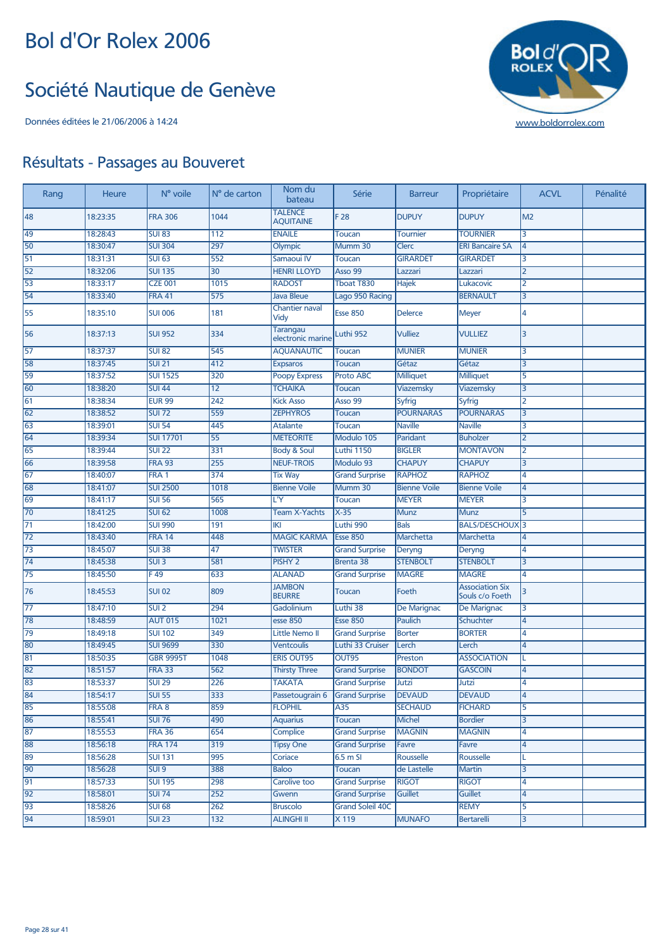#### Société Nautique de Genève



| Rang | Heure    | N° voile           | N° de carton    | Nom du<br>bateau                   | Série                   | <b>Barreur</b>      | Propriétaire                              | <b>ACVL</b>    | Pénalité |
|------|----------|--------------------|-----------------|------------------------------------|-------------------------|---------------------|-------------------------------------------|----------------|----------|
| 48   | 18:23:35 | <b>FRA 306</b>     | 1044            | <b>TALENCE</b><br><b>AQUITAINE</b> | F 28                    | <b>DUPUY</b>        | <b>DUPUY</b>                              | M <sub>2</sub> |          |
| 49   | 18:28:43 | <b>SUI 83</b>      | 112             | <b>ENAILE</b>                      | <b>Toucan</b>           | Tournier            | <b>TOURNIER</b>                           | 3              |          |
| 50   | 18:30:47 | <b>SUI 304</b>     | 297             | Olympic                            | Mumm 30                 | Clerc               | <b>ERI Bancaire SA</b>                    | 4              |          |
| 51   | 18:31:31 | <b>SUI 63</b>      | 552             | Samaoui IV                         | <b>Toucan</b>           | <b>GIRARDET</b>     | <b>GIRARDET</b>                           | 3              |          |
| 52   | 18:32:06 | <b>SUI 135</b>     | $\overline{30}$ | <b>HENRI LLOYD</b>                 | Asso 99                 | Lazzari             | Lazzari                                   | 2              |          |
| 53   | 18:33:17 | <b>CZE 001</b>     | 1015            | <b>RADOST</b>                      | Tboat T830              | Hajek               | Lukacovic                                 | 2              |          |
| 54   | 18:33:40 | <b>FRA 41</b>      | 575             | <b>Java Bleue</b>                  | Lago 950 Racing         |                     | <b>BERNAULT</b>                           | 3              |          |
| 55   | 18:35:10 | <b>SUI 006</b>     | 181             | <b>Chantier naval</b><br>Vidy      | <b>Esse 850</b>         | <b>Delerce</b>      | <b>Meyer</b>                              | 4              |          |
| 56   | 18:37:13 | <b>SUI 952</b>     | 334             | Tarangau<br>electronic marine      | Luthi 952               | <b>Vulliez</b>      | <b>VULLIEZ</b>                            | 3              |          |
| 57   | 18:37:37 | <b>SUI 82</b>      | 545             | <b>AQUANAUTIC</b>                  | Toucan                  | <b>MUNIER</b>       | <b>MUNIER</b>                             | 3              |          |
| 58   | 18:37:45 | <b>SUI 21</b>      | 412             | <b>Expsaros</b>                    | <b>Toucan</b>           | Gétaz               | Gétaz                                     | 3              |          |
| 59   | 18:37:52 | <b>SUI 1525</b>    | 320             | <b>Poopy Express</b>               | Proto ABC               | <b>Milliquet</b>    | <b>Milliquet</b>                          | 5              |          |
| 60   | 18:38:20 | <b>SUI 44</b>      | 12              | <b>TCHAIKA</b>                     | <b>Toucan</b>           | <b>Viazemsky</b>    | Viazemsky                                 | 3              |          |
| 61   | 18:38:34 | <b>EUR 99</b>      | 242             | <b>Kick Asso</b>                   | Asso 99                 | <b>Syfrig</b>       | <b>Syfrig</b>                             | 2              |          |
| 62   | 18:38:52 | <b>SUI 72</b>      | 559             | <b>ZEPHYROS</b>                    | <b>Toucan</b>           | <b>POURNARAS</b>    | <b>POURNARAS</b>                          | 3              |          |
| 63   | 18:39:01 | <b>SUI 54</b>      | 445             | Atalante                           | <b>Toucan</b>           | <b>Naville</b>      | <b>Naville</b>                            | 3              |          |
| 64   | 18:39:34 | <b>SUI 17701</b>   | 55              | <b>METEORITE</b>                   | Modulo 105              | Paridant            | <b>Buholzer</b>                           | 2              |          |
| 65   | 18:39:44 | <b>SUI 22</b>      | 331             | <b>Body &amp; Soul</b>             | <b>Luthi 1150</b>       | <b>BIGLER</b>       | <b>MONTAVON</b>                           | 2              |          |
| 66   | 18:39:58 | <b>FRA 93</b>      | 255             | <b>NEUF-TROIS</b>                  | Modulo 93               | <b>CHAPUY</b>       | <b>CHAPUY</b>                             | 3              |          |
| 67   | 18:40:07 | FRA <sub>1</sub>   | 374             | <b>Tix Way</b>                     | <b>Grand Surprise</b>   | <b>RAPHOZ</b>       | <b>RAPHOZ</b>                             | 4              |          |
| 68   | 18:41:07 | <b>SUI 2500</b>    | 1018            | <b>Bienne Voile</b>                | Mumm 30                 | <b>Bienne Voile</b> | <b>Bienne Voile</b>                       | 4              |          |
| 69   | 18:41:17 | <b>SUI 56</b>      | 565             | L'Y                                | <b>Toucan</b>           | <b>MEYER</b>        | <b>MEYER</b>                              | 3              |          |
| 70   | 18:41:25 | <b>SUI 62</b>      | 1008            | <b>Team X-Yachts</b>               | $X-35$                  | <b>Munz</b>         | <b>Munz</b>                               | 5              |          |
| 71   | 18:42:00 | <b>SUI 990</b>     | 191             | IKI                                | Luthi 990               | <b>Bals</b>         | BALS/DESCHOUX <sup>3</sup>                |                |          |
| 72   | 18:43:40 | <b>FRA 14</b>      | 448             | <b>MAGIC KARMA</b>                 | <b>Esse 850</b>         | Marchetta           | Marchetta                                 | 4              |          |
| 73   | 18:45:07 | <b>SUI 38</b>      | 47              | <b>TWISTER</b>                     | <b>Grand Surprise</b>   | Deryng              | Deryng                                    | 4              |          |
| 74   | 18:45:38 | $SUI$ <sub>3</sub> | 581             | PISHY <sub>2</sub>                 | Brenta 38               | <b>STENBOLT</b>     | <b>STENBOLT</b>                           | 3              |          |
| 75   | 18:45:50 | F49                | 633             | <b>ALANAD</b>                      | <b>Grand Surprise</b>   | <b>MAGRE</b>        | <b>MAGRE</b>                              | 4              |          |
| 76   | 18:45:53 | <b>SUI 02</b>      | 809             | <b>JAMBON</b><br><b>BEURRE</b>     | Toucan                  | Foeth               | <b>Association Six</b><br>Souls c/o Foeth | 3              |          |
| 77   | 18:47:10 | SUI <sub>2</sub>   | 294             | Gadolinium                         | Luthi 38                | De Marignac         | De Marignac                               | 3              |          |
| 78   | 18:48:59 | <b>AUT 015</b>     | 1021            | <b>esse 850</b>                    | <b>Esse 850</b>         | <b>Paulich</b>      | Schuchter                                 | 4              |          |
| 79   | 18:49:18 | <b>SUI 102</b>     | 349             | Little Nemo II                     | <b>Grand Surprise</b>   | <b>Borter</b>       | <b>BORTER</b>                             | 4              |          |
| 80   | 18:49:45 | <b>SUI 9699</b>    | 330             | <b>Ventcoulis</b>                  | Luthi 33 Cruiser        | Lerch               | Lerch                                     | 4              |          |
| 81   | 18:50:35 | <b>GBR 9995T</b>   | 1048            | <b>ERIS OUT95</b>                  | OUT95                   | Preston             | <b>ASSOCIATION</b>                        | L              |          |
| 82   | 18:51:57 | <b>FRA 33</b>      | 562             | <b>Thirsty Three</b>               | <b>Grand Surprise</b>   | <b>BONDOT</b>       | <b>GASCOIN</b>                            | 4              |          |
| 83   | 18:53:37 | SUI 29             | 226             | <b>TAKATA</b>                      | <b>Grand Surprise</b>   | Jutzi               | Jutzi                                     | 4              |          |
| 84   | 18:54:17 | <b>SUI 55</b>      | 333             | Passetougrain 6                    | <b>Grand Surprise</b>   | <b>DEVAUD</b>       | <b>DEVAUD</b>                             | 4              |          |
| 85   | 18:55:08 | FRA 8              | 859             | <b>FLOPHIL</b>                     | A35                     | <b>SECHAUD</b>      | <b>FICHARD</b>                            | 5              |          |
| 86   | 18:55:41 | <b>SUI 76</b>      | 490             | <b>Aquarius</b>                    | <b>Toucan</b>           | <b>Michel</b>       | <b>Bordier</b>                            | 3              |          |
| 87   | 18:55:53 | <b>FRA 36</b>      | 654             | Complice                           | <b>Grand Surprise</b>   | <b>MAGNIN</b>       | <b>MAGNIN</b>                             | 4              |          |
| 88   | 18:56:18 | <b>FRA 174</b>     | 319             | <b>Tipsy One</b>                   | <b>Grand Surprise</b>   | Favre               | Favre                                     | 4              |          |
| 89   | 18:56:28 | <b>SUI 131</b>     | 995             | Coriace                            | $6.5$ m SI              | Rousselle           | Rousselle                                 |                |          |
| 90   | 18:56:28 | SUI <sub>9</sub>   | 388             | <b>Baloo</b>                       | Toucan                  | de Lastelle         | <b>Martin</b>                             | 3              |          |
| 91   | 18:57:33 | <b>SUI 195</b>     | 298             | Carolive too                       | <b>Grand Surprise</b>   | <b>RIGOT</b>        | <b>RIGOT</b>                              | 4              |          |
| 92   | 18:58:01 | <b>SUI 74</b>      | 252             | Gwenn                              | <b>Grand Surprise</b>   | Guillet             | <b>Guillet</b>                            | 4              |          |
| 93   | 18:58:26 | <b>SUI 68</b>      | 262             | <b>Bruscolo</b>                    | <b>Grand Soleil 40C</b> |                     | <b>REMY</b>                               | 5              |          |
| 94   | 18:59:01 | <b>SUI 23</b>      | 132             | <b>ALINGHI II</b>                  | X 119                   | <b>MUNAFO</b>       | Bertarelli                                | 3              |          |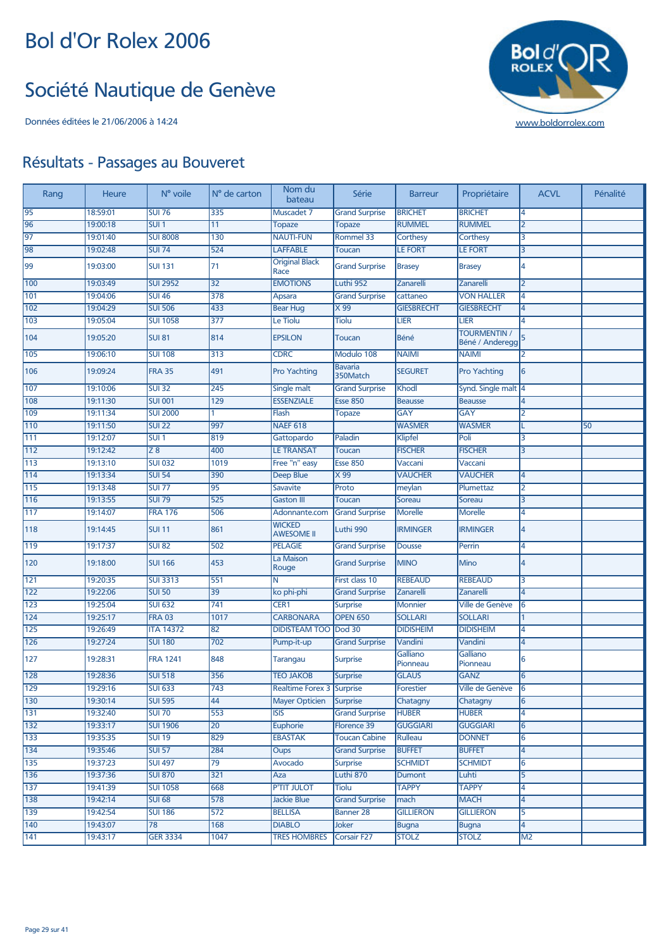#### Société Nautique de Genève



| Rang             | <b>Heure</b> | N° voile         | N° de carton     | Nom du<br>bateau                   | Série                      | <b>Barreur</b>       | Propriétaire                           | <b>ACVL</b>    | Pénalité |
|------------------|--------------|------------------|------------------|------------------------------------|----------------------------|----------------------|----------------------------------------|----------------|----------|
| 95               | 18:59:01     | <b>SUI 76</b>    | 335              | Muscadet 7                         | <b>Grand Surprise</b>      | <b>BRICHET</b>       | <b>BRICHET</b>                         | 4              |          |
| 96               | 19:00:18     | SUI <sub>1</sub> | 11               | <b>Topaze</b>                      | Topaze                     | <b>RUMMEL</b>        | <b>RUMMEL</b>                          | $\overline{2}$ |          |
| 97               | 19:01:40     | <b>SUI 8008</b>  | 130              | <b>NAUTI-FUN</b>                   | Rommel 33                  | <b>Corthesy</b>      | Corthesy                               | 3              |          |
| 98               | 19:02:48     | <b>SUI 74</b>    | 524              | <b>LAFFABLE</b>                    | <b>Toucan</b>              | <b>LE FORT</b>       | <b>LE FORT</b>                         | 3              |          |
| 99               | 19:03:00     | <b>SUI 131</b>   | 71               | <b>Original Black</b><br>Race      | <b>Grand Surprise</b>      | <b>Brasey</b>        | <b>Brasey</b>                          | 4              |          |
| 100              | 19:03:49     | <b>SUI 2952</b>  | $\overline{32}$  | <b>EMOTIONS</b>                    | Luthi 952                  | Zanarelli            | Zanarelli                              | $\overline{2}$ |          |
| 101              | 19:04:06     | <b>SUI 46</b>    | 378              | Apsara                             | <b>Grand Surprise</b>      | cattaneo             | <b>VON HALLER</b>                      | 4              |          |
| 102              | 19:04:29     | <b>SUI 506</b>   | 433              | <b>Bear Hug</b>                    | X 99                       | <b>GIESBRECHT</b>    | <b>GIESBRECHT</b>                      | 4              |          |
| 103              | 19:05:04     | <b>SUI 1058</b>  | 377              | Le Tiolu                           | <b>Tiolu</b>               | <b>LIER</b>          | <b>LIER</b>                            | 4              |          |
| 104              | 19:05:20     | <b>SUI 81</b>    | 814              | <b>EPSILON</b>                     | <b>Toucan</b>              | Béné                 | <b>TOURMENTIN /</b><br>Béné / Anderegg | 5              |          |
| 105              | 19:06:10     | <b>SUI 108</b>   | 313              | <b>CDRC</b>                        | Modulo 108                 | <b>NAIMI</b>         | <b>NAIMI</b>                           | 2              |          |
| 106              | 19:09:24     | <b>FRA 35</b>    | 491              | Pro Yachting                       | <b>Bavaria</b><br>350Match | <b>SEGURET</b>       | Pro Yachting                           | 6              |          |
| 107              | 19:10:06     | <b>SUI 32</b>    | 245              | Single malt                        | <b>Grand Surprise</b>      | Khodl                | Synd. Single malt 4                    |                |          |
| 108              | 19:11:30     | <b>SUI 001</b>   | $\overline{129}$ | <b>ESSENZIALE</b>                  | <b>Esse 850</b>            | <b>Beausse</b>       | Beausse                                | 4              |          |
| 109              | 19:11:34     | <b>SUI 2000</b>  |                  | Flash                              | Topaze                     | <b>GAY</b>           | <b>GAY</b>                             | 2              |          |
| $\sqrt{110}$     | 19:11:50     | <b>SUI 22</b>    | 997              | <b>NAEF 618</b>                    |                            | <b>WASMER</b>        | <b>WASMER</b>                          |                | 50       |
| 111              | 19:12:07     | SUI <sub>1</sub> | 819              | Gattopardo                         | Paladin                    | Klipfel              | Poli                                   | 3              |          |
| 112              | 19:12:42     | $\overline{28}$  | 400              | <b>LE TRANSAT</b>                  | <b>Toucan</b>              | <b>FISCHER</b>       | <b>FISCHER</b>                         | 3              |          |
| 113              | 19:13:10     | <b>SUI 032</b>   | 1019             | Free "n" easy                      | <b>Esse 850</b>            | Vaccani              | Vaccani                                |                |          |
| 114              | 19:13:34     | <b>SUI 54</b>    | 390              | <b>Deep Blue</b>                   | X 99                       | <b>VAUCHER</b>       | <b>VAUCHER</b>                         | 4              |          |
| 115              | 19:13:48     | <b>SUI 77</b>    | 95               | <b>Savavite</b>                    | Proto                      | meylan               | Plumettaz                              | 2              |          |
| 116              | 19:13:55     | <b>SUI 79</b>    | 525              | <b>Gaston III</b>                  | <b>Toucan</b>              | Soreau               | Soreau                                 | 3              |          |
| $\overline{117}$ | 19:14:07     | <b>FRA 176</b>   | 506              | Adonnante.com                      | <b>Grand Surprise</b>      | Morelle              | <b>Morelle</b>                         | 4              |          |
| 118              | 19:14:45     | <b>SUI 11</b>    | 861              | <b>WICKED</b><br><b>AWESOME II</b> | Luthi 990                  | <b>IRMINGER</b>      | <b>IRMINGER</b>                        | 4              |          |
| 119              | 19:17:37     | <b>SUI 82</b>    | 502              | <b>PELAGIE</b>                     | <b>Grand Surprise</b>      | <b>Dousse</b>        | Perrin                                 | 4              |          |
| 120              | 19:18:00     | <b>SUI 166</b>   | 453              | La Maison<br>Rouge                 | <b>Grand Surprise</b>      | <b>IMINO</b>         | Mino                                   | 4              |          |
| 121              | 19:20:35     | <b>SUI 3313</b>  | 551              | N                                  | First class 10             | <b>REBEAUD</b>       | <b>REBEAUD</b>                         | 3              |          |
| 122              | 19:22:06     | <b>SUI 50</b>    | 39               | ko phi-phi                         | <b>Grand Surprise</b>      | Zanarelli            | Zanarelli                              | 4              |          |
| 123              | 19:25:04     | <b>SUI 632</b>   | 741              | CER1                               | <b>Surprise</b>            | <b>Monnier</b>       | Ville de Genève                        | 6              |          |
| 124              | 19:25:17     | <b>FRA 03</b>    | 1017             | <b>CARBONARA</b>                   | <b>OPEN 650</b>            | <b>SOLLARI</b>       | <b>SOLLARI</b>                         |                |          |
| 125              | 19:26:49     | <b>ITA 14372</b> | 82               | <b>DIDISTEAM TOO</b>               | Dod 30                     | <b>DIDISHEIM</b>     | <b>DIDISHEIM</b>                       | 4              |          |
| 126              | 19:27:24     | <b>SUI 180</b>   | 702              | Pump-it-up                         | <b>Grand Surprise</b>      | Vandini              | Vandini                                | 4              |          |
| 127              | 19:28:31     | <b>FRA 1241</b>  | 848              | Tarangau                           | <b>Surprise</b>            | Galliano<br>Pionneau | Galliano<br>Pionneau                   | 6              |          |
| 128              | 19:28:36     | <b>SUI 518</b>   | 356              | <b>TEO JAKOB</b>                   | <b>Surprise</b>            | <b>GLAUS</b>         | <b>GANZ</b>                            | 6              |          |
| 129              | 19:29:16     | <b>SUI 633</b>   | 743              | Realtime Forex 3 Surprise          |                            | Forestier            | Ville de Genève                        | 16             |          |
| 130              | 19:30:14     | <b>SUI 595</b>   | 44               | <b>Mayer Opticien</b>              | <b>Surprise</b>            | Chatagny             | Chatagny                               | 6              |          |
| 131              | 19:32:40     | <b>SUI 70</b>    | 553              | $\overline{ISIS}$                  | <b>Grand Surprise</b>      | <b>HUBER</b>         | <b>HUBER</b>                           | 4              |          |
| 132              | 19:33:17     | <b>SUI 1906</b>  | $\overline{20}$  | Euphorie                           | Florence 39                | <b>GUGGIARI</b>      | <b>GUGGIARI</b>                        | 6              |          |
| 133              | 19:35:35     | <b>SUI 19</b>    | 829              | <b>EBASTAK</b>                     | <b>Toucan Cabine</b>       | Rulleau              | <b>DONNET</b>                          | 6              |          |
| 134              | 19:35:46     | <b>SUI 57</b>    | 284              | <b>Oups</b>                        | <b>Grand Surprise</b>      | <b>BUFFET</b>        | <b>BUFFET</b>                          | 4              |          |
| 135              | 19:37:23     | <b>SUI 497</b>   | $\overline{79}$  | Avocado                            | <b>Surprise</b>            | <b>SCHMIDT</b>       | <b>SCHMIDT</b>                         | 6              |          |
| 136              | 19:37:36     | <b>SUI 870</b>   | 321              | Aza                                | Luthi 870                  | Dumont               | Luhti                                  | 5              |          |
| 137              | 19:41:39     | <b>SUI 1058</b>  | 668              | <b>P'TIT JULOT</b>                 | Tiolu                      | <b>TAPPY</b>         | <b>TAPPY</b>                           | 4              |          |
| 138              | 19:42:14     | <b>SUI 68</b>    | 578              | <b>Jackie Blue</b>                 | <b>Grand Surprise</b>      | mach                 | <b>MACH</b>                            | 4              |          |
| 139              | 19:42:54     | <b>SUI 186</b>   | 572              | <b>BELLISA</b>                     | <b>Banner 28</b>           | <b>GILLIERON</b>     | <b>GILLIERON</b>                       | 5              |          |
| 140              | 19:43:07     | $\overline{78}$  | 168              | <b>DIABLO</b>                      | Joker                      | <b>Bugna</b>         | <b>Bugna</b>                           | 4              |          |
| 141              | 19:43:17     | <b>GER 3334</b>  | 1047             | <b>TRES HOMBRES</b>                | <b>Corsair F27</b>         | <b>STOLZ</b>         | <b>STOLZ</b>                           | M <sub>2</sub> |          |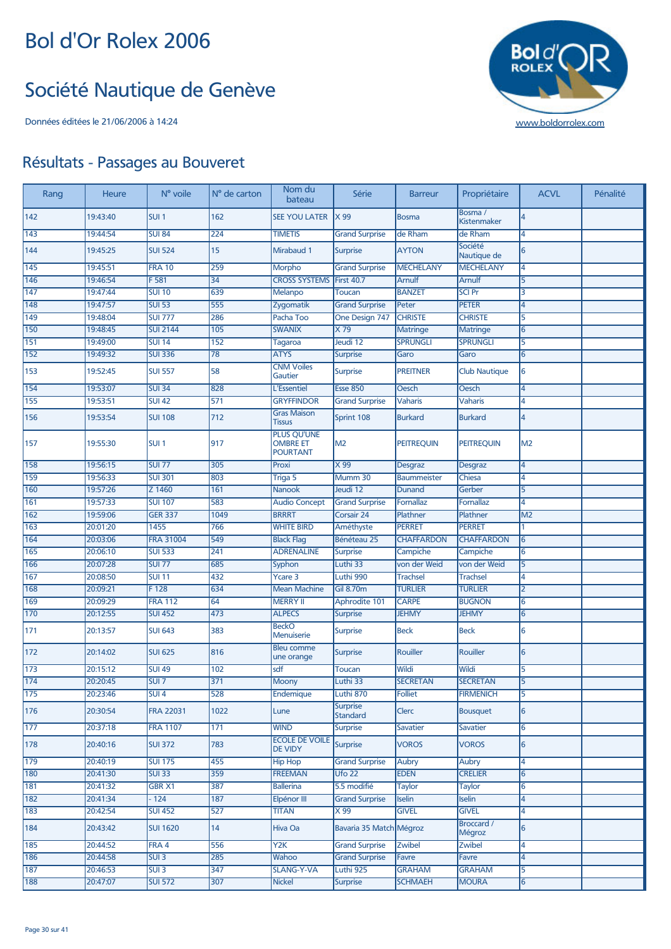#### Société Nautique de Genève



| Rang             | <b>Heure</b> | N° voile         | N° de carton     | Nom du<br>bateau                                         | Série                              | <b>Barreur</b>     | Propriétaire           | <b>ACVL</b>    | Pénalité |
|------------------|--------------|------------------|------------------|----------------------------------------------------------|------------------------------------|--------------------|------------------------|----------------|----------|
| 142              | 19:43:40     | SUI <sub>1</sub> | 162              | <b>SEE YOU LATER</b>                                     | X99                                | Bosma              | Bosma /<br>Kistenmaker | 4              |          |
| 143              | 19:44:54     | <b>SUI 84</b>    | 224              | <b>TIMETIS</b>                                           | <b>Grand Surprise</b>              | de Rham            | de Rham                | 4              |          |
| 144              | 19:45:25     | <b>SUI 524</b>   | 15               | Mirabaud 1                                               | <b>Surprise</b>                    | <b>AYTON</b>       | Société<br>Nautique de | 6              |          |
| 145              | 19:45:51     | <b>FRA 10</b>    | 259              | Morpho                                                   | <b>Grand Surprise</b>              | <b>MECHELANY</b>   | <b>MECHELANY</b>       | 4              |          |
| 146              | 19:46:54     | F <sub>581</sub> | $\overline{34}$  | <b>CROSS SYSTEMS</b>                                     | <b>First 40.7</b>                  | Arnulf             | Arnulf                 | $\overline{5}$ |          |
| 147              | 19:47:44     | <b>SUI 10</b>    | 639              | Melanpo                                                  | <b>Toucan</b>                      | <b>BANZET</b>      | <b>SCI Pr</b>          | 3              |          |
| 148              | 19:47:57     | <b>SUI 53</b>    | 555              | Zygomatik                                                | <b>Grand Surprise</b>              | Peter              | <b>PETER</b>           | 4              |          |
| 149              | 19:48:04     | <b>SUI 777</b>   | 286              | Pacha Too                                                | One Design 747                     | <b>CHRISTE</b>     | <b>CHRISTE</b>         | 5              |          |
| 150              | 19:48:45     | <b>SUI 2144</b>  | 105              | <b>SWANIX</b>                                            | X79                                | <b>Matringe</b>    | <b>Matringe</b>        | 6              |          |
| 151              | 19:49:00     | <b>SUI 14</b>    | 152              | Tagaroa                                                  | Jeudi 12                           | <b>SPRUNGLI</b>    | <b>SPRUNGLI</b>        | 5              |          |
| 152              | 19:49:32     | <b>SUI 336</b>   | 78               | <b>ATYS</b>                                              | <b>Surprise</b>                    | Garo               | Garo                   | $6\phantom{1}$ |          |
| 153              | 19:52:45     | <b>SUI 557</b>   | 58               | <b>CNM Voiles</b><br>Gautier                             | <b>Surprise</b>                    | <b>PREITNER</b>    | <b>Club Nautique</b>   | 6              |          |
| 154              | 19:53:07     | <b>SUI 34</b>    | 828              | <b>L'Essentiel</b>                                       | <b>Esse 850</b>                    | Oesch              | Oesch                  | $\overline{4}$ |          |
| 155              | 19:53:51     | <b>SUI 42</b>    | 571              | <b>GRYFFINDOR</b>                                        | <b>Grand Surprise</b>              | <b>Vaharis</b>     | Vaharis                | 4              |          |
|                  |              |                  |                  | <b>Gras Maison</b>                                       |                                    |                    |                        |                |          |
| 156              | 19:53:54     | <b>SUI 108</b>   | 712              | <b>Tissus</b>                                            | Sprint 108                         | <b>Burkard</b>     | <b>Burkard</b>         | $\overline{4}$ |          |
| 157              | 19:55:30     | SUI <sub>1</sub> | 917              | <b>PLUS QU'UNE</b><br><b>OMBRE ET</b><br><b>POURTANT</b> | M2                                 | <b>PEITREQUIN</b>  | <b>PEITREQUIN</b>      | M <sub>2</sub> |          |
| 158              | 19:56:15     | <b>SUI 77</b>    | 305              | Proxi                                                    | X 99                               | <b>Desgraz</b>     | <b>Desgraz</b>         | 4              |          |
| 159              | 19:56:33     | <b>SUI 301</b>   | 803              | Triga 5                                                  | Mumm 30                            | <b>Baummeister</b> | <b>Chiesa</b>          | 4              |          |
| 160              | 19:57:26     | Z 1460           | 161              | <b>Nanook</b>                                            | Jeudi 12                           | Dunand             | Gerber                 | 5              |          |
| 161              | 19:57:33     | <b>SUI 107</b>   | 583              | <b>Audio Concept</b>                                     | <b>Grand Surprise</b>              | Fornallaz          | Fornallaz              | 4              |          |
| 162              | 19:59:06     | <b>GER 337</b>   | 1049             | <b>BRRRT</b>                                             | Corsair 24                         | Plathner           | Plathner               | M <sub>2</sub> |          |
| 163              | 20:01:20     | 1455             | 766              | <b>WHITE BIRD</b>                                        | Améthyste                          | <b>PERRET</b>      | <b>PERRET</b>          | 1              |          |
| 164              | 20:03:06     | <b>FRA 31004</b> | 549              | <b>Black Flag</b>                                        | Bénéteau 25                        | <b>CHAFFARDON</b>  | <b>CHAFFARDON</b>      | 6              |          |
| 165              | 20:06:10     | <b>SUI 533</b>   | 241              | <b>ADRENALINE</b>                                        | <b>Surprise</b>                    | Campiche           | Campiche               | 6              |          |
| 166              | 20:07:28     | <b>SUI 77</b>    | 685              | Syphon                                                   | Luthi 33                           | von der Weid       | von der Weid           | 5              |          |
| 167              | 20:08:50     | SUI 11           | 432              | <b>Ycare 3</b>                                           | Luthi 990                          | <b>Trachsel</b>    | <b>Trachsel</b>        | 4              |          |
| 168              | 20:09:21     | F128             | 634              | <b>Mean Machine</b>                                      | <b>Gil 8.70m</b>                   | <b>TURLIER</b>     | <b>TURLIER</b>         | $\overline{2}$ |          |
| 169              | 20:09:29     | <b>FRA 112</b>   | 64               | <b>MERRY II</b>                                          | Aphrodite 101                      | <b>CARPE</b>       | <b>BUGNON</b>          | 6              |          |
| 170              | 20:12:55     | <b>SUI 452</b>   | 473              | <b>ALPECS</b>                                            | <b>Surprise</b>                    | <b>JEHMY</b>       | <b>JEHMY</b>           | 6              |          |
| 171              | 20:13:57     | <b>SUI 643</b>   | 383              | <b>BeckO</b><br>Menuiserie                               | <b>Surprise</b>                    | <b>Beck</b>        | <b>Beck</b>            | 6              |          |
| 172              | 20:14:02     | <b>SUI 625</b>   | 816              | <b>Bleu comme</b><br>une orange                          | <b>Surprise</b>                    | Rouiller           | Rouiller               | 6              |          |
| 173              | 20:15:12     | <b>SUI 49</b>    | 102              | sdf                                                      | <b>Toucan</b>                      | Wildi              | Wildi                  | $\overline{5}$ |          |
| 174              | 20:20:45     | SUI <sub>7</sub> | 371              | Moony                                                    | Luthi 33                           | <b>SECRETAN</b>    | <b>SECRETAN</b>        | $\overline{5}$ |          |
| 175              | 20:23:46     | SUI <sub>4</sub> | 528              | Endemique                                                | Luthi 870                          | <b>Folliet</b>     | <b>FIRMENICH</b>       | 5              |          |
| 176              | 20:30:54     | <b>FRA 22031</b> | 1022             | Lune                                                     | <b>Surprise</b><br><b>Standard</b> | Clerc              | <b>Bousquet</b>        | $6\phantom{1}$ |          |
| 177              | 20:37:18     | <b>FRA 1107</b>  | 171              | <b>WIND</b>                                              | <b>Surprise</b>                    | Savatier           | <b>Savatier</b>        | 6              |          |
| 178              | 20:40:16     | <b>SUI 372</b>   | 783              | <b>ECOLE DE VOILE</b><br>DE VIDY                         | Surprise                           | <b>VOROS</b>       | <b>VOROS</b>           | $6\phantom{1}$ |          |
| 179              | 20:40:19     | <b>SUI 175</b>   | 455              | <b>Hip Hop</b>                                           | <b>Grand Surprise</b>              | Aubry              | Aubry                  | 4              |          |
| 180              | 20:41:30     | <b>SUI 33</b>    | 359              | <b>FREEMAN</b>                                           | Ufo 22                             | <b>EDEN</b>        | <b>CRELIER</b>         | 6              |          |
| 181              | 20:41:32     | <b>GBR X1</b>    | 387              | <b>Ballerina</b>                                         | 5.5 modifié                        | Taylor             | Taylor                 | 6              |          |
| 182              | 20:41:34     | $-124$           | $\overline{187}$ | Elpénor III                                              | <b>Grand Surprise</b>              | Iselin             | Iselin                 | 4              |          |
| $\overline{183}$ | 20:42:54     | <b>SUI 452</b>   | 527              | <b>TITAN</b>                                             | X 99                               | <b>GIVEL</b>       | <b>GIVEL</b>           | 4              |          |
| 184              | 20:43:42     | <b>SUI 1620</b>  | 14               | Hiva Oa                                                  | Bavaria 35 Match Mégroz            |                    | Broccard /<br>Mégroz   | 6              |          |
| 185              | 20:44:52     | FRA 4            | 556              | $\overline{Y2K}$                                         | <b>Grand Surprise</b>              | <b>Zwibel</b>      | Zwibel                 | 4              |          |
| 186              | 20:44:58     | SUI3             | 285              | Wahoo                                                    | <b>Grand Surprise</b>              | Favre              | Favre                  | 4              |          |
| 187              | 20:46:53     | SUI3             | 347              | <b>SLANG-Y-VA</b>                                        | Luthi 925                          | <b>GRAHAM</b>      | <b>GRAHAM</b>          | 5              |          |
|                  | 20:47:07     | <b>SUI 572</b>   | 307              | <b>Nickel</b>                                            | <b>Surprise</b>                    | <b>SCHMAEH</b>     | <b>MOURA</b>           | 6              |          |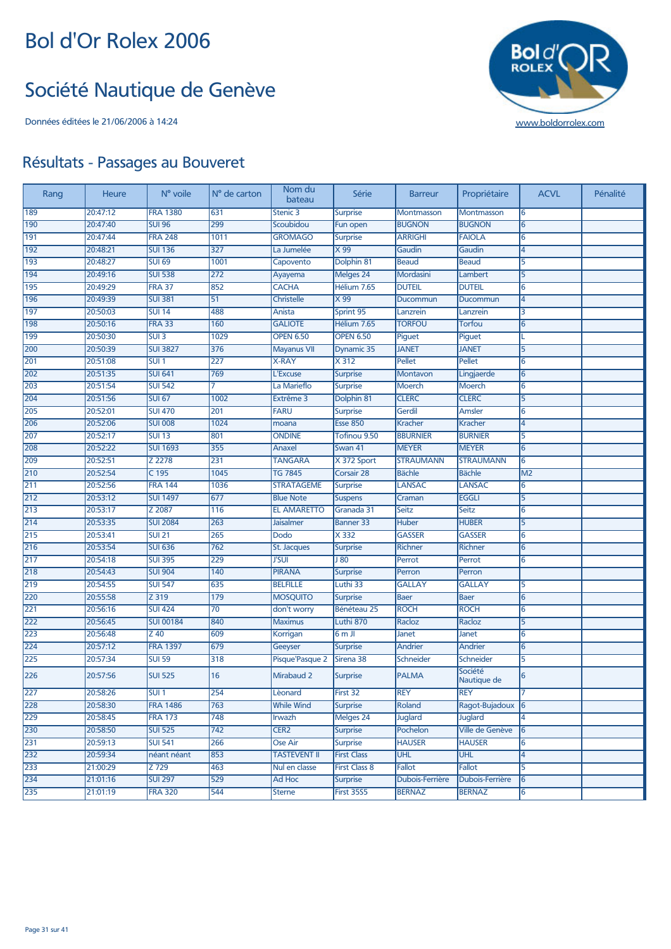#### Société Nautique de Genève



| Rang | Heure    | N° voile         | $No$ de carton   | Nom du<br>bateau    | Série                | <b>Barreur</b>    | Propriétaire           | <b>ACVL</b>    | Pénalité |
|------|----------|------------------|------------------|---------------------|----------------------|-------------------|------------------------|----------------|----------|
| 189  | 20:47:12 | <b>FRA 1380</b>  | 631              | Stenic 3            | <b>Surprise</b>      | <b>Montmasson</b> | Montmasson             | 6              |          |
| 190  | 20:47:40 | <b>SUI 96</b>    | 299              | Scoubidou           | Fun open             | <b>BUGNON</b>     | <b>BUGNON</b>          | $\overline{6}$ |          |
| 191  | 20:47:44 | <b>FRA 248</b>   | 1011             | <b>GROMAGO</b>      | <b>Surprise</b>      | <b>ARRIGHI</b>    | <b>FAIOLA</b>          | 6              |          |
| 192  | 20:48:21 | <b>SUI 136</b>   | $\overline{327}$ | La Jumelée          | $\times 99$          | Gaudin            | Gaudin                 | 4              |          |
| 193  | 20:48:27 | <b>SUI 69</b>    | 1001             | Capovento           | Dolphin 81           | <b>Beaud</b>      | <b>Beaud</b>           | 5              |          |
| 194  | 20:49:16 | <b>SUI 538</b>   | 272              | Ayayema             | Melges 24            | Mordasini         | Lambert                | 5              |          |
| 195  | 20:49:29 | <b>FRA 37</b>    | 852              | <b>CACHA</b>        | Hélium 7.65          | <b>DUTEIL</b>     | <b>DUTEIL</b>          | 6              |          |
| 196  | 20:49:39 | <b>SUI 381</b>   | 51               | <b>Christelle</b>   | $\times 99$          | Ducommun          | Ducommun               | 4              |          |
| 197  | 20:50:03 | <b>SUI 14</b>    | 488              | Anista              | Sprint 95            | Lanzrein          | Lanzrein               | 3              |          |
| 198  | 20:50:16 | <b>FRA 33</b>    | 160              | <b>GALIOTE</b>      | Hélium 7.65          | <b>TORFOU</b>     | Torfou                 | 6              |          |
| 199  | 20:50:30 | SUI3             | 1029             | <b>OPEN 6.50</b>    | <b>OPEN 6.50</b>     | Piguet            | Piguet                 | L              |          |
| 200  | 20:50:39 | <b>SUI 3827</b>  | 376              | <b>Mayanus VII</b>  | Dynamic 35           | <b>JANET</b>      | <b>JANET</b>           | 5              |          |
| 201  | 20:51:08 | SUI <sub>1</sub> | 227              | <b>X-RAY</b>        | X312                 | Pellet            | Pellet                 | 6              |          |
| 202  | 20:51:35 | <b>SUI 641</b>   | 769              | L'Excuse            | <b>Surprise</b>      | Montavon          | Lingjaerde             | 6              |          |
| 203  | 20:51:54 | <b>SUI 542</b>   |                  | La Marieflo         | <b>Surprise</b>      | <b>Moerch</b>     | <b>Moerch</b>          | 6              |          |
| 204  | 20:51:56 | <b>SUI 67</b>    | 1002             | Extrême 3           | Dolphin 81           | <b>CLERC</b>      | <b>CLERC</b>           | 5              |          |
| 205  | 20:52:01 | <b>SUI 470</b>   | 201              | <b>FARU</b>         | <b>Surprise</b>      | Gerdil            | Amsler                 | 6              |          |
| 206  | 20:52:06 | <b>SUI 008</b>   | 1024             | moana               | <b>Esse 850</b>      | Kracher           | Kracher                | 4              |          |
| 207  | 20:52:17 | <b>SUI 13</b>    | 801              | <b>ONDINE</b>       | Tofinou 9.50         | <b>BBURNIER</b>   | <b>BURNIER</b>         | 5              |          |
| 208  | 20:52:22 | <b>SUI 1693</b>  | 355              | Anaxel              | Swan 41              | <b>MEYER</b>      | <b>MEYER</b>           | 6              |          |
| 209  | 20:52:51 | Z 2278           | 231              | <b>TANGARA</b>      | X 372 Sport          | <b>STRAUMANN</b>  | <b>STRAUMANN</b>       | 6              |          |
| 210  | 20:52:54 | C 195            | 1045             | <b>TG 7845</b>      | Corsair 28           | <b>Bächle</b>     | <b>Bächle</b>          | M <sub>2</sub> |          |
| 211  | 20:52:56 | <b>FRA 144</b>   | 1036             | <b>STRATAGEME</b>   | <b>Surprise</b>      | <b>LANSAC</b>     | <b>LANSAC</b>          | 6              |          |
| 212  | 20:53:12 | <b>SUI 1497</b>  | 677              | <b>Blue Note</b>    | <b>Suspens</b>       | Craman            | <b>EGGLI</b>           | 5              |          |
| 213  | 20:53:17 | Z 2087           | 116              | <b>EL AMARETTO</b>  | Granada 31           | Seitz             | Seitz                  | 6              |          |
| 214  | 20:53:35 | <b>SUI 2084</b>  | 263              | <b>Jaisalmer</b>    | <b>Banner 33</b>     | <b>Huber</b>      | <b>HUBER</b>           | 5              |          |
| 215  | 20:53:41 | $SUI$ 21         | 265              | Dodo                | X 332                | <b>GASSER</b>     | <b>GASSER</b>          | 6              |          |
| 216  | 20:53:54 | <b>SUI 636</b>   | 762              | St. Jacques         | <b>Surprise</b>      | Richner           | <b>Richner</b>         | 6              |          |
| 217  | 20:54:18 | <b>SUI 395</b>   | 229              | <b>J'SUI</b>        | J80                  | Perrot            | Perrot                 | 6              |          |
| 218  | 20:54:43 | <b>SUI 904</b>   | 140              | <b>PIRANA</b>       | <b>Surprise</b>      | Perron            | Perron                 |                |          |
| 219  | 20:54:55 | <b>SUI 547</b>   | 635              | <b>BELFILLE</b>     | Luthi 33             | <b>GALLAY</b>     | <b>GALLAY</b>          | 5              |          |
| 220  | 20:55:58 | $Z$ 319          | 179              | <b>MOSQUITO</b>     | <b>Surprise</b>      | <b>Baer</b>       | <b>Baer</b>            | 6              |          |
| 221  | 20:56:16 | <b>SUI 424</b>   | $\overline{70}$  | don't worry         | Bénéteau 25          | <b>ROCH</b>       | <b>ROCH</b>            | 6              |          |
| 222  | 20:56:45 | <b>SUI 00184</b> | 840              | <b>Maximus</b>      | Luthi 870            | Racloz            | Racloz                 | 5              |          |
| 223  | 20:56:48 | Z 40             | 609              | Korrigan            | $6m$ JI              | Janet             | Janet                  | 6              |          |
| 224  | 20:57:12 | <b>FRA 1397</b>  | 679              | Geeyser             | <b>Surprise</b>      | Andrier           | Andrier                | 6              |          |
| 225  | 20:57:34 | <b>SUI 59</b>    | 318              | Pisque'Pasque 2     | Sirena 38            | Schneider         | Schneider              | 5              |          |
| 226  | 20:57:56 | <b>SUI 525</b>   | 16               | Mirabaud 2          | <b>Surprise</b>      | <b>PALMA</b>      | Société<br>Nautique de | 6              |          |
| 227  | 20:58:26 | SUI 1            | 254              | Lèonard             | First 32             | REY               | <b>REY</b>             |                |          |
| 228  | 20:58:30 | <b>FRA 1486</b>  | 763              | <b>While Wind</b>   | <b>Surprise</b>      | Roland            | Ragot-Bujadoux 6       |                |          |
| 229  | 20:58:45 | <b>FRA 173</b>   | 748              | Irwazh              | Melges 24            | <b>Juglard</b>    | <b>Juglard</b>         | 4              |          |
| 230  | 20:58:50 | <b>SUI 525</b>   | $\overline{742}$ | CER <sub>2</sub>    | <b>Surprise</b>      | Pochelon          | Ville de Genève        | 6              |          |
| 231  | 20:59:13 | <b>SUI 541</b>   | 266              | Ose Air             | <b>Surprise</b>      | <b>HAUSER</b>     | <b>HAUSER</b>          | 6              |          |
| 232  | 20:59:34 | néant néant      | 853              | <b>TASTEVENT II</b> | <b>First Class</b>   | <b>UHL</b>        | <b>UHL</b>             | 4              |          |
| 233  | 21:00:29 | $Z$ 729          | 463              | Nul en classe       | <b>First Class 8</b> | Fallot            | Fallot                 | 5              |          |
| 234  | 21:01:16 | <b>SUI 297</b>   | 529              | Ad Hoc              | <b>Surprise</b>      | Dubois-Ferrière   | Dubois-Ferrière        | 6              |          |
| 235  | 21:01:19 | <b>FRA 320</b>   | 544              | <b>Sterne</b>       | <b>First 35S5</b>    | <b>BERNAZ</b>     | <b>BERNAZ</b>          | 6              |          |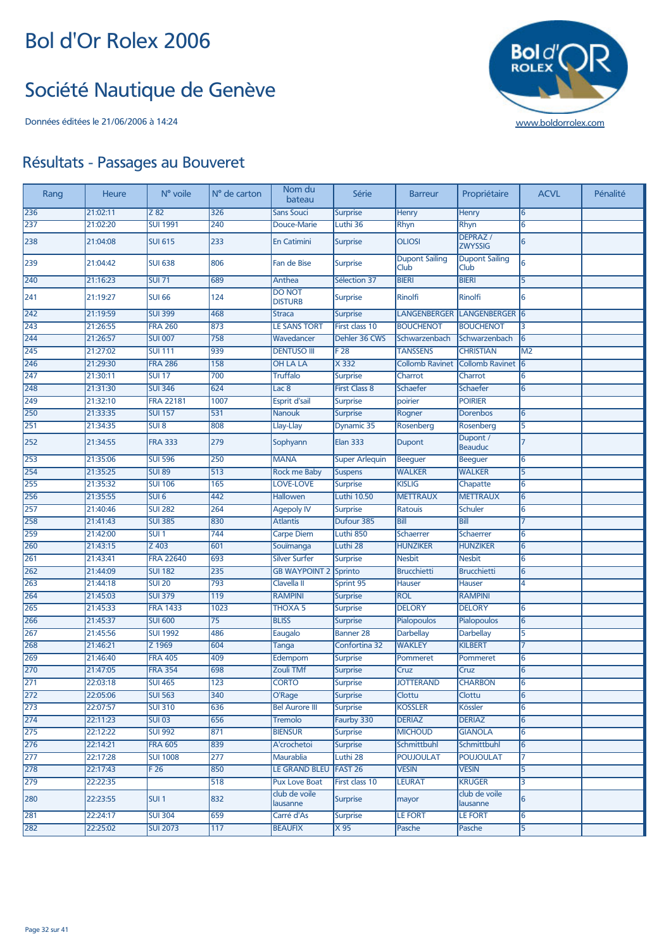#### Société Nautique de Genève



| Rang             | <b>Heure</b> | N° voile         | N° de carton     | Nom du<br>bateau                | Série                 | <b>Barreur</b>                       | Propriétaire                      | <b>ACVL</b>    | Pénalité |
|------------------|--------------|------------------|------------------|---------------------------------|-----------------------|--------------------------------------|-----------------------------------|----------------|----------|
| 236              | 21:02:11     | Z 82             | 326              | <b>Sans Souci</b>               | <b>Surprise</b>       | <b>Henry</b>                         | Henry                             | 6              |          |
| 237              | 21:02:20     | <b>SUI 1991</b>  | 240              | Douce-Marie                     | Luthi 36              | <b>Rhyn</b>                          | Rhyn                              | 6              |          |
| 238              | 21:04:08     | <b>SUI 615</b>   | 233              | <b>En Catimini</b>              | <b>Surprise</b>       | <b>OLIOSI</b>                        | <b>DEPRAZ</b> /<br><b>ZWYSSIG</b> | $6\phantom{1}$ |          |
| 239              | 21:04:42     | <b>SUI 638</b>   | 806              | Fan de Bise                     | <b>Surprise</b>       | <b>Dupont Sailing</b><br><b>Club</b> | <b>Dupont Sailing</b><br>Club     | 6              |          |
| 240              | 21:16:23     | <b>SUI 71</b>    | 689              | Anthea                          | Sélection 37          | <b>BIERI</b>                         | <b>BIERI</b>                      | 5              |          |
| 241              | 21:19:27     | <b>SUI 66</b>    | 124              | <b>DO NOT</b><br><b>DISTURB</b> | <b>Surprise</b>       | Rinolfi                              | <b>Rinolfi</b>                    | 6              |          |
| 242              | 21:19:59     | <b>SUI 399</b>   | 468              | <b>Straca</b>                   | <b>Surprise</b>       | <b>LANGENBERGER</b>                  | LANGENBERGER 6                    |                |          |
| 243              | 21:26:55     | <b>FRA 260</b>   | 873              | <b>LE SANS TORT</b>             | First class 10        | <b>BOUCHENOT</b>                     | <b>BOUCHENOT</b>                  | 3              |          |
| 244              | 21:26:57     | <b>SUI 007</b>   | 758              | Wavedancer                      | Dehler 36 CWS         | Schwarzenbach                        | Schwarzenbach                     | 6              |          |
| 245              | 21:27:02     | <b>SUI 111</b>   | 939              | <b>DENTUSO III</b>              | F 28                  | <b>TANSSENS</b>                      | <b>CHRISTIAN</b>                  | M <sub>2</sub> |          |
| 246              | 21:29:30     | <b>FRA 286</b>   | 158              | <b>OH LA LA</b>                 | $X$ 332               | <b>Collomb Ravinet</b>               | <b>Collomb Ravinet</b>            | 6              |          |
| 247              | 21:30:11     | <b>SUI 17</b>    | 700              | <b>Truffalo</b>                 | <b>Surprise</b>       | Charrot                              | Charrot                           | 6              |          |
| 248              | 21:31:30     | <b>SUI 346</b>   | 624              | Lac <sub>8</sub>                | <b>First Class 8</b>  | Schaefer                             | Schaefer                          | 6              |          |
| 249              | 21:32:10     | <b>FRA 22181</b> | 1007             | Esprit d'sail                   | <b>Surprise</b>       | poirier                              | <b>POIRIER</b>                    |                |          |
| 250              | 21:33:35     | <b>SUI 157</b>   | 531              | <b>Nanouk</b>                   | <b>Surprise</b>       | Rogner                               | <b>Dorenbos</b>                   | 6              |          |
| 251              | 21:34:35     | SUI <sub>8</sub> | 808              | Llay-Llay                       | Dynamic 35            | Rosenberg                            | Rosenberg                         | 5              |          |
| 252              | 21:34:55     | <b>FRA 333</b>   | 279              | Sophyann                        | <b>Elan 333</b>       | Dupont                               | Dupont /<br><b>Beauduc</b>        | 7              |          |
| 253              | 21:35:06     | <b>SUI 596</b>   | 250              | <b>MANA</b>                     | <b>Super Arlequin</b> | Beeguer                              | Beeguer                           | 6              |          |
| 254              | 21:35:25     | <b>SUI 89</b>    | 513              | <b>Rock me Baby</b>             | <b>Suspens</b>        | <b>WALKER</b>                        | <b>WALKER</b>                     | 5              |          |
| 255              | 21:35:32     | <b>SUI 106</b>   | 165              | <b>LOVE-LOVE</b>                | <b>Surprise</b>       | <b>KISLIG</b>                        | Chapatte                          | 6              |          |
| 256              | 21:35:55     | SUI <sub>6</sub> | 442              | Hallowen                        | <b>Luthi 10.50</b>    | <b>METTRAUX</b>                      | <b>METTRAUX</b>                   | 6              |          |
| 257              | 21:40:46     | <b>SUI 282</b>   | 264              | <b>Agepoly IV</b>               | <b>Surprise</b>       | Ratouis                              | <b>Schuler</b>                    | 6              |          |
| 258              | 21:41:43     | <b>SUI 385</b>   | 830              | <b>Atlantis</b>                 | Dufour 385            | Bill                                 | <b>Bill</b>                       | 7              |          |
| 259              | 21:42:00     | SUI <sub>1</sub> | 744              | <b>Carpe Diem</b>               | Luthi 850             | Schaerrer                            | Schaerrer                         | 6              |          |
| 260              | 21:43:15     | Z 403            | 601              | Souïmanga                       | Luthi 28              | <b>HUNZIKER</b>                      | <b>HUNZIKER</b>                   | 6              |          |
| 261              | 21:43:41     | <b>FRA 22640</b> | 693              | <b>Silver Surfer</b>            | <b>Surprise</b>       | <b>Nesbit</b>                        | <b>Nesbit</b>                     | 6              |          |
| 262              | 21:44:09     | <b>SUI 182</b>   | 235              | <b>GB WAYPOINT 2</b>            | Sprinto               | <b>Brucchietti</b>                   | <b>Brucchietti</b>                | 6              |          |
| 263              | 21:44:18     | <b>SUI 20</b>    | 793              | Clavella II                     | Sprint 95             | Hauser                               | Hauser                            | 4              |          |
| 264              | 21:45:03     | <b>SUI 379</b>   | 119              | <b>RAMPINI</b>                  | <b>Surprise</b>       | <b>ROL</b>                           | <b>RAMPINI</b>                    |                |          |
| 265              | 21:45:33     | <b>FRA 1433</b>  | 1023             | <b>THOXA 5</b>                  | <b>Surprise</b>       | <b>DELORY</b>                        | <b>DELORY</b>                     | 6              |          |
| 266              | 21:45:37     | <b>SUI 600</b>   | $\overline{75}$  | <b>BLISS</b>                    | <b>Surprise</b>       | Pialopoulos                          | Pialopoulos                       | 6              |          |
| 267              | 21:45:56     | <b>SUI 1992</b>  | 486              | Eaugalo                         | <b>Banner 28</b>      | <b>Darbellay</b>                     | <b>Darbellay</b>                  | 5              |          |
| 268              | 21:46:21     | Z 1969           | 604              | Tanga                           | Confortina 32         | <b>WAKLEY</b>                        | <b>KILBERT</b>                    | 7              |          |
| 269              | 21:46:40     | <b>FRA 405</b>   | 409              | Edempom                         | <b>Surprise</b>       | Pommeret                             | Pommeret                          | 6              |          |
| 270              | 21:47:05     | <b>FRA 354</b>   | 698              | <b>Zouli TMf</b>                | <b>Surprise</b>       | Cruz                                 | Cruz                              | 6              |          |
| 271              | 22:03:18     | <b>SUI 465</b>   | 123              | <b>CORTO</b>                    | <b>Surprise</b>       | <b>JOTTERAND</b>                     | <b>CHARBON</b>                    | 6              |          |
| 272              | 22:05:06     | <b>SUI 563</b>   | 340              | O'Rage                          | <b>Surprise</b>       | Clottu                               | Clottu                            | 6              |          |
| 273              | 22:07:57     | <b>SUI 310</b>   | 636              | <b>Bel Aurore III</b>           | <b>Surprise</b>       | <b>KOSSLER</b>                       | Kössler                           | 6              |          |
| $\overline{274}$ | 22:11:23     | <b>SUI 03</b>    | 656              | <b>Tremolo</b>                  | Faurby 330            | <b>DERIAZ</b>                        | <b>DERIAZ</b>                     | 6              |          |
| 275              | 22:12:22     | <b>SUI 992</b>   | 871              | <b>BIENSUR</b>                  | <b>Surprise</b>       | <b>MICHOUD</b>                       | <b>GIANOLA</b>                    | 6              |          |
| 276              | 22:14:21     | <b>FRA 605</b>   | 839              | A'crochetoi                     | <b>Surprise</b>       | Schmittbuhl                          | Schmittbuhl                       | 6              |          |
| 277              | 22:17:28     | <b>SUI 1008</b>  | $\overline{277}$ | <b>Maurablia</b>                | Luthi 28              | <b>POUJOULAT</b>                     | <b>POUJOULAT</b>                  | 7              |          |
| 278              | 22:17:43     | F <sub>26</sub>  | 850              | <b>LE GRAND BLEU</b>            | FAST <sub>26</sub>    | <b>VESIN</b>                         | <b>VESIN</b>                      | 5              |          |
| 279              | 22:22:35     |                  | 518              | <b>Pux Love Boat</b>            | <b>First class 10</b> | <b>LEURAT</b>                        | <b>KRUGER</b>                     | 3              |          |
| 280              | 22:23:55     | SUI <sub>1</sub> | 832              | club de voile<br>lausanne       | <b>Surprise</b>       | mayor                                | club de voile<br>lausanne         | 6              |          |
| 281              | 22:24:17     | <b>SUI 304</b>   | 659              | Carré d'As                      | <b>Surprise</b>       | <b>LE FORT</b>                       | <b>LE FORT</b>                    | 6              |          |
| 282              | 22:25:02     | <b>SUI 2073</b>  | 117              | <b>BEAUFIX</b>                  | X <sub>95</sub>       | Pasche                               | Pasche                            | 5              |          |
|                  |              |                  |                  |                                 |                       |                                      |                                   |                |          |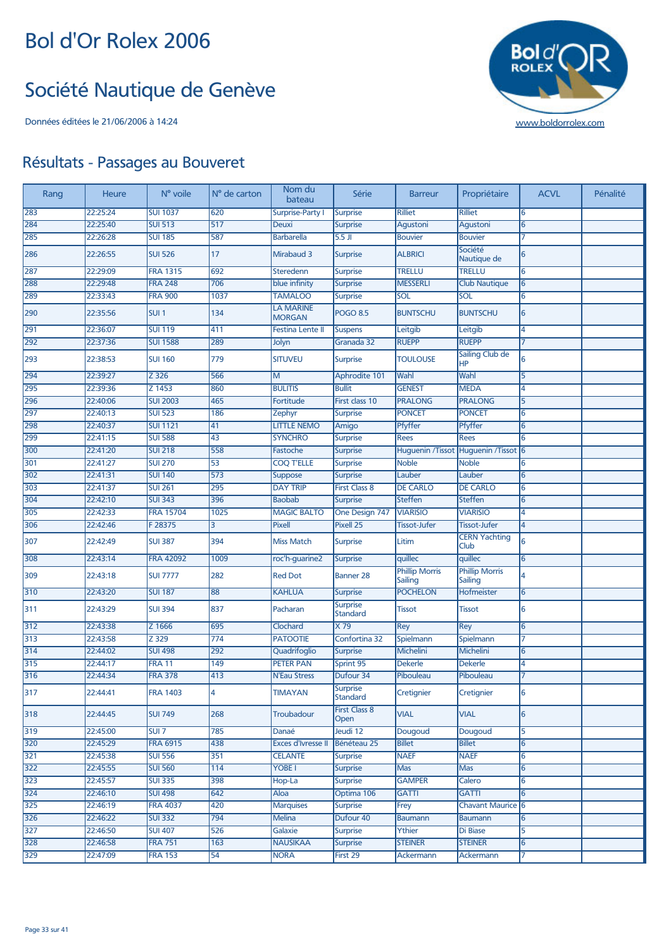#### Société Nautique de Genève



| Rang | Heure    | N° voile         | N° de carton     | Nom du<br>bateau                  | Série                        | <b>Barreur</b>                   | Propriétaire                        | <b>ACVL</b>     | Pénalité |
|------|----------|------------------|------------------|-----------------------------------|------------------------------|----------------------------------|-------------------------------------|-----------------|----------|
| 283  | 22:25:24 | <b>SUI 1037</b>  | 620              | <b>Surprise-Party I</b>           | <b>Surprise</b>              | <b>Rilliet</b>                   | <b>Rilliet</b>                      | 6               |          |
| 284  | 22:25:40 | <b>SUI 513</b>   | 517              | <b>Deuxi</b>                      | <b>Surprise</b>              | Agustoni                         | Agustoni                            | 6               |          |
| 285  | 22:26:28 | <b>SUI 185</b>   | 587              | <b>Barbarella</b>                 | $5.5$ JI                     | <b>Bouvier</b>                   | <b>Bouvier</b>                      | 7               |          |
| 286  | 22:26:55 | <b>SUI 526</b>   | 17               | Mirabaud 3                        | <b>Surprise</b>              | <b>ALBRICI</b>                   | Société<br>Nautique de              | 6               |          |
| 287  | 22:29:09 | <b>FRA 1315</b>  | 692              | Steredenn                         | <b>Surprise</b>              | <b>TRELLU</b>                    | <b>TRELLU</b>                       | 6               |          |
| 288  | 22:29:48 | <b>FRA 248</b>   | 706              | blue infinity                     | <b>Surprise</b>              | <b>MESSERLI</b>                  | <b>Club Nautique</b>                | 6               |          |
| 289  | 22:33:43 | <b>FRA 900</b>   | 1037             | <b>TAMALOO</b>                    | <b>Surprise</b>              | SOL                              | SOL                                 | 6               |          |
| 290  | 22:35:56 | SUI <sub>1</sub> | 134              | <b>LA MARINE</b><br><b>MORGAN</b> | <b>POGO 8.5</b>              | <b>BUNTSCHU</b>                  | <b>BUNTSCHU</b>                     | 6               |          |
| 291  | 22:36:07 | <b>SUI 119</b>   | 411              | <b>Festina Lente II</b>           | <b>Suspens</b>               | Leitgib                          | Leitgib                             | 4               |          |
| 292  | 22:37:36 | <b>SUI 1588</b>  | 289              | Jolyn                             | Granada 32                   | <b>RUEPP</b>                     | <b>RUEPP</b>                        | 7               |          |
| 293  | 22:38:53 | <b>SUI 160</b>   | 779              | <b>SITUVEU</b>                    | <b>Surprise</b>              | <b>TOULOUSE</b>                  | Sailing Club de<br><b>HP</b>        | 6               |          |
| 294  | 22:39:27 | Z 326            | 566              | M                                 | Aphrodite 101                | Wahl                             | Wahl                                | 5               |          |
| 295  | 22:39:36 | Z 1453           | 860              | <b>BULITIS</b>                    | <b>Bullit</b>                | <b>GENEST</b>                    | <b>MEDA</b>                         | 4               |          |
| 296  | 22:40:06 | <b>SUI 2003</b>  | 465              | Fortitude                         | First class 10               | <b>PRALONG</b>                   | <b>PRALONG</b>                      | 5               |          |
| 297  | 22:40:13 | <b>SUI 523</b>   | 186              | Zephyr                            | Surprise                     | <b>PONCET</b>                    | <b>PONCET</b>                       | 6               |          |
| 298  | 22:40:37 | <b>SUI 1121</b>  | 41               | <b>LITTLE NEMO</b>                | Amigo                        | Pfyffer                          | Pfyffer                             | 6               |          |
| 299  | 22:41:15 | <b>SUI 588</b>   | 43               | <b>SYNCHRO</b>                    | Surprise                     | <b>Rees</b>                      | <b>Rees</b>                         | 6               |          |
| 300  | 22:41:20 | <b>SUI 218</b>   | 558              | Fastoche                          | <b>Surprise</b>              |                                  | Huguenin /Tissot Huguenin /Tissot 6 |                 |          |
| 301  | 22:41:27 | <b>SUI 270</b>   | 53               | <b>COQ T'ELLE</b>                 | <b>Surprise</b>              | <b>Noble</b>                     | <b>Noble</b>                        | 6               |          |
| 302  | 22:41:31 | <b>SUI 140</b>   | 573              | <b>Suppose</b>                    | <b>Surprise</b>              | Lauber                           | Lauber                              | 6               |          |
| 303  | 22:41:37 | <b>SUI 261</b>   | 295              | <b>DAY TRIP</b>                   | <b>First Class 8</b>         | <b>DE CARLO</b>                  | <b>DE CARLO</b>                     | 6               |          |
| 304  | 22:42:10 | <b>SUI 343</b>   | 396              | <b>Baobab</b>                     | <b>Surprise</b>              | <b>Steffen</b>                   | <b>Steffen</b>                      | 6               |          |
| 305  | 22:42:33 | <b>FRA 15704</b> | 1025             | <b>MAGIC BALTO</b>                | One Design 747               | <b>VIARISIO</b>                  | <b>VIARISIO</b>                     | 4               |          |
| 306  | 22:42:46 | F 28375          | 3                | Pixell                            | Pixell 25                    | <b>Tissot-Jufer</b>              | <b>Tissot-Jufer</b>                 | $\overline{4}$  |          |
| 307  | 22:42:49 | <b>SUI 387</b>   | 394              | <b>Miss Match</b>                 | <b>Surprise</b>              | Litim                            | <b>CERN Yachting</b><br>Club        | 6               |          |
| 308  | 22:43:14 | <b>FRA 42092</b> | 1009             | roc'h-guarine2                    | <b>Surprise</b>              | quillec                          | quillec                             | 6               |          |
| 309  | 22:43:18 | <b>SUI 7777</b>  | 282              | <b>Red Dot</b>                    | <b>Banner 28</b>             | <b>Phillip Morris</b><br>Sailing | <b>Phillip Morris</b><br>Sailing    | 4               |          |
| 310  | 22:43:20 | <b>SUI 187</b>   | 88               | <b>KAHLUA</b>                     | <b>Surprise</b>              | <b>POCHELON</b>                  | Hofmeister                          | 6               |          |
| 311  | 22:43:29 | <b>SUI 394</b>   | 837              | Pacharan                          | <b>Surprise</b><br>Standard  | Tissot                           | <b>Tissot</b>                       | 6               |          |
| 312  | 22:43:38 | Z 1666           | 695              | Clochard                          | $\times 79$                  | Rey                              | Rey                                 | 6               |          |
| 313  | 22:43:58 | Z 329            | $\overline{774}$ | <b>PATOOTIE</b>                   | Confortina 32                | Spielmann                        | Spielmann                           | 7               |          |
| 314  | 22:44:02 | <b>SUI 498</b>   | 292              | Quadrifoglio                      | <b>Surprise</b>              | <b>Michelini</b>                 | Michelini                           | $6\overline{6}$ |          |
| 315  | 22:44:17 | <b>FRA 11</b>    | 149              | <b>PETER PAN</b>                  | Sprint 95                    | <b>Dekerle</b>                   | <b>Dekerle</b>                      | 4               |          |
| 316  | 22:44:34 | <b>FRA 378</b>   | 413              | <b>N'Eau Stress</b>               | Dufour 34                    | Pibouleau                        | Pibouleau                           |                 |          |
| 317  | 22:44:41 | FRA 1403         | 14               | TIMAYAN                           | <b>Surprise</b><br>Standard  | Cretignier                       | Cretignier                          | 16              |          |
| 318  | 22:44:45 | <b>SUI 749</b>   | 268              | Troubadour                        | <b>First Class 8</b><br>Open | <b>VIAL</b>                      | <b>VIAL</b>                         | 6               |          |
| 319  | 22:45:00 | SUI 7            | 785              | Danaé                             | Jeudi 12                     | Dougoud                          | Dougoud                             | 5               |          |
| 320  | 22:45:29 | <b>FRA 6915</b>  | 438              | <b>Exces d'Ivresse II</b>         | Bénéteau 25                  | <b>Billet</b>                    | <b>Billet</b>                       | 6               |          |
| 321  | 22:45:38 | <b>SUI 556</b>   | 351              | <b>CELANTE</b>                    | <b>Surprise</b>              | <b>NAEF</b>                      | <b>NAEF</b>                         | 6               |          |
| 322  | 22:45:55 | <b>SUI 560</b>   | 114              | YOBE I                            | <b>Surprise</b>              | Mas                              | Mas                                 | 6               |          |
| 323  | 22:45:57 | <b>SUI 335</b>   | 398              | Hop-La                            | <b>Surprise</b>              | <b>GAMPER</b>                    | Calero                              | 6               |          |
| 324  | 22:46:10 | <b>SUI 498</b>   | 642              | Aloa                              | Optima 106                   | <b>GATTI</b>                     | <b>GATTI</b>                        | 6               |          |
| 325  | 22:46:19 | <b>FRA 4037</b>  | 420              | <b>Marquises</b>                  | <b>Surprise</b>              | Frey                             | <b>Chavant Maurice 6</b>            |                 |          |
| 326  | 22:46:22 | <b>SUI 332</b>   | 794              | <b>Melina</b>                     | Dufour 40                    | <b>Baumann</b>                   | <b>Baumann</b>                      | 6               |          |
| 327  | 22:46:50 | <b>SUI 407</b>   | 526              | Galaxie                           | <b>Surprise</b>              | Ythier                           | Di Biase                            | 5               |          |
| 328  | 22:46:58 | <b>FRA 751</b>   | 163              | <b>NAUSIKAA</b>                   | <b>Surprise</b>              | <b>STEINER</b>                   | <b>STEINER</b>                      | 6               |          |
| 329  | 22:47:09 | <b>FRA 153</b>   | 54               | <b>NORA</b>                       | First 29                     | <b>Ackermann</b>                 | Ackermann                           | 7               |          |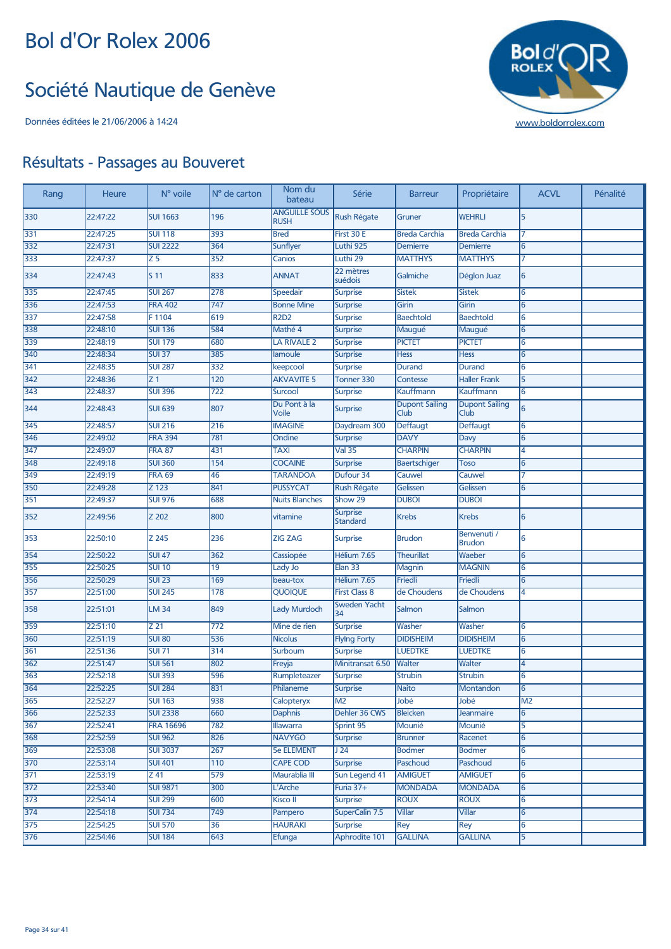#### Société Nautique de Genève



| Rang             | Heure    | N° voile           | N° de carton     | Nom du<br>bateau                    | Série                              | <b>Barreur</b>                | Propriétaire                  | <b>ACVL</b>     | Pénalité |
|------------------|----------|--------------------|------------------|-------------------------------------|------------------------------------|-------------------------------|-------------------------------|-----------------|----------|
| 330              | 22:47:22 | <b>SUI 1663</b>    | 196              | <b>ANGUILLE SOUS</b><br><b>RUSH</b> | Rush Régate                        | Gruner                        | <b>WEHRLI</b>                 | 5               |          |
| 331              | 22:47:25 | <b>SUI 118</b>     | 393              | <b>Bred</b>                         | First 30 E                         | <b>Breda Carchia</b>          | <b>Breda Carchia</b>          | 7               |          |
| 332              | 22:47:31 | <b>SUI 2222</b>    | 364              | Sunflyer                            | Luthi 925                          | Demierre                      | <b>Demierre</b>               | 6               |          |
| 333              | 22:47:37 | $\overline{Z}$ 5   | $\overline{352}$ | Canios                              | Luthi 29                           | <b>MATTHYS</b>                | <b>MATTHYS</b>                | 7               |          |
| 334              | 22:47:43 | S <sub>11</sub>    | 833              | <b>ANNAT</b>                        | 22 mètres<br>suédois               | Galmiche                      | Déglon Juaz                   | 6               |          |
| 335              | 22:47:45 | <b>SUI 267</b>     | 278              | Speedair                            | <b>Surprise</b>                    | <b>Sistek</b>                 | <b>Sistek</b>                 | 6               |          |
| 336              | 22:47:53 | <b>FRA 402</b>     | $\overline{747}$ | <b>Bonne Mine</b>                   | <b>Surprise</b>                    | Girin                         | Girin                         | 6               |          |
| 337              | 22:47:58 | F1104              | 619              | <b>R2D2</b>                         | Surprise                           | <b>Baechtold</b>              | <b>Baechtold</b>              | 6               |          |
| 338              | 22:48:10 | <b>SUI 136</b>     | 584              | Mathé 4                             | Surprise                           | Maugué                        | Maugué                        | 6               |          |
| 339              | 22:48:19 | <b>SUI 179</b>     | 680              | <b>LA RIVALE 2</b>                  | <b>Surprise</b>                    | <b>PICTET</b>                 | <b>PICTET</b>                 | 6               |          |
| 340              | 22:48:34 | <b>SUI 37</b>      | 385              | lamoule                             | Surprise                           | <b>Hess</b>                   | <b>Hess</b>                   | 6               |          |
| 341              | 22:48:35 | <b>SUI 287</b>     | 332              | keepcool                            | <b>Surprise</b>                    | <b>Durand</b>                 | <b>Durand</b>                 | 6               |          |
| 342              | 22:48:36 | Z <sub>1</sub>     | $\overline{120}$ | <b>AKVAVITE 5</b>                   | Tonner 330                         | <b>Contesse</b>               | <b>Haller Frank</b>           | 5               |          |
| 343              | 22:48:37 | <b>SUI 396</b>     | 722              | <b>Surcool</b>                      | <b>Surprise</b>                    | Kauffmann                     | Kauffmann                     | 6               |          |
| 344              | 22:48:43 | <b>SUI 639</b>     | 807              | Du Pont à la<br>Voile               | <b>Surprise</b>                    | <b>Dupont Sailing</b><br>Club | <b>Dupont Sailing</b><br>Club | $6\overline{6}$ |          |
| 345              | 22:48:57 | <b>SUI 216</b>     | 216              | <b>IMAGINE</b>                      | Daydream 300                       | Deffaugt                      | Deffaugt                      | 6               |          |
| 346              | 22:49:02 | <b>FRA 394</b>     | 781              | Ondine                              | <b>Surprise</b>                    | <b>DAVY</b>                   | Davy                          | 6               |          |
| 347              | 22:49:07 | <b>FRA 87</b>      | 431              | <b>TAXI</b>                         | <b>Val 35</b>                      | <b>CHARPIN</b>                | <b>CHARPIN</b>                | 4               |          |
| 348              | 22:49:18 | <b>SUI 360</b>     | 154              | <b>COCAINE</b>                      | Surprise                           | <b>Baertschiger</b>           | <b>Toso</b>                   | 6               |          |
| 349              | 22:49:19 | <b>FRA 69</b>      | 46               | <b>TARANDOA</b>                     | Dufour 34                          | Cauwel                        | Cauwel                        | 7               |          |
| 350              | 22:49:28 | $\overline{Z}$ 123 | 841              | <b>PUSSYCAT</b>                     | <b>Rush Régate</b>                 | Gelissen                      | Gelissen                      | 6               |          |
| 351              | 22:49:37 | <b>SUI 976</b>     | 688              | <b>Nuits Blanches</b>               | Show 29                            | <b>DUBOI</b>                  | <b>DUBOI</b>                  |                 |          |
| 352              | 22:49:56 | Z 202              | 800              | vitamine                            | <b>Surprise</b><br><b>Standard</b> | <b>Krebs</b>                  | <b>Krebs</b>                  | 6               |          |
| 353              | 22:50:10 | Z 245              | 236              | <b>ZIG ZAG</b>                      | <b>Surprise</b>                    | <b>Brudon</b>                 | Benvenuti /<br><b>Brudon</b>  | 6               |          |
| 354              | 22:50:22 | <b>SUI 47</b>      | 362              | Cassiopée                           | Hélium 7.65                        | <b>Theurillat</b>             | Waeber                        | 6               |          |
| 355              | 22:50:25 | <b>SUI 10</b>      | $\overline{19}$  | Lady Jo                             | Elan 33                            | Magnin                        | <b>MAGNIN</b>                 | 6               |          |
| 356              | 22:50:29 | $SUI$ 23           | 169              | beau-tox                            | Hélium 7.65                        | Friedli                       | Friedli                       | 6               |          |
| 357              | 22:51:00 | <b>SUI 245</b>     | 178              | <b>QUOIQUE</b>                      | <b>First Class 8</b>               | de Choudens                   | de Choudens                   | 4               |          |
| 358              | 22:51:01 | <b>LM 34</b>       | 849              | <b>Lady Murdoch</b>                 | <b>Sweden Yacht</b><br>34          | Salmon                        | Salmon                        |                 |          |
| 359              | 22:51:10 | Z 21               | 772              | Mine de rien                        | <b>Surprise</b>                    | Washer                        | Washer                        | 6               |          |
| 360              | 22:51:19 | <b>SUI 80</b>      | 536              | <b>Nicolus</b>                      | <b>Flying Forty</b>                | <b>DIDISHEIM</b>              | <b>DIDISHEIM</b>              | 6               |          |
| 361              | 22:51:36 | <b>SUI 71</b>      | 314              | Surboum                             | Surprise                           | <b>LUEDTKE</b>                | <b>LUEDTKE</b>                | 6               |          |
| 362              | 22:51:47 | <b>SUI 561</b>     | 802              | Freyja                              | Minitransat 6.50                   | Walter                        | Walter                        | 4               |          |
| 363              | 22:52:18 | <b>SUI 393</b>     | 596              | Rumpleteazer                        | <b>Surprise</b>                    | <b>Strubin</b>                | <b>Strubin</b>                | 6               |          |
| 364              | 22:52:25 | <b>SUI 284</b>     | 831              | Philaneme                           | Surprise                           | <b>Naito</b>                  | Montandon                     | 6               |          |
| 365              | 22:52:27 | <b>SUI 163</b>     | 938              | Calopteryx                          | M <sub>2</sub>                     | Jobé                          | Jobé                          | M <sub>2</sub>  |          |
| 366              | 22:52:33 | <b>SUI 2338</b>    | 660              | <b>Daphnis</b>                      | Dehler 36 CWS                      | <b>Bleicken</b>               | Jeanmaire                     | 6               |          |
| 367              | 22:52:41 | <b>FRA 16696</b>   | 782              | <b>Illawarra</b>                    | Sprint 95                          | Mounié                        | Mounié                        | 5               |          |
| 368              | 22:52:59 | <b>SUI 962</b>     | 826              | <b>NAVYGO</b>                       | <b>Surprise</b>                    | <b>Brunner</b>                | Racenet                       | 6               |          |
| 369              | 22:53:08 | <b>SUI 3037</b>    | 267              | <b>5e ELEMENT</b>                   | J24                                | <b>Bodmer</b>                 | <b>Bodmer</b>                 | 6               |          |
| 370              | 22:53:14 | <b>SUI 401</b>     | 110              | <b>CAPE COD</b>                     | <b>Surprise</b>                    | Paschoud                      | Paschoud                      | 6               |          |
| 371              | 22:53:19 | Z 41               | 579              | Maurablia III                       | Sun Legend 41                      | <b>AMIGUET</b>                | <b>AMIGUET</b>                | 6               |          |
| $\overline{372}$ | 22:53:40 | <b>SUI 9871</b>    | 300              | L'Arche                             | Furia 37+                          | <b>MONDADA</b>                | <b>MONDADA</b>                | 6               |          |
| $\overline{373}$ | 22:54:14 | <b>SUI 299</b>     | 600              | Kisco II                            | <b>Surprise</b>                    | <b>ROUX</b>                   | <b>ROUX</b>                   | 6               |          |
| $374$            | 22:54:18 | <b>SUI 734</b>     | 749              | Pampero                             | SuperCalin 7.5                     | <b>Villar</b>                 | <b>Villar</b>                 | 6               |          |
| 375              | 22:54:25 | <b>SUI 570</b>     | $\overline{36}$  | <b>HAURAKI</b>                      | <b>Surprise</b>                    | Rey                           | <b>Rey</b>                    | 6               |          |
| 376              | 22:54:46 | <b>SUI 184</b>     | 643              | Efunga                              | Aphrodite 101                      | <b>GALLINA</b>                | <b>GALLINA</b>                | 5               |          |
|                  |          |                    |                  |                                     |                                    |                               |                               |                 |          |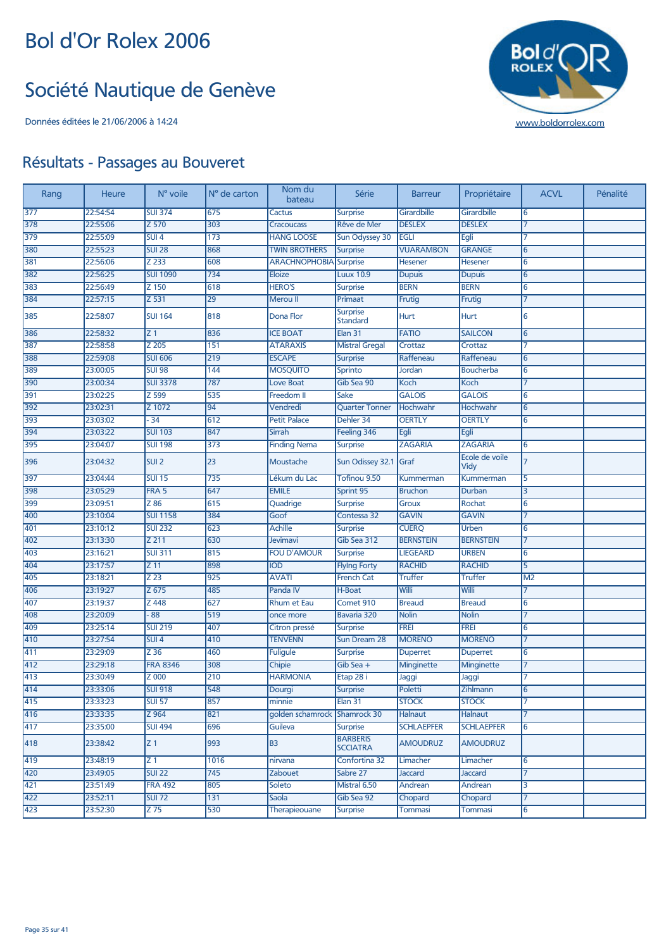#### Société Nautique de Genève

Données éditées le 21/06/2006 à 14:24 [www.boldorrolex.com](http://www.boldorrolex.com)



| Rang             | Heure    | N° voile           | N° de carton | Nom du<br>bateau              | Série                              | <b>Barreur</b>    | Propriétaire           | <b>ACVL</b>    | Pénalité |
|------------------|----------|--------------------|--------------|-------------------------------|------------------------------------|-------------------|------------------------|----------------|----------|
| 377              | 22:54:54 | <b>SUI 374</b>     | 675          | <b>Cactus</b>                 | <b>Surprise</b>                    | Girardbille       | Girardbille            | 6              |          |
| 378              | 22:55:06 | $Z\overline{570}$  | 303          | <b>Cracoucass</b>             | Rêve de Mer                        | <b>DESLEX</b>     | <b>DESLEX</b>          | 17             |          |
| 379              | 22:55:09 | $SUI$ 4            | 173          | <b>HANG LOOSE</b>             | <b>Sun Odyssey 30</b>              | <b>EGLI</b>       | Egli                   | 7              |          |
| 380              | 22:55:23 | <b>SUI 28</b>      | 868          | <b>TWIN BROTHERS</b>          | <b>Surprise</b>                    | <b>VUARAMBON</b>  | <b>GRANGE</b>          | 6              |          |
| 381              | 22:56:06 | $Z$ 233            | 608          | <b>ARACHNOPHOBIA</b> Surprise |                                    | Hesener           | <b>Hesener</b>         | 6              |          |
| 382              | 22:56:25 | <b>SUI 1090</b>    | 734          | <b>Eloize</b>                 | <b>Luux 10.9</b>                   | <b>Dupuis</b>     | <b>Dupuis</b>          | 6              |          |
| 383              | 22:56:49 | Z 150              | 618          | <b>HERO'S</b>                 | <b>Surprise</b>                    | <b>BERN</b>       | <b>BERN</b>            | 6              |          |
| 384              | 22:57:15 | $\overline{Z}$ 531 | 29           | Merou II                      | Primaat                            | Frutig            | Frutig                 | $\overline{7}$ |          |
| 385              | 22:58:07 | <b>SUI 164</b>     | 818          | Dona Flor                     | <b>Surprise</b><br><b>Standard</b> | <b>Hurt</b>       | <b>Hurt</b>            | 6              |          |
| 386              | 22:58:32 | Z <sub>1</sub>     | 836          | <b>ICE BOAT</b>               | Elan 31                            | <b>FATIO</b>      | <b>SAILCON</b>         | 6              |          |
| 387              | 22:58:58 | Z 205              | 151          | <b>ATARAXIS</b>               | <b>Mistral Gregal</b>              | Crottaz           | Crottaz                | 7              |          |
| 388              | 22:59:08 | <b>SUI 606</b>     | 219          | <b>ESCAPE</b>                 | <b>Surprise</b>                    | Raffeneau         | Raffeneau              | 6              |          |
| 389              | 23:00:05 | <b>SUI 98</b>      | 144          | <b>MOSQUITO</b>               | Sprinto                            | Jordan            | <b>Boucherba</b>       | 6              |          |
| 390              | 23:00:34 | <b>SUI 3378</b>    | 787          | <b>Love Boat</b>              | Gib Sea 90                         | Koch              | Koch                   | 17             |          |
| 391              | 23:02:25 | Z 599              | 535          | Freedom II                    | Sake                               | <b>GALOIS</b>     | <b>GALOIS</b>          | 6              |          |
| 392              | 23:02:31 | Z 1072             | 94           | Vendredi                      | <b>Quarter Tonner</b>              | Hochwahr          | Hochwahr               | 6              |          |
| 393              | 23:03:02 | $-34$              | 612          | <b>Petit Palace</b>           | Dehler 34                          | <b>OERTLY</b>     | <b>OERTLY</b>          | 6              |          |
| 394              | 23:03:22 | <b>SUI 103</b>     | 847          | Sirrah                        | Feeling 346                        | Egli              | Egli                   |                |          |
| 395              | 23:04:07 | <b>SUI 198</b>     | 373          | <b>Finding Nema</b>           | <b>Surprise</b>                    | <b>ZAGARIA</b>    | <b>ZAGARIA</b>         | 6              |          |
| 396              | 23:04:32 | SUI <sub>2</sub>   | 23           | Moustache                     | Sun Odissey 32.1 Graf              |                   | Ecole de voile<br>Vidy | $\overline{7}$ |          |
| 397              | 23:04:44 | <b>SUI 15</b>      | 735          | Lékum du Lac                  | Tofinou 9.50                       | <b>Kummerman</b>  | <b>Kummerman</b>       | 5              |          |
| 398              | 23:05:29 | FRA <sub>5</sub>   | 647          | <b>EMILE</b>                  | Sprint 95                          | <b>Bruchon</b>    | Durban                 | 3              |          |
| 399              | 23:09:51 | Z 86               | 615          | Quadrige                      | Surprise                           | <b>Groux</b>      | Rochat                 | 6              |          |
| 400              | 23:10:04 | <b>SUI 1158</b>    | 384          | Goof                          | Contessa 32                        | <b>GAVIN</b>      | <b>GAVIN</b>           | 17             |          |
| 401              | 23:10:12 | <b>SUI 232</b>     | 623          | <b>Achille</b>                | <b>Surprise</b>                    | <b>CUERQ</b>      | Urben                  | 6              |          |
| 402              | 23:13:30 | Z 211              | 630          | Jevimavi                      | Gib Sea 312                        | <b>BERNSTEIN</b>  | <b>BERNSTEIN</b>       | $\overline{7}$ |          |
| 403              | 23:16:21 | <b>SUI 311</b>     | 815          | <b>FOU D'AMOUR</b>            | <b>Surprise</b>                    | <b>LIEGEARD</b>   | <b>URBEN</b>           | 6              |          |
| 404              | 23:17:57 | Z 11               | 898          | <b>IOD</b>                    | <b>Flying Forty</b>                | <b>RACHID</b>     | <b>RACHID</b>          | 5              |          |
| 405              | 23:18:21 | Z <sub>23</sub>    | 925          | <b>AVATI</b>                  | <b>French Cat</b>                  | <b>Truffer</b>    | <b>Truffer</b>         | M <sub>2</sub> |          |
| 406              | 23:19:27 | $\overline{Z}$ 675 | 485          | Panda IV                      | H-Boat                             | Willi             | Willi                  | $\overline{7}$ |          |
| 407              | 23:19:37 | Z 448              | 627          | <b>Rhum et Eau</b>            | Comet 910                          | <b>Breaud</b>     | <b>Breaud</b>          | 6              |          |
| 408              | 23:20:09 | $-88$              | 519          | once more                     | Bavaria 320                        | <b>Nolin</b>      | <b>Nolin</b>           | $\overline{7}$ |          |
| 409              | 23:25:14 | <b>SUI 219</b>     | 407          | Citron pressé                 | <b>Surprise</b>                    | <b>FREI</b>       | <b>FREI</b>            | 6              |          |
| 410              | 23:27:54 | SUI <sub>4</sub>   | 410          | <b>TENVENN</b>                | Sun Dream 28                       | <b>MORENO</b>     | <b>MORENO</b>          | 17             |          |
| 411              | 23:29:09 | Z 36               | 460          | <b>Fuligule</b>               | <b>Surprise</b>                    | <b>Duperret</b>   | <b>Duperret</b>        | 6              |          |
| 412              | 23:29:18 | <b>FRA 8346</b>    | 308          | Chipie                        | Gib Sea +                          | Minginette        | Minginette             | 17             |          |
| $\overline{413}$ | 23:30:49 | Z 000              | 210          | <b>HARMONIA</b>               | Etap 28 i                          | Jaggi             | Jaggi                  | 7              |          |
| 414              | 23:33:06 | <b>SUI 918</b>     | 548          | Dourgi                        | Surprise                           | Poletti           | Zihlmann               | 6              |          |
| 415              | 23:33:23 | <b>SUI 57</b>      | 857          | minnie                        | Elan 31                            | <b>STOCK</b>      | <b>STOCK</b>           | 7              |          |
| 416              | 23:33:35 | Z 964              | 821          | golden schamrock              | Shamrock 30                        | Halnaut           | <b>Halnaut</b>         | $\overline{7}$ |          |
| 417              | 23:35:00 | <b>SUI 494</b>     | 696          | Guileva                       | <b>Surprise</b>                    | <b>SCHLAEPFER</b> | <b>SCHLAEPFER</b>      | 6              |          |
| 418              | 23:38:42 | Z <sub>1</sub>     | 993          | <b>B3</b>                     | <b>BARBERIS</b><br><b>SCCIATRA</b> | <b>AMOUDRUZ</b>   | <b>AMOUDRUZ</b>        |                |          |
| 419              | 23:48:19 | Z 1                | 1016         | nirvana                       | Confortina 32                      | Limacher          | Limacher               | 6              |          |
| 420              | 23:49:05 | <b>SUI 22</b>      | 745          | Zabouet                       | Sabre 27                           | Jaccard           | <b>Jaccard</b>         | 17             |          |
| 421              | 23:51:49 | <b>FRA 492</b>     | 805          | Soleto                        | Mistral 6.50                       | Andrean           | Andrean                | 3              |          |
| 422              | 23:52:11 | <b>SUI 72</b>      | 131          | Saola                         | Gib Sea 92                         | Chopard           | Chopard                | 7              |          |
| 423              | 23:52:30 | Z 75               | 530          | Therapieouane                 | Surprise                           | Tommasi           | Tommasi                | 6              |          |
|                  |          |                    |              |                               |                                    |                   |                        |                |          |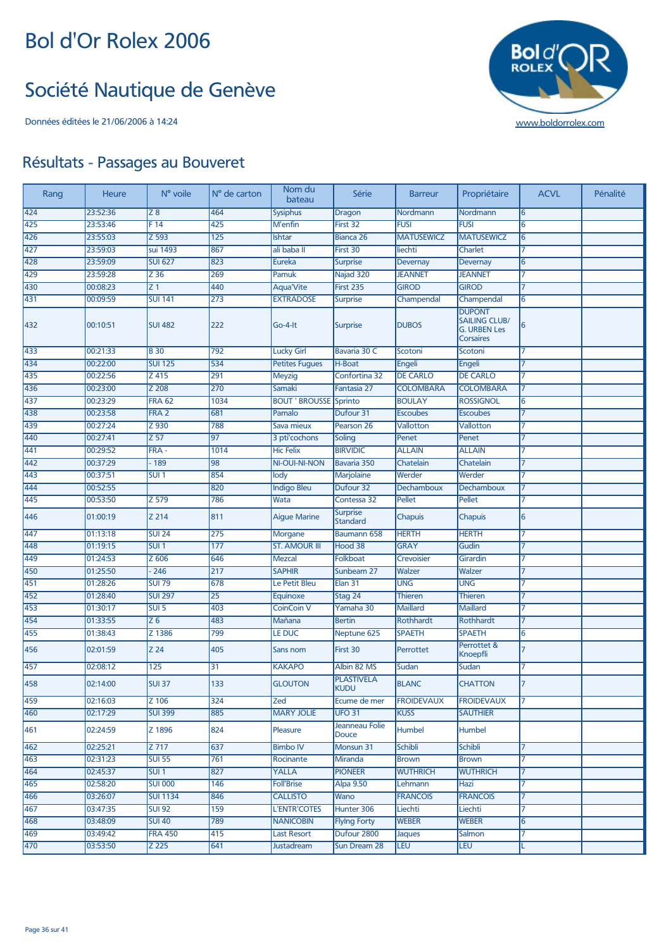#### Société Nautique de Genève



| Rang | Heure    | N° voile           | N° de carton    | Nom du<br>bateau      | Série                              | <b>Barreur</b>    | Propriétaire                                                                     | <b>ACVL</b>    | Pénalité |
|------|----------|--------------------|-----------------|-----------------------|------------------------------------|-------------------|----------------------------------------------------------------------------------|----------------|----------|
| 424  | 23:52:36 | Z8                 | 464             | <b>Sysiphus</b>       | Dragon                             | Nordmann          | Nordmann                                                                         | 6              |          |
| 425  | 23:53:46 | F 14               | 425             | M'enfin               | First 32                           | <b>FUSI</b>       | <b>FUSI</b>                                                                      | 6              |          |
| 426  | 23:55:03 | $\overline{Z}$ 593 | 125             | Ishtar                | Bianca 26                          | <b>MATUSEWICZ</b> | <b>MATUSEWICZ</b>                                                                | 6              |          |
| 427  | 23:59:03 | sui 1493           | 867             | ali baba II           | First 30                           | liechti           | Charlet                                                                          | 7              |          |
| 428  | 23:59:09 | <b>SUI 627</b>     | 823             | <b>Eureka</b>         | <b>Surprise</b>                    | Devernay          | Devernay                                                                         | 6              |          |
| 429  | 23:59:28 | $\overline{Z}$ 36  | 269             | Pamuk                 | Najad 320                          | <b>JEANNET</b>    | <b>JEANNET</b>                                                                   |                |          |
| 430  | 00:08:23 | Z <sub>1</sub>     | 440             | <b>Aqua</b> 'Vite     | First 235                          | <b>GIROD</b>      | <b>GIROD</b>                                                                     | 7              |          |
| 431  | 00:09:59 | <b>SUI 141</b>     | 273             | <b>EXTRADOSE</b>      | <b>Surprise</b>                    | Champendal        | Champendal                                                                       | 6              |          |
| 432  | 00:10:51 | <b>SUI 482</b>     | 222             | Go-4-lt               | <b>Surprise</b>                    | <b>DUBOS</b>      | <b>DUPONT</b><br><b>SAILING CLUB/</b><br><b>G. URBEN Les</b><br><b>Corsaires</b> | 6              |          |
| 433  | 00:21:33 | <b>B30</b>         | 792             | <b>Lucky Girl</b>     | Bavaria 30 C                       | Scotoni           | Scotoni                                                                          | 7              |          |
| 434  | 00:22:00 | <b>SUI 125</b>     | 534             | <b>Petites Fugues</b> | H-Boat                             | Engeli            | Engeli                                                                           | 7              |          |
| 435  | 00:22:56 | $Z$ 415            | 291             | <b>Meyzig</b>         | Confortina 32                      | <b>DE CARLO</b>   | <b>DE CARLO</b>                                                                  |                |          |
| 436  | 00:23:00 | Z 208              | 270             | Samaki                | Fantasia 27                        | <b>COLOMBARA</b>  | <b>COLOMBARA</b>                                                                 | $\overline{7}$ |          |
| 437  | 00:23:29 | <b>FRA 62</b>      | 1034            | <b>BOUT ' BROUSSE</b> | Sprinto                            | <b>BOULAY</b>     | <b>ROSSIGNOL</b>                                                                 | 6              |          |
| 438  | 00:23:58 | FRA <sub>2</sub>   | 681             | Pamalo                | Dufour 31                          | <b>Escoubes</b>   | <b>Escoubes</b>                                                                  | 7              |          |
| 439  | 00:27:24 | Z 930              | 788             | Sava mieux            | Pearson 26                         | Vallotton         | Vallotton                                                                        | 7              |          |
| 440  | 00:27:41 | $\overline{Z}$ 57  | 97              | 3 pti'cochons         | Soling                             | Penet             | Penet                                                                            | $\overline{7}$ |          |
| 441  | 00:29:52 | $FRA -$            | 1014            | <b>Hic Felix</b>      | <b>BIRVIDIC</b>                    | <b>ALLAIN</b>     | <b>ALLAIN</b>                                                                    | 7              |          |
| 442  | 00:37:29 | $-189$             | 98              | NI-OUI-NI-NON         | Bavaria 350                        | Chatelain         | Chatelain                                                                        | 7              |          |
| 443  | 00:37:51 | <b>SUI 1</b>       | 854             | lody                  | Marjolaine                         | Werder            | Werder                                                                           | 7              |          |
| 444  | 00:52:55 |                    | 820             | <b>Indigo Bleu</b>    | Dufour 32                          | <b>Dechamboux</b> | Dechamboux                                                                       | 7              |          |
| 445  | 00:53:50 | Z 579              | 786             | Wata                  | Contessa 32                        | Pellet            | Pellet                                                                           | 7              |          |
| 446  | 01:00:19 | Z 214              | 811             | <b>Aigue Marine</b>   | <b>Surprise</b><br><b>Standard</b> | Chapuis           | Chapuis                                                                          | 6              |          |
| 447  | 01:13:18 | <b>SUI 24</b>      | 275             | <b>Morgane</b>        | Baumann 658                        | <b>HERTH</b>      | <b>HERTH</b>                                                                     | 7              |          |
| 448  | 01:19:15 | SUI <sub>1</sub>   | 177             | <b>ST. AMOUR III</b>  | Hood 38                            | <b>GRAY</b>       | Gudin                                                                            | $\overline{7}$ |          |
| 449  | 01:24:53 | Z606               | 646             | <b>Mezcal</b>         | <b>Folkboat</b>                    | Crevoisier        | Girardin                                                                         |                |          |
| 450  | 01:25:50 | 246                | 217             | <b>SAPHIR</b>         | Sunbeam 27                         | Walzer            | Walzer                                                                           | 7              |          |
| 451  | 01:28:26 | <b>SUI 79</b>      | 678             | Le Petit Bleu         | Elan 31                            | <b>UNG</b>        | <b>UNG</b>                                                                       | 7              |          |
| 452  | 01:28:40 | <b>SUI 297</b>     | $\overline{25}$ | Equinoxe              | Stag 24                            | <b>Thieren</b>    | <b>Thieren</b>                                                                   | 7              |          |
| 453  | 01:30:17 | SUI <sub>5</sub>   | 403             | <b>CoinCoin V</b>     | Yamaha 30                          | <b>Maillard</b>   | <b>Maillard</b>                                                                  | 7              |          |
| 454  | 01:33:55 | $Z_6$              | 483             | Mañana                | <b>Bertin</b>                      | Rothhardt         | Rothhardt                                                                        | 7              |          |
| 455  | 01:38:43 | Z 1386             | 799             | <b>LE DUC</b>         | Neptune 625                        | <b>SPAETH</b>     | <b>SPAETH</b>                                                                    | 6              |          |
| 456  | 02:01:59 | Z 24               | 405             | Sans nom              | First 30                           | Perrottet         | Perrottet &<br>Knoepfli                                                          | 7              |          |
| 457  | 02:08:12 | 125                | 31              | <b>KAKAPO</b>         | Albin 82 MS                        | Sudan             | Sudan                                                                            | 7              |          |
| 458  | 02:14:00 | <b>SUI 37</b>      | 133             | <b>GLOUTON</b>        | <b>PLASTIVELA</b><br><b>KUDU</b>   | <b>BLANC</b>      | <b>CHATTON</b>                                                                   | $\overline{7}$ |          |
| 459  | 02:16:03 | Z 106              | 324             | Zed                   | Ecume de mer                       | <b>FROIDEVAUX</b> | <b>FROIDEVAUX</b>                                                                | 7              |          |
| 460  | 02:17:29 | <b>SUI 399</b>     | 885             | <b>MARY JOLIE</b>     | <b>UFO 31</b>                      | <b>KUSS</b>       | <b>SAUTHIER</b>                                                                  |                |          |
| 461  | 02:24:59 | Z 1896             | 824             | Pleasure              | Jeanneau Folie<br>Douce            | Humbel            | Humbel                                                                           |                |          |
| 462  | 02:25:21 | Z 717              | 637             | <b>Bimbo IV</b>       | Monsun 31                          | Schibli           | Schibli                                                                          | 7              |          |
| 463  | 02:31:23 | <b>SUI 55</b>      | 761             | Rocinante             | Miranda                            | <b>Brown</b>      | <b>Brown</b>                                                                     | 7              |          |
| 464  | 02:45:37 | SUI <sub>1</sub>   | 827             | YALLA                 | <b>PIONEER</b>                     | <b>WUTHRICH</b>   | <b>WUTHRICH</b>                                                                  | 7              |          |
| 465  | 02:58:20 | <b>SUI 000</b>     | 146             | <b>Foll'Brise</b>     | <b>Alpa 9.50</b>                   | Lehmann           | Hazi                                                                             | 7              |          |
| 466  | 03:26:07 | <b>SUI 1134</b>    | 846             | <b>CALLISTO</b>       | Wano                               | <b>FRANCOIS</b>   | <b>FRANCOIS</b>                                                                  | 7              |          |
| 467  | 03:47:35 | <b>SUI 92</b>      | 159             | <b>L'ENTR'COTES</b>   | Hunter 306                         | Liechti           | Liechti                                                                          | 7              |          |
| 468  | 03:48:09 | <b>SUI 40</b>      | 789             | <b>NANICOBIN</b>      | <b>Flying Forty</b>                | <b>WEBER</b>      | <b>WEBER</b>                                                                     | 6              |          |
| 469  | 03:49:42 | <b>FRA 450</b>     | 415             | <b>Last Resort</b>    | Dufour 2800                        | Jaques            | Salmon                                                                           | 7              |          |
| 470  | 03:53:50 | Z 225              | 641             | Justadream            | Sun Dream 28                       | <b>LEU</b>        | <b>LEU</b>                                                                       | L              |          |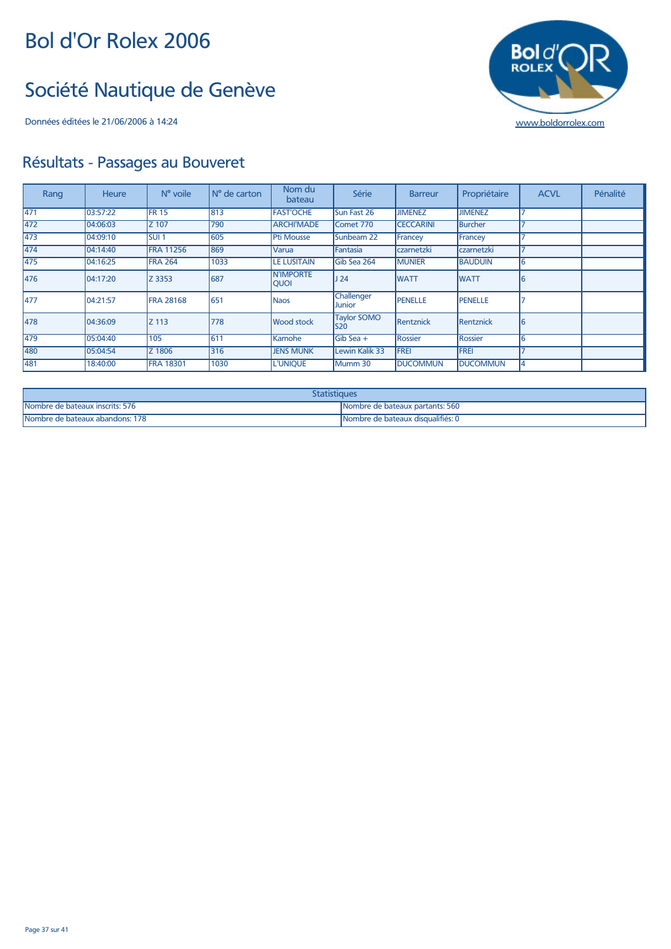#### Société Nautique de Genève

Données éditées le 21/06/2006 à 14:24 [www.boldorrolex.com](http://www.boldorrolex.com)



| Rang | <b>Heure</b> | N° voile         | N° de carton | Nom du<br>bateau                | Série                       | <b>Barreur</b>   | Propriétaire    | <b>ACVL</b> | Pénalité |
|------|--------------|------------------|--------------|---------------------------------|-----------------------------|------------------|-----------------|-------------|----------|
| 471  | 03:57:22     | <b>FR 15</b>     | 813          | <b>FAST'OCHE</b>                | Sun Fast 26                 | <b>JIMENEZ</b>   | <b>JIMENEZ</b>  |             |          |
| 472  | 04:06:03     | Z 107            | 790          | <b>ARCHI'MADE</b>               | Comet 770                   | <b>CECCARINI</b> | <b>Burcher</b>  |             |          |
| 473  | 04:09:10     | <b>SUI1</b>      | 605          | <b>Pti Mousse</b>               | Sunbeam 22                  | Francey          | Francey         |             |          |
| 474  | 04:14:40     | <b>FRA 11256</b> | 869          | Varua                           | Fantasia                    | czarnetzki       | czarnetzki      |             |          |
| 475  | 04:16:25     | <b>FRA 264</b>   | 1033         | <b>LE LUSITAIN</b>              | Gib Sea 264                 | <b>MUNIER</b>    | <b>BAUDUIN</b>  | 6           |          |
| 476  | 04:17:20     | Z 3353           | 687          | <b>N'IMPORTE</b><br><b>QUOI</b> | J <sub>24</sub>             | <b>WATT</b>      | <b>WATT</b>     | 6           |          |
| 477  | 04:21:57     | <b>FRA 28168</b> | 651          | <b>Naos</b>                     | Challenger<br><b>Junior</b> | <b>PENELLE</b>   | <b>PENELLE</b>  |             |          |
| 478  | 04:36:09     | <b>Z</b> 113     | 778          | <b>Wood stock</b>               | <b>Taylor SOMO</b><br>S20   | Rentznick        | Rentznick       | l6          |          |
| 479  | 05:04:40     | 105              | 611          | Kamohe                          | Gib Sea +                   | Rossier          | Rossier         | 6           |          |
| 480  | 05:04:54     | Z 1806           | 316          | <b>JENS MUNK</b>                | Lewin Kalik 33              | <b>FREI</b>      | <b>FREI</b>     |             |          |
| 481  | 18:40:00     | <b>FRA 18301</b> | 1030         | <b>L'UNIQUE</b>                 | Mumm 30                     | <b>DUCOMMUN</b>  | <b>DUCOMMUN</b> | 4           |          |

| itatistiques                    |                                   |  |  |  |
|---------------------------------|-----------------------------------|--|--|--|
| Nombre de bateaux inscrits: 576 | INombre de bateaux partants: 560  |  |  |  |
| Nombre de bateaux abandons: 178 | Nombre de bateaux disqualifiés: 0 |  |  |  |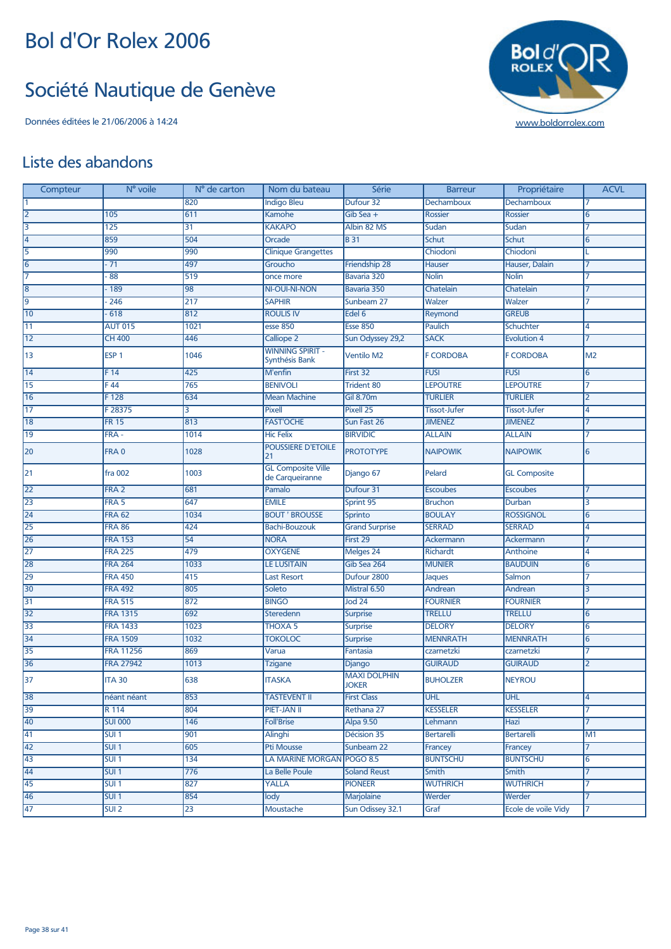#### Société Nautique de Genève

Données éditées le 21/06/2006 à 14:24 [www.boldorrolex.com](http://www.boldorrolex.com)



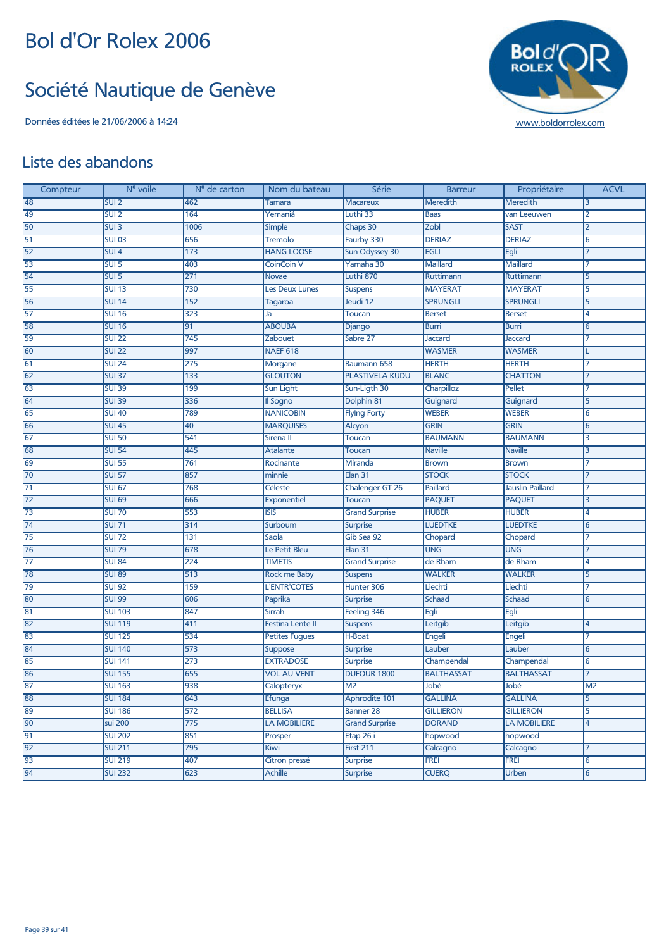#### Société Nautique de Genève

Données éditées le 21/06/2006 à 14:24 [www.boldorrolex.com](http://www.boldorrolex.com)



![](_page_38_Picture_5.jpeg)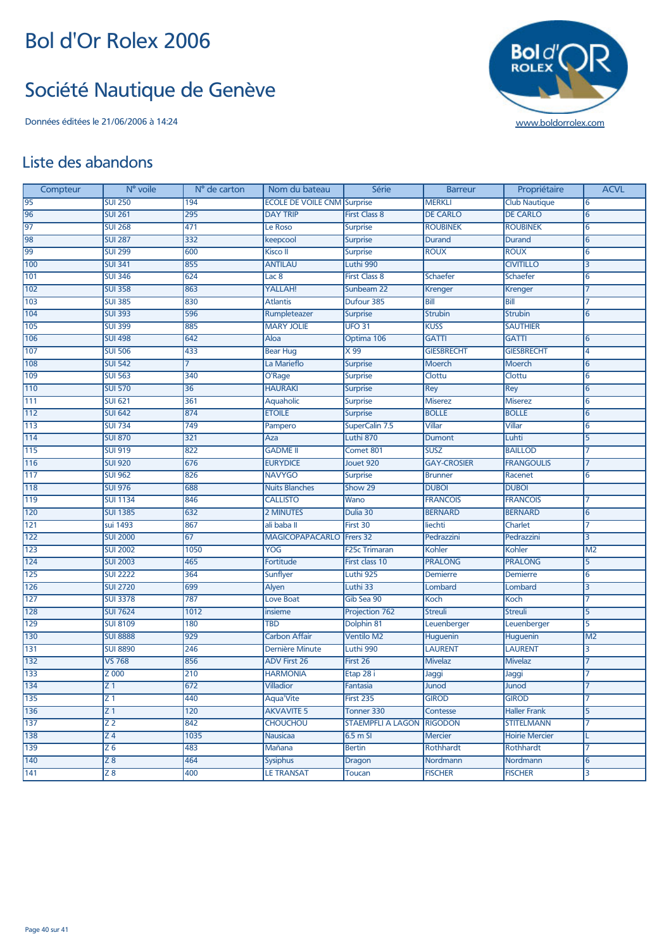## Société Nautique de Genève

![](_page_39_Picture_4.jpeg)

| Compteur | N° voile        | N° de carton | Nom du bateau                      | Série                    | <b>Barreur</b>     | Propriétaire          | <b>ACVL</b>     |
|----------|-----------------|--------------|------------------------------------|--------------------------|--------------------|-----------------------|-----------------|
| 95       | <b>SUI 250</b>  | 194          | <b>ECOLE DE VOILE CNM Surprise</b> |                          | <b>MERKLI</b>      | <b>Club Nautique</b>  | 6               |
| 96       | <b>SUI 261</b>  | 295          | <b>DAY TRIP</b>                    | <b>First Class 8</b>     | <b>DE CARLO</b>    | <b>DE CARLO</b>       | 6               |
| 97       | <b>SUI 268</b>  | 471          | Le Roso                            | <b>Surprise</b>          | <b>ROUBINEK</b>    | <b>ROUBINEK</b>       | 6               |
| 98       | <b>SUI 287</b>  | 332          | keepcool                           | <b>Surprise</b>          | Durand             | Durand                | 6               |
| 99       | <b>SUI 299</b>  | 600          | <b>Kisco</b> II                    | <b>Surprise</b>          | <b>ROUX</b>        | <b>ROUX</b>           | 6               |
| 100      | <b>SUI 341</b>  | 855          | <b>ANTILAU</b>                     | Luthi 990                |                    | <b>CIVITILLO</b>      | 3               |
| 101      | <b>SUI 346</b>  | 624          | Lac <sub>8</sub>                   | <b>First Class 8</b>     | Schaefer           | <b>Schaefer</b>       | 6               |
| 102      | <b>SUI 358</b>  | 863          | YALLAH!                            | Sunbeam 22               | <b>Krenger</b>     | Krenger               | 7               |
| 103      | <b>SUI 385</b>  | 830          | <b>Atlantis</b>                    | Dufour 385               | Bill               | Bill                  | 7               |
| 104      | <b>SUI 393</b>  | 596          | Rumpleteazer                       | <b>Surprise</b>          | <b>Strubin</b>     | <b>Strubin</b>        | 6               |
| 105      | <b>SUI 399</b>  | 885          | <b>MARY JOLIE</b>                  | <b>UFO 31</b>            | <b>KUSS</b>        | <b>SAUTHIER</b>       |                 |
| 106      | <b>SUI 498</b>  | 642          | Aloa                               | Optima 106               | <b>GATTI</b>       | <b>GATTI</b>          | 6               |
| 107      | <b>SUI 506</b>  | 433          | <b>Bear Hug</b>                    | X99                      | <b>GIESBRECHT</b>  | <b>GIESBRECHT</b>     | 4               |
| 108      | <b>SUI 542</b>  | 7            | La Marieflo                        | <b>Surprise</b>          | <b>Moerch</b>      | Moerch                | 6               |
| 109      | <b>SUI 563</b>  | 340          | O'Rage                             | <b>Surprise</b>          | Clottu             | Clottu                | 6               |
| 110      | <b>SUI 570</b>  | 36           | <b>HAURAKI</b>                     | <b>Surprise</b>          | <b>Rey</b>         | Rey                   | 6               |
| 111      | <b>SUI 621</b>  | 361          | Aquaholic                          | <b>Surprise</b>          | <b>Miserez</b>     | <b>Miserez</b>        | $6\overline{6}$ |
| 112      | <b>SUI 642</b>  | 874          | <b>ETOILE</b>                      | <b>Surprise</b>          | <b>BOLLE</b>       | <b>BOLLE</b>          | 6               |
| 113      | <b>SUI 734</b>  | 749          | Pampero                            | SuperCalin 7.5           | Villar             | <b>Villar</b>         | 6               |
| 114      | <b>SUI 870</b>  | 321          | Aza                                | Luthi 870                | <b>Dumont</b>      | Luhti                 | 5               |
| 115      | <b>SUI 919</b>  | 822          | <b>GADME II</b>                    | Comet 801                | <b>SUSZ</b>        | <b>BAILLOD</b>        | 7               |
| 116      | <b>SUI 920</b>  | 676          | <b>EURYDICE</b>                    | Jouet 920                | <b>GAY-CROSIER</b> | <b>FRANGOULIS</b>     | 7               |
| 117      | <b>SUI 962</b>  | 826          | <b>NAVYGO</b>                      | Surprise                 | <b>Brunner</b>     | Racenet               | 6               |
| 118      | <b>SUI 976</b>  | 688          | <b>Nuits Blanches</b>              | Show 29                  | <b>DUBOI</b>       | <b>DUBOI</b>          |                 |
| 119      | <b>SUI 1134</b> | 846          | <b>CALLISTO</b>                    | Wano                     | <b>FRANCOIS</b>    | <b>FRANCOIS</b>       |                 |
| 120      | <b>SUI 1385</b> | 632          | <b>2 MINUTES</b>                   | Dulia 30                 | <b>BERNARD</b>     | <b>BERNARD</b>        | 6               |
| 121      | sui 1493        | 867          | ali baba II                        | First 30                 | liechti            | Charlet               | 7               |
| 122      | <b>SUI 2000</b> | 67           | <b>MAGICOPAPACARLO</b>             | Frers 32                 | Pedrazzini         | Pedrazzini            | 3               |
| 123      | <b>SUI 2002</b> | 1050         | YOG                                | <b>F25c Trimaran</b>     | Kohler             | Kohler                | M <sub>2</sub>  |
| 124      | <b>SUI 2003</b> | 465          | Fortitude                          | First class 10           | <b>PRALONG</b>     | <b>PRALONG</b>        | $\overline{5}$  |
| 125      | <b>SUI 2222</b> | 364          | Sunflyer                           | Luthi 925                | <b>Demierre</b>    | Demierre              | 6               |
| 126      | <b>SUI 2720</b> | 699          | Alyen                              | Luthi 33                 | Lombard            | Lombard               | 3               |
| 127      | <b>SUI 3378</b> | 787          | <b>Love Boat</b>                   | Gib Sea 90               | Koch               | Koch                  | 7               |
| 128      | <b>SUI 7624</b> | 1012         | insieme                            | Projection 762           | <b>Streuli</b>     | <b>Streuli</b>        | 5               |
| 129      | <b>SUI 8109</b> | 180          | <b>TBD</b>                         | Dolphin 81               | Leuenberger        | Leuenberger           | 5               |
| 130      | <b>SUI 8888</b> | 929          | <b>Carbon Affair</b>               | <b>Ventilo M2</b>        | <b>Huguenin</b>    | Huguenin              | M <sub>2</sub>  |
| 131      | <b>SUI 8890</b> | 246          | <b>Dernière Minute</b>             | Luthi 990                | <b>LAURENT</b>     | <b>LAURENT</b>        | 3               |
| 132      | VS 768          | 856          | <b>ADV</b> First 26                | First 26                 | <b>Mivelaz</b>     | <b>Mivelaz</b>        |                 |
| 133      | Z 000           | 210          | <b>HARMONIA</b>                    | Etap 28 i                | Jaggi              | Jaggi                 | 7               |
| 134      | Z <sub>1</sub>  | 672          | <b>Villadior</b>                   | Fantasia                 | Junod              | Junod                 |                 |
| 135      | Z 1             | 440          | <b>Aqua</b> 'Vite                  | First 235                | <b>GIROD</b>       | <b>GIROD</b>          | 7               |
| 136      | Z <sub>1</sub>  | 120          | <b>AKVAVITE 5</b>                  | Tonner 330               | Contesse           | <b>Haller Frank</b>   | $\overline{5}$  |
| 137      | Z2              | 842          | <b>CHOUCHOU</b>                    | <b>STAEMPFLI A LAGON</b> | <b>RIGODON</b>     | <b>STITELMANN</b>     | 7               |
| 138      | Z 4             | 1035         | <b>Nausicaa</b>                    | $6.5m$ SI                | Mercier            | <b>Hoirie Mercier</b> |                 |
| 139      | Z 6             | 483          | Mañana                             | <b>Bertin</b>            | Rothhardt          | Rothhardt             | 7               |
| 140      | Z8              | 464          | Sysiphus                           | Dragon                   | Nordmann           | Nordmann              | 6               |
| 141      | Z8              | 400          | <b>LE TRANSAT</b>                  | Toucan                   | <b>FISCHER</b>     | <b>FISCHER</b>        | 3               |